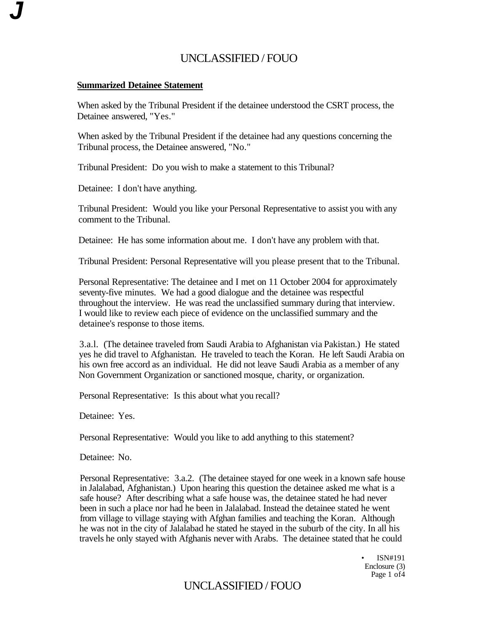### **Summarized Detainee Statement**

**J** 

When asked by the Tribunal President if the detainee understood the CSRT process, the Detainee answered, "Yes."

When asked by the Tribunal President if the detainee had any questions concerning the Tribunal process, the Detainee answered, "No."

Tribunal President: Do you wish to make a statement to this Tribunal?

Detainee: I don't have anything.

Tribunal President: Would you like your Personal Representative to assist you with any comment to the Tribunal.

Detainee: He has some information about me. I don't have any problem with that.

Tribunal President: Personal Representative will you please present that to the Tribunal.

Personal Representative: The detainee and I met on 11 October 2004 for approximately seventy-five minutes. We had a good dialogue and the detainee was respectful throughout the interview. He was read the unclassified summary during that interview. I would like to review each piece of evidence on the unclassified summary and the detainee's response to those items.

3.a.l. (The detainee traveled from Saudi Arabia to Afghanistan via Pakistan.) He stated yes he did travel to Afghanistan. He traveled to teach the Koran. He left Saudi Arabia on his own free accord as an individual. He did not leave Saudi Arabia as a member of any Non Government Organization or sanctioned mosque, charity, or organization.

Personal Representative: Is this about what you recall?

Detainee: Yes.

Personal Representative: Would you like to add anything to this statement?

Detainee: No.

Personal Representative: 3.a.2. (The detainee stayed for one week in a known safe house in Jalalabad, Afghanistan.) Upon hearing this question the detainee asked me what is a safe house? After describing what a safe house was, the detainee stated he had never been in such a place nor had he been in Jalalabad. Instead the detainee stated he went from village to village staying with Afghan families and teaching the Koran. Although he was not in the city of Jalalabad he stated he stayed in the suburb of the city. In all his travels he only stayed with Afghanis never with Arabs. The detainee stated that he could

> • ISN#191 Enclosure (3) Page 1 of 4

# UNCLASSIFIED / FOUO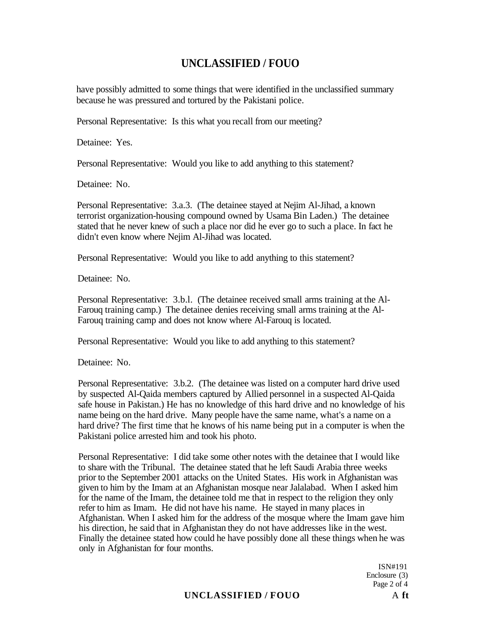have possibly admitted to some things that were identified in the unclassified summary because he was pressured and tortured by the Pakistani police.

Personal Representative: Is this what you recall from our meeting?

Detainee: Yes.

Personal Representative: Would you like to add anything to this statement?

Detainee: No.

Personal Representative: 3.a.3. (The detainee stayed at Nejim Al-Jihad, a known terrorist organization-housing compound owned by Usama Bin Laden.) The detainee stated that he never knew of such a place nor did he ever go to such a place. In fact he didn't even know where Nejim Al-Jihad was located.

Personal Representative: Would you like to add anything to this statement?

Detainee: No.

Personal Representative: 3.b.l. (The detainee received small arms training at the Al-Farouq training camp.) The detainee denies receiving small arms training at the Al-Farouq training camp and does not know where Al-Farouq is located.

Personal Representative: Would you like to add anything to this statement?

Detainee: No.

Personal Representative: 3.b.2. (The detainee was listed on a computer hard drive used by suspected Al-Qaida members captured by Allied personnel in a suspected Al-Qaida safe house in Pakistan.) He has no knowledge of this hard drive and no knowledge of his name being on the hard drive. Many people have the same name, what's a name on a hard drive? The first time that he knows of his name being put in a computer is when the Pakistani police arrested him and took his photo.

Personal Representative: I did take some other notes with the detainee that I would like to share with the Tribunal. The detainee stated that he left Saudi Arabia three weeks prior to the September 2001 attacks on the United States. His work in Afghanistan was given to him by the Imam at an Afghanistan mosque near Jalalabad. When I asked him for the name of the Imam, the detainee told me that in respect to the religion they only refer to him as Imam. He did not have his name. He stayed in many places in Afghanistan. When I asked him for the address of the mosque where the Imam gave him his direction, he said that in Afghanistan they do not have addresses like in the west. Finally the detainee stated how could he have possibly done all these things when he was only in Afghanistan for four months.

> ISN#191 Enclosure (3) Page 2 of 4

## **UNCLASSIFIED / FOUO** A **ft**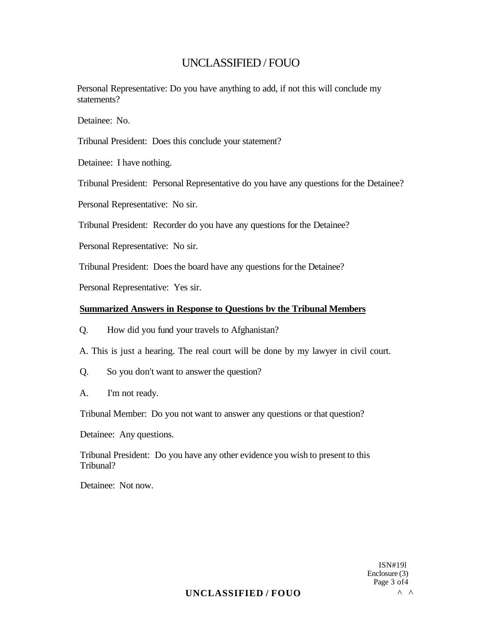Personal Representative: Do you have anything to add, if not this will conclude my statements?

Detainee: No.

Tribunal President: Does this conclude your statement?

Detainee: I have nothing.

Tribunal President: Personal Representative do you have any questions for the Detainee?

Personal Representative: No sir.

Tribunal President: Recorder do you have any questions for the Detainee?

Personal Representative: No sir.

Tribunal President: Does the board have any questions for the Detainee?

Personal Representative: Yes sir.

### **Summarized Answers in Response to Questions bv the Tribunal Members**

Q. How did you fund your travels to Afghanistan?

A. This is just a hearing. The real court will be done by my lawyer in civil court.

Q. So you don't want to answer the question?

A. I'm not ready.

Tribunal Member: Do you not want to answer any questions or that question?

Detainee: Any questions.

Tribunal President: Do you have any other evidence you wish to present to this Tribunal?

Detainee: Not now.

ISN#19l Enclosure (3) Page 3 of4

## **UNCLASSIFIED / FOUO** ^ ^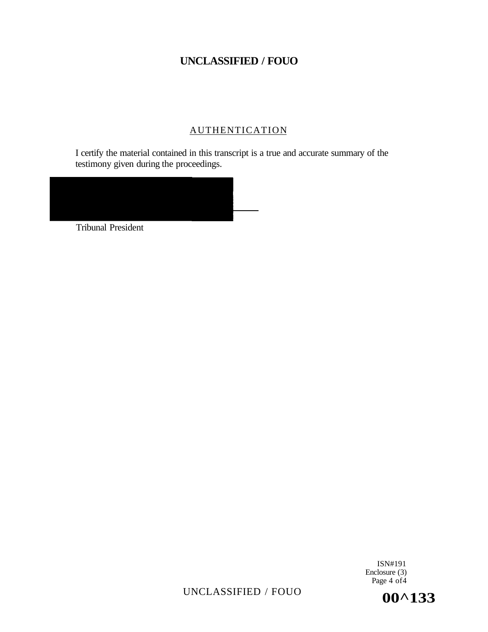## **AUTHENTICATION**

I certify the material contained in this transcript is a true and accurate summary of the testimony given during the proceedings.



Tribunal President

ISN#191 Enclosure (3) Page 4 of 4

UNCLASSIFIED / FOUO **00^133**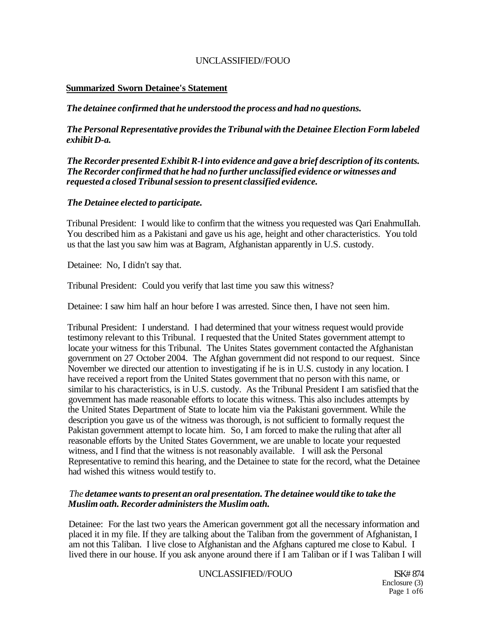### **Summarized Sworn Detainee's Statement**

*The detainee confirmed that he understood the process and had no questions.* 

*The Personal Representative provides the Tribunal with the Detainee Election Form labeled exhibit D-a.* 

*The Recorder presented Exhibit R-l into evidence and gave a brief description of its contents. The Recorder confirmed that he had no further unclassified evidence or witnesses and requested a closed Tribunal session to present classified evidence.* 

## *The Detainee elected to participate.*

Tribunal President: I would like to confirm that the witness you requested was Qari EnahmuIIah. You described him as a Pakistani and gave us his age, height and other characteristics. You told us that the last you saw him was at Bagram, Afghanistan apparently in U.S. custody.

Detainee: No, I didn't say that.

Tribunal President: Could you verify that last time you saw this witness?

Detainee: I saw him half an hour before I was arrested. Since then, I have not seen him.

Tribunal President: I understand. I had determined that your witness request would provide testimony relevant to this Tribunal. I requested that the United States government attempt to locate your witness for this Tribunal. The Unites States government contacted the Afghanistan government on 27 October 2004. The Afghan government did not respond to our request. Since November we directed our attention to investigating if he is in U.S. custody in any location. I have received a report from the United States government that no person with this name, or similar to his characteristics, is in U.S. custody. As the Tribunal President I am satisfied that the government has made reasonable efforts to locate this witness. This also includes attempts by the United States Department of State to locate him via the Pakistani government. While the description you gave us of the witness was thorough, is not sufficient to formally request the Pakistan government attempt to locate him. So, I am forced to make the ruling that after all reasonable efforts by the United States Government, we are unable to locate your requested witness, and I find that the witness is not reasonably available. I will ask the Personal Representative to remind this hearing, and the Detainee to state for the record, what the Detainee had wished this witness would testify to.

### *The detamee wants to present an oral presentation. The detainee would tike to take the Muslim oath. Recorder administers the Muslim oath.*

Detainee: For the last two years the American government got all the necessary information and placed it in my file. If they are talking about the Taliban from the government of Afghanistan, I am not this Taliban. I live close to Afghanistan and the Afghans captured me close to Kabul. I lived there in our house. If you ask anyone around there if I am Taliban or if I was Taliban I will

UNCLASSIFIED//FOUO ISK# 874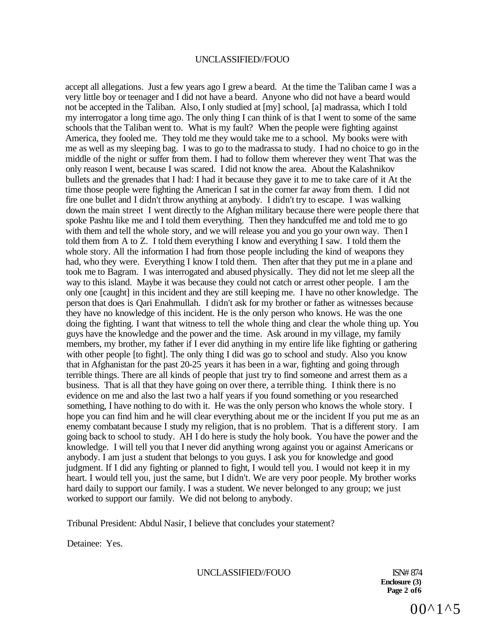accept all allegations. Just a few years ago I grew a beard. At the time the Taliban came I was a very little boy or teenager and I did not have a beard. Anyone who did not have a beard would not be accepted in the Taliban. Also, I only studied at [my] school, [a] madrassa, which I told my interrogator a long time ago. The only thing I can think of is that I went to some of the same schools that the Taliban went to. What is my fault? When the people were fighting against America, they fooled me. They told me they would take me to a school. My books were with me as well as my sleeping bag. I was to go to the madrassa to study. I had no choice to go in the middle of the night or suffer from them. I had to follow them wherever they went That was the only reason I went, because I was scared. I did not know the area. About the Kalashnikov bullets and the grenades that I had: I had it because they gave it to me to take care of it At the time those people were fighting the American I sat in the corner far away from them. I did not fire one bullet and I didn't throw anything at anybody. I didn't try to escape. I was walking down the main street I went directly to the Afghan military because there were people there that spoke Pashtu like me and I told them everything. Then they handcuffed me and told me to go with them and tell the whole story, and we will release you and you go your own way. Then I told them from A to Z. I told them everything I know and everything I saw. I told them the whole story. All the information I had from those people including the kind of weapons they had, who they were. Everything I know I told them. Then after that they put me in a plane and took me to Bagram. I was interrogated and abused physically. They did not let me sleep all the way to this island. Maybe it was because they could not catch or arrest other people. I am the only one [caught] in this incident and they are still keeping me. I have no other knowledge. The person that does is Qari Enahmullah. I didn't ask for my brother or father as witnesses because they have no knowledge of this incident. He is the only person who knows. He was the one doing the fighting. I want that witness to tell the whole thing and clear the whole thing up. You guys have the knowledge and the power and the time. Ask around in my village, my family members, my brother, my father if I ever did anything in my entire life like fighting or gathering with other people [to fight]. The only thing I did was go to school and study. Also you know that in Afghanistan for the past 20-25 years it has been in a war, fighting and going through terrible things. There are all kinds of people that just try to find someone and arrest them as a business. That is all that they have going on over there, a terrible thing. I think there is no evidence on me and also the last two a half years if you found something or you researched something, I have nothing to do with it. He was the only person who knows the whole story. I hope you can find him and he will clear everything about me or the incident If you put me as an enemy combatant because I study my religion, that is no problem. That is a different story. I am going back to school to study. AH I do here is study the holy book. You have the power and the knowledge. I will tell you that I never did anything wrong against you or against Americans or anybody. I am just a student that belongs to you guys. I ask you for knowledge and good judgment. If I did any fighting or planned to fight, I would tell you. I would not keep it in my heart. I would tell you, just the same, but I didn't. We are very poor people. My brother works hard daily to support our family. I was a student. We never belonged to any group; we just worked to support our family. We did not belong to anybody.

Tribunal President: Abdul Nasir, I believe that concludes your statement?

Detainee: Yes.

UNCLASSIFIED//FOUO ISN# 874

**Enclosure (3) Page 2 of6**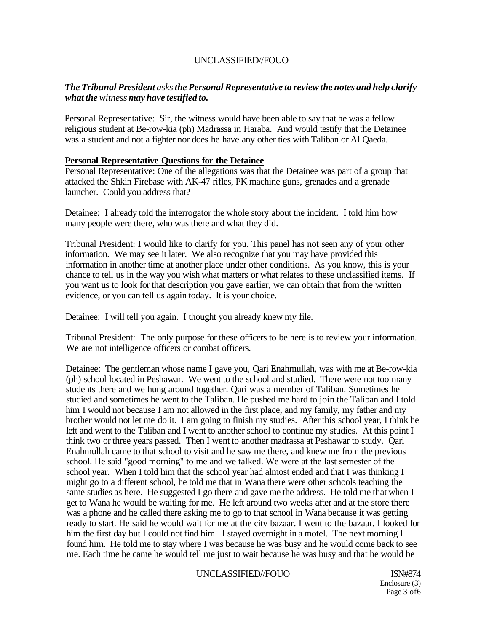## *The Tribunal President asks the Personal Representative to review the notes and help clarify what the witness may have testified to.*

Personal Representative: Sir, the witness would have been able to say that he was a fellow religious student at Be-row-kia (ph) Madrassa in Haraba. And would testify that the Detainee was a student and not a fighter nor does he have any other ties with Taliban or Al Qaeda.

### **Personal Representative Questions for the Detainee**

Personal Representative: One of the allegations was that the Detainee was part of a group that attacked the Shkin Firebase with AK-47 rifles, PK machine guns, grenades and a grenade launcher. Could you address that?

Detainee: I already told the interrogator the whole story about the incident. I told him how many people were there, who was there and what they did.

Tribunal President: I would like to clarify for you. This panel has not seen any of your other information. We may see it later. We also recognize that you may have provided this information in another time at another place under other conditions. As you know, this is your chance to tell us in the way you wish what matters or what relates to these unclassified items. If you want us to look for that description you gave earlier, we can obtain that from the written evidence, or you can tell us again today. It is your choice.

Detainee: I will tell you again. I thought you already knew my file.

Tribunal President: The only purpose for these officers to be here is to review your information. We are not intelligence officers or combat officers.

Detainee: The gentleman whose name I gave you, Qari Enahmullah, was with me at Be-row-kia (ph) school located in Peshawar. We went to the school and studied. There were not too many students there and we hung around together. Qari was a member of Taliban. Sometimes he studied and sometimes he went to the Taliban. He pushed me hard to join the Taliban and I told him I would not because I am not allowed in the first place, and my family, my father and my brother would not let me do it. I am going to finish my studies. After this school year, I think he left and went to the Taliban and I went to another school to continue my studies. At this point I think two or three years passed. Then I went to another madrassa at Peshawar to study. Qari Enahmullah came to that school to visit and he saw me there, and knew me from the previous school. He said "good morning" to me and we talked. We were at the last semester of the school year. When I told him that the school year had almost ended and that I was thinking I might go to a different school, he told me that in Wana there were other schools teaching the same studies as here. He suggested I go there and gave me the address. He told me that when I get to Wana he would be waiting for me. He left around two weeks after and at the store there was a phone and he called there asking me to go to that school in Wana because it was getting ready to start. He said he would wait for me at the city bazaar. I went to the bazaar. I looked for him the first day but I could not find him. I stayed overnight in a motel. The next morning I found him. He told me to stay where I was because he was busy and he would come back to see me. Each time he came he would tell me just to wait because he was busy and that he would be

### UNCLASSIFIED//FOUO ISN#874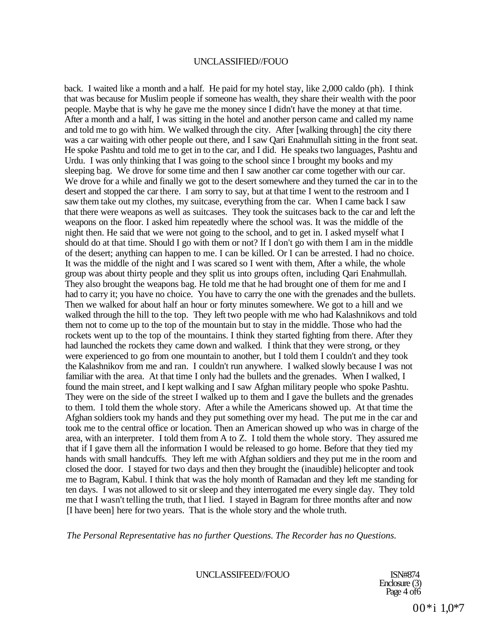back. I waited like a month and a half. He paid for my hotel stay, like 2,000 caldo (ph). I think that was because for Muslim people if someone has wealth, they share their wealth with the poor people. Maybe that is why he gave me the money since I didn't have the money at that time. After a month and a half, I was sitting in the hotel and another person came and called my name and told me to go with him. We walked through the city. After [walking through] the city there was a car waiting with other people out there, and I saw Qari Enahmullah sitting in the front seat. He spoke Pashtu and told me to get in to the car, and I did. He speaks two languages, Pashtu and Urdu. I was only thinking that I was going to the school since I brought my books and my sleeping bag. We drove for some time and then I saw another car come together with our car. We drove for a while and finally we got to the desert somewhere and they turned the car in to the desert and stopped the car there. I am sorry to say, but at that time I went to the restroom and I saw them take out my clothes, my suitcase, everything from the car. When I came back I saw that there were weapons as well as suitcases. They took the suitcases back to the car and left the weapons on the floor. I asked him repeatedly where the school was. It was the middle of the night then. He said that we were not going to the school, and to get in. I asked myself what I should do at that time. Should I go with them or not? If I don't go with them I am in the middle of the desert; anything can happen to me. I can be killed. Or I can be arrested. I had no choice. It was the middle of the night and I was scared so I went with them, After a while, the whole group was about thirty people and they split us into groups often, including Qari Enahmullah. They also brought the weapons bag. He told me that he had brought one of them for me and I had to carry it; you have no choice. You have to carry the one with the grenades and the bullets. Then we walked for about half an hour or forty minutes somewhere. We got to a hill and we walked through the hill to the top. They left two people with me who had Kalashnikovs and told them not to come up to the top of the mountain but to stay in the middle. Those who had the rockets went up to the top of the mountains. I think they started fighting from there. After they had launched the rockets they came down and walked. I think that they were strong, or they were experienced to go from one mountain to another, but I told them I couldn't and they took the Kalashnikov from me and ran. I couldn't run anywhere. I walked slowly because I was not familiar with the area. At that time I only had the bullets and the grenades. When I walked, I found the main street, and I kept walking and I saw Afghan military people who spoke Pashtu. They were on the side of the street I walked up to them and I gave the bullets and the grenades to them. I told them the whole story. After a while the Americans showed up. At that time the Afghan soldiers took my hands and they put something over my head. The put me in the car and took me to the central office or location. Then an American showed up who was in charge of the area, with an interpreter. I told them from A to Z. I told them the whole story. They assured me that if I gave them all the information I would be released to go home. Before that they tied my hands with small handcuffs. They left me with Afghan soldiers and they put me in the room and closed the door. I stayed for two days and then they brought the (inaudible) helicopter and took me to Bagram, Kabul. I think that was the holy month of Ramadan and they left me standing for ten days. I was not allowed to sit or sleep and they interrogated me every single day. They told me that I wasn't telling the truth, that I lied. I stayed in Bagram for three months after and now [I have been] here for two years. That is the whole story and the whole truth.

*The Personal Representative has no further Questions. The Recorder has no Questions.* 

UNCLASSIFEED//FOUO ISN#874

Enclosure (3) Page 4 of6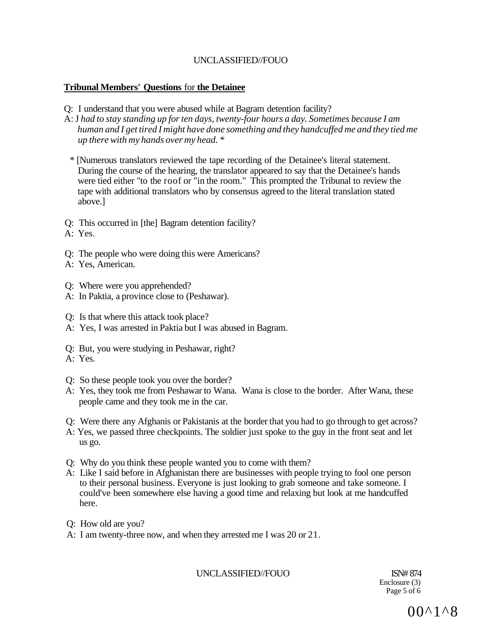### **Tribunal Members' Questions** for **the Detainee**

- Q: I understand that you were abused while at Bagram detention facility?
- A: J *had to stay standing up for ten days, twenty-four hours a day. Sometimes because I am human and I get tired I might have done something and they handcuffed me and they tied me up there with my hands over my head. \** 
	- *\** [Numerous translators reviewed the tape recording of the Detainee's literal statement. During the course of the hearing, the translator appeared to say that the Detainee's hands were tied either "to the roof or "in the room." This prompted the Tribunal to review the tape with additional translators who by consensus agreed to the literal translation stated above.]
- Q: This occurred in [the] Bagram detention facility?
- A: Yes.
- Q: The people who were doing this were Americans?
- A: Yes, American.
- Q: Where were you apprehended?
- A: In Paktia, a province close to (Peshawar).
- Q: Is that where this attack took place?
- A: Yes, I was arrested in Paktia but I was abused in Bagram.
- Q: But, you were studying in Peshawar, right?
- A: Yes.
- Q: So these people took you over the border?
- A: Yes, they took me from Peshawar to Wana. Wana is close to the border. After Wana, these people came and they took me in the car.
- Q: Were there any Afghanis or Pakistanis at the border that you had to go through to get across?
- A: Yes, we passed three checkpoints. The soldier just spoke to the guy in the front seat and let us go.
- Q: Why do you think these people wanted you to come with them?
- A: Like I said before in Afghanistan there are businesses with people trying to fool one person to their personal business. Everyone is just looking to grab someone and take someone. I could've been somewhere else having a good time and relaxing but look at me handcuffed here.
- Q: How old are you?
- A: I am twenty-three now, and when they arrested me I was 20 or 21.

UNCLASSIFIED//FOUO ISN# 874

Enclosure (3) Page 5 of 6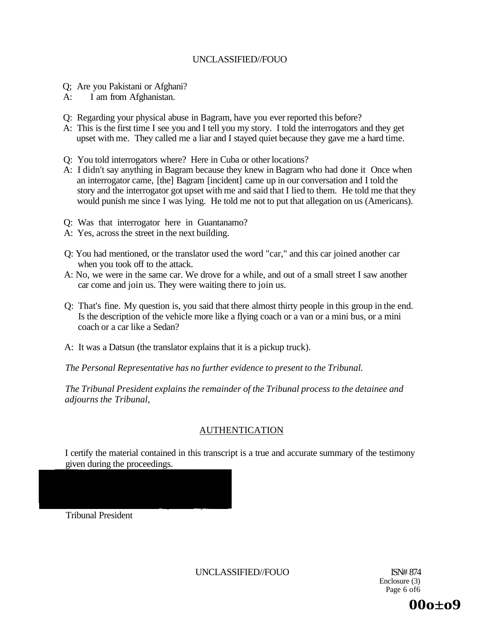- Q; Are you Pakistani or Afghani?
- A: I am from Afghanistan.
- Q: Regarding your physical abuse in Bagram, have you ever reported this before?
- A: This is the first time I see you and I tell you my story. I told the interrogators and they get upset with me. They called me a liar and I stayed quiet because they gave me a hard time.
- Q: You told interrogators where? Here in Cuba or other locations?
- A: I didn't say anything in Bagram because they knew in Bagram who had done it Once when an interrogator came, [the] Bagram [incident] came up in our conversation and I told the story and the interrogator got upset with me and said that I lied to them. He told me that they would punish me since I was lying. He told me not to put that allegation on us (Americans).
- Q: Was that interrogator here in Guantanamo?
- A: Yes, across the street in the next building.
- Q: You had mentioned, or the translator used the word "car," and this car joined another car when you took off to the attack.
- A: No, we were in the same car. We drove for a while, and out of a small street I saw another car come and join us. They were waiting there to join us.
- Q: That's fine. My question is, you said that there almost thirty people in this group in the end. Is the description of the vehicle more like a flying coach or a van or a mini bus, or a mini coach or a car like a Sedan?
- A: It was a Datsun (the translator explains that it is a pickup truck).

*The Personal Representative has no further evidence to present to the Tribunal.* 

*The Tribunal President explains the remainder of the Tribunal process to the detainee and adjourns the Tribunal,* 

### AUTHENTICATION

I certify the material contained in this transcript is a true and accurate summary of the testimony given during the proceedings.

Tribunal President

UNCLASSIFIED//FOUO ISN# 874

Enclosure (3) Page 6 of6

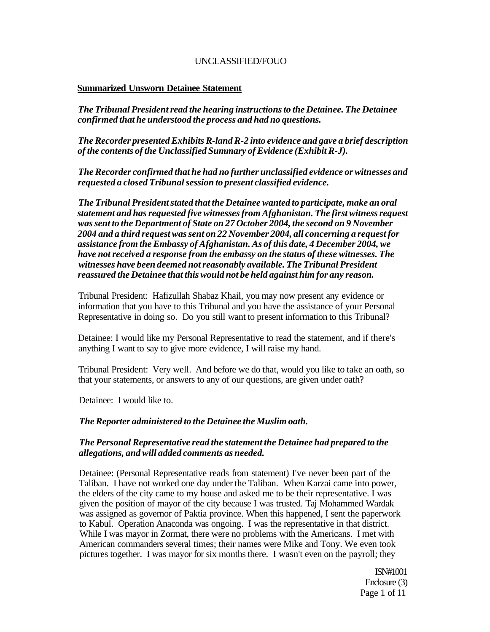### **Summarized Unsworn Detainee Statement**

*The Tribunal President read the hearing instructions to the Detainee. The Detainee confirmed that he understood the process and had no questions.* 

*The Recorder presented Exhibits R-land R-2 into evidence and gave a brief description of the contents of the Unclassified Summary of Evidence (Exhibit R-J).* 

*The Recorder confirmed that he had no further unclassified evidence or witnesses and requested a closed Tribunal session to present classified evidence.* 

*The Tribunal President stated that the Detainee wanted to participate, make an oral statement and has requested five witnesses from Afghanistan. The first witness request was sent to the Department of State on 27 October 2004, the second on 9 November 2004 and a third request was sent on 22 November 2004, all concerning a request for assistance from the Embassy of Afghanistan. As of this date, 4 December 2004, we have not received a response from the embassy on the status of these witnesses. The witnesses have been deemed not reasonably available. The Tribunal President reassured the Detainee that this would not be held against him for any reason.* 

Tribunal President: Hafizullah Shabaz Khail, you may now present any evidence or information that you have to this Tribunal and you have the assistance of your Personal Representative in doing so. Do you still want to present information to this Tribunal?

Detainee: I would like my Personal Representative to read the statement, and if there's anything I want to say to give more evidence, I will raise my hand.

Tribunal President: Very well. And before we do that, would you like to take an oath, so that your statements, or answers to any of our questions, are given under oath?

Detainee: I would like to.

#### *The Reporter administered to the Detainee the Muslim oath.*

#### *The Personal Representative read the statement the Detainee had prepared to the allegations, and will added comments as needed.*

Detainee: (Personal Representative reads from statement) I've never been part of the Taliban. I have not worked one day under the Taliban. When Karzai came into power, the elders of the city came to my house and asked me to be their representative. I was given the position of mayor of the city because I was trusted. Taj Mohammed Wardak was assigned as governor of Paktia province. When this happened, I sent the paperwork to Kabul. Operation Anaconda was ongoing. I was the representative in that district. While I was mayor in Zormat, there were no problems with the Americans. I met with American commanders several times; their names were Mike and Tony. We even took pictures together. I was mayor for six months there. I wasn't even on the payroll; they

> ISN#1001 Enclosure (3) Page 1 of 11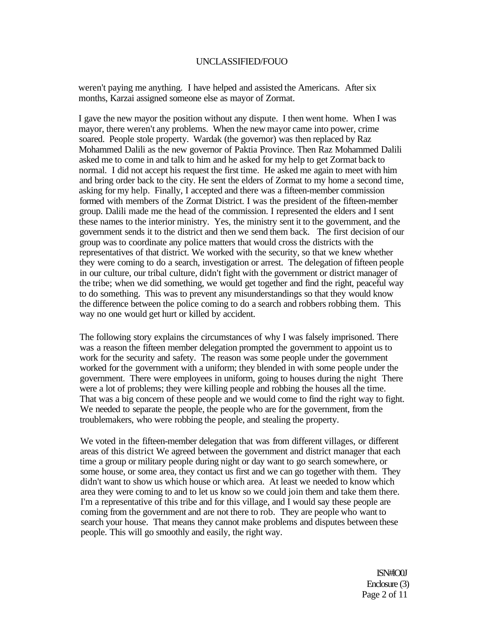weren't paying me anything. I have helped and assisted the Americans. After six months, Karzai assigned someone else as mayor of Zormat.

I gave the new mayor the position without any dispute. I then went home. When I was mayor, there weren't any problems. When the new mayor came into power, crime soared. People stole property. Wardak (the governor) was then replaced by Raz Mohammed Dalili as the new governor of Paktia Province. Then Raz Mohammed Dalili asked me to come in and talk to him and he asked for my help to get Zormat back to normal. I did not accept his request the first time. He asked me again to meet with him and bring order back to the city. He sent the elders of Zormat to my home a second time, asking for my help. Finally, I accepted and there was a fifteen-member commission formed with members of the Zormat District. I was the president of the fifteen-member group. Dalili made me the head of the commission. I represented the elders and I sent these names to the interior ministry. Yes, the ministry sent it to the government, and the government sends it to the district and then we send them back. The first decision of our group was to coordinate any police matters that would cross the districts with the representatives of that district. We worked with the security, so that we knew whether they were coming to do a search, investigation or arrest. The delegation of fifteen people in our culture, our tribal culture, didn't fight with the government or district manager of the tribe; when we did something, we would get together and find the right, peaceful way to do something. This was to prevent any misunderstandings so that they would know the difference between the police coming to do a search and robbers robbing them. This way no one would get hurt or killed by accident.

The following story explains the circumstances of why I was falsely imprisoned. There was a reason the fifteen member delegation prompted the government to appoint us to work for the security and safety. The reason was some people under the government worked for the government with a uniform; they blended in with some people under the government. There were employees in uniform, going to houses during the night There were a lot of problems; they were killing people and robbing the houses all the time. That was a big concern of these people and we would come to find the right way to fight. We needed to separate the people, the people who are for the government, from the troublemakers, who were robbing the people, and stealing the property.

We voted in the fifteen-member delegation that was from different villages, or different areas of this district We agreed between the government and district manager that each time a group or military people during night or day want to go search somewhere, or some house, or some area, they contact us first and we can go together with them. They didn't want to show us which house or which area. At least we needed to know which area they were coming to and to let us know so we could join them and take them there. I'm a representative of this tribe and for this village, and I would say these people are coming from the government and are not there to rob. They are people who want to search your house. That means they cannot make problems and disputes between these people. This will go smoothly and easily, the right way.

> ISN#lO0J Enclosure (3) Page 2 of 11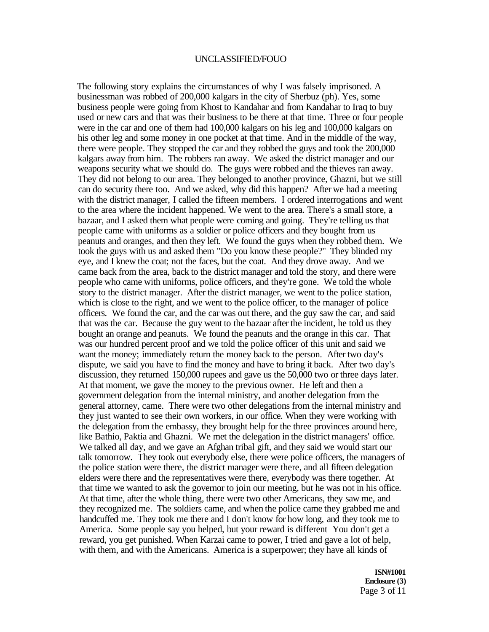The following story explains the circumstances of why I was falsely imprisoned. A businessman was robbed of 200,000 kalgars in the city of Sherbuz (ph). Yes, some business people were going from Khost to Kandahar and from Kandahar to Iraq to buy used or new cars and that was their business to be there at that time. Three or four people were in the car and one of them had 100,000 kalgars on his leg and 100,000 kalgars on his other leg and some money in one pocket at that time. And in the middle of the way, there were people. They stopped the car and they robbed the guys and took the 200,000 kalgars away from him. The robbers ran away. We asked the district manager and our weapons security what we should do. The guys were robbed and the thieves ran away. They did not belong to our area. They belonged to another province, Ghazni, but we still can do security there too. And we asked, why did this happen? After we had a meeting with the district manager, I called the fifteen members. I ordered interrogations and went to the area where the incident happened. We went to the area. There's a small store, a bazaar, and I asked them what people were coming and going. They're telling us that people came with uniforms as a soldier or police officers and they bought from us peanuts and oranges, and then they left. We found the guys when they robbed them. We took the guys with us and asked them "Do you know these people?" They blinded my eye, and I knew the coat; not the faces, but the coat. And they drove away. And we came back from the area, back to the district manager and told the story, and there were people who came with uniforms, police officers, and they're gone. We told the whole story to the district manager. After the district manager, we went to the police station, which is close to the right, and we went to the police officer, to the manager of police officers. We found the car, and the car was out there, and the guy saw the car, and said that was the car. Because the guy went to the bazaar after the incident, he told us they bought an orange and peanuts. We found the peanuts and the orange in this car. That was our hundred percent proof and we told the police officer of this unit and said we want the money; immediately return the money back to the person. After two day's dispute, we said you have to find the money and have to bring it back. After two day's discussion, they returned 150,000 rupees and gave us the 50,000 two or three days later. At that moment, we gave the money to the previous owner. He left and then a government delegation from the internal ministry, and another delegation from the general attorney, came. There were two other delegations from the internal ministry and they just wanted to see their own workers, in our office. When they were working with the delegation from the embassy, they brought help for the three provinces around here, like Bathio, Paktia and Ghazni. We met the delegation in the district managers' office. We talked all day, and we gave an Afghan tribal gift, and they said we would start our talk tomorrow. They took out everybody else, there were police officers, the managers of the police station were there, the district manager were there, and all fifteen delegation elders were there and the representatives were there, everybody was there together. At that time we wanted to ask the governor to join our meeting, but he was not in his office. At that time, after the whole thing, there were two other Americans, they saw me, and they recognized me. The soldiers came, and when the police came they grabbed me and handcuffed me. They took me there and I don't know for how long, and they took me to America. Some people say you helped, but your reward is different You don't get a reward, you get punished. When Karzai came to power, I tried and gave a lot of help, with them, and with the Americans. America is a superpower; they have all kinds of

> **ISN#1001 Enclosure (3)**  Page 3 of 11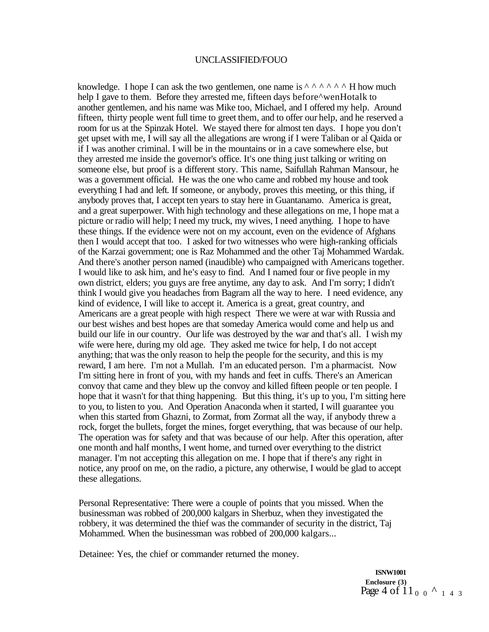knowledge. I hope I can ask the two gentlemen, one name is  $\wedge \wedge \wedge \wedge \wedge \wedge$  H how much help I gave to them. Before they arrested me, fifteen days before^wenHotalk to another gentlemen, and his name was Mike too, Michael, and I offered my help. Around fifteen, thirty people went full time to greet them, and to offer our help, and he reserved a room for us at the Spinzak Hotel. We stayed there for almost ten days. I hope you don't get upset with me, I will say all the allegations are wrong if I were Taliban or al Qaida or if I was another criminal. I will be in the mountains or in a cave somewhere else, but they arrested me inside the governor's office. It's one thing just talking or writing on someone else, but proof is a different story. This name, Saifullah Rahman Mansour, he was a government official. He was the one who came and robbed my house and took everything I had and left. If someone, or anybody, proves this meeting, or this thing, if anybody proves that, I accept ten years to stay here in Guantanamo. America is great, and a great superpower. With high technology and these allegations on me, I hope mat a picture or radio will help; I need my truck, my wives, I need anything. I hope to have these things. If the evidence were not on my account, even on the evidence of Afghans then I would accept that too. I asked for two witnesses who were high-ranking officials of the Karzai government; one is Raz Mohammed and the other Taj Mohammed Wardak. And there's another person named (inaudible) who campaigned with Americans together. I would like to ask him, and he's easy to find. And I named four or five people in my own district, elders; you guys are free anytime, any day to ask. And I'm sorry; I didn't think I would give you headaches from Bagram all the way to here. I need evidence, any kind of evidence, I will like to accept it. America is a great, great country, and Americans are a great people with high respect There we were at war with Russia and our best wishes and best hopes are that someday America would come and help us and build our life in our country. Our life was destroyed by the war and that's all. I wish my wife were here, during my old age. They asked me twice for help, I do not accept anything; that was the only reason to help the people for the security, and this is my reward, I am here. I'm not a Mullah. I'm an educated person. I'm a pharmacist. Now I'm sitting here in front of you, with my hands and feet in cuffs. There's an American convoy that came and they blew up the convoy and killed fifteen people or ten people. I hope that it wasn't for that thing happening. But this thing, it's up to you, I'm sitting here to you, to listen to you. And Operation Anaconda when it started, I will guarantee you when this started from Ghazni, to Zormat, from Zormat all the way, if anybody threw a rock, forget the bullets, forget the mines, forget everything, that was because of our help. The operation was for safety and that was because of our help. After this operation, after one month and half months, I went home, and turned over everything to the district manager. I'm not accepting this allegation on me. I hope that if there's any right in notice, any proof on me, on the radio, a picture, any otherwise, I would be glad to accept these allegations.

Personal Representative: There were a couple of points that you missed. When the businessman was robbed of 200,000 kalgars in Sherbuz, when they investigated the robbery, it was determined the thief was the commander of security in the district, Taj Mohammed. When the businessman was robbed of 200,000 kalgars...

Detainee: Yes, the chief or commander returned the money.

**ISNW1001 Enclosure (3)**  Page 4 of 11<sub>0</sub> 0<sup> $\lambda$ </sup> 1 4 3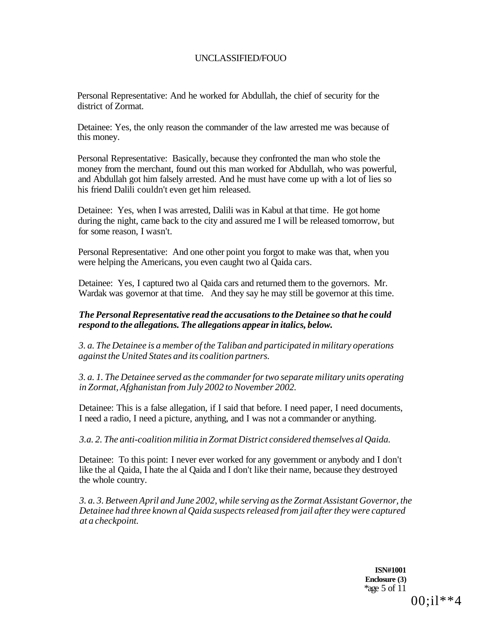Personal Representative: And he worked for Abdullah, the chief of security for the district of Zormat.

Detainee: Yes, the only reason the commander of the law arrested me was because of this money.

Personal Representative: Basically, because they confronted the man who stole the money from the merchant, found out this man worked for Abdullah, who was powerful, and Abdullah got him falsely arrested. And he must have come up with a lot of lies so his friend Dalili couldn't even get him released.

Detainee: Yes, when I was arrested, Dalili was in Kabul at that time. He got home during the night, came back to the city and assured me I will be released tomorrow, but for some reason, I wasn't.

Personal Representative: And one other point you forgot to make was that, when you were helping the Americans, you even caught two al Qaida cars.

Detainee: Yes, I captured two al Qaida cars and returned them to the governors. Mr. Wardak was governor at that time. And they say he may still be governor at this time.

### *The Personal Representative read the accusations to the Detainee so that he could respond to the allegations. The allegations appear in italics, below.*

*3. a. The Detainee is a member of the Taliban and participated in military operations against the United States and its coalition partners.* 

*3. a. 1. The Detainee served as the commander for two separate military units operating in Zormat, Afghanistan from July 2002 to November 2002.* 

Detainee: This is a false allegation, if I said that before. I need paper, I need documents, I need a radio, I need a picture, anything, and I was not a commander or anything.

*3.a. 2. The anti-coalition militia in Zormat District considered themselves al Qaida.* 

Detainee: To this point: I never ever worked for any government or anybody and I don't like the al Qaida, I hate the al Qaida and I don't like their name, because they destroyed the whole country.

*3. a. 3. Between April and June 2002, while serving as the Zormat Assistant Governor, the Detainee had three known al Qaida suspects released from jail after they were captured at a checkpoint.* 

> **ISN#1001 Enclosure (3)**  \*age 5 of 11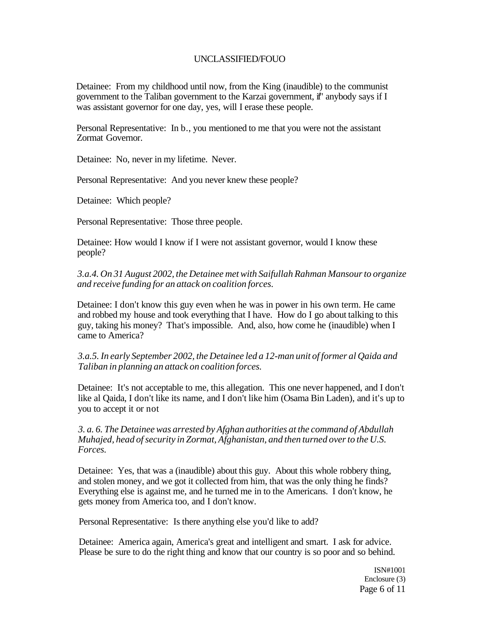Detainee: From my childhood until now, from the King (inaudible) to the communist government to the Taliban government to the Karzai government, if" anybody says if I was assistant governor for one day, yes, will I erase these people.

Personal Representative: In b., you mentioned to me that you were not the assistant Zormat Governor.

Detainee: No, never in my lifetime. Never.

Personal Representative: And you never knew these people?

Detainee: Which people?

Personal Representative: Those three people.

Detainee: How would I know if I were not assistant governor, would I know these people?

*3.a.4. On 31 August 2002, the Detainee met with Saifullah Rahman Mansour to organize and receive funding for an attack on coalition forces.* 

Detainee: I don't know this guy even when he was in power in his own term. He came and robbed my house and took everything that I have. How do I go about talking to this guy, taking his money? That's impossible. And, also, how come he (inaudible) when I came to America?

*3.a.5. In early September 2002, the Detainee led a 12-man unit of former al Qaida and Taliban in planning an attack on coalition forces.* 

Detainee: It's not acceptable to me, this allegation. This one never happened, and I don't like al Qaida, I don't like its name, and I don't like him (Osama Bin Laden), and it's up to you to accept it or not

*3. a. 6. The Detainee was arrested by Afghan authorities at the command of Abdullah Muhajed, head of security in Zormat, Afghanistan, and then turned over to the U.S. Forces.* 

Detainee: Yes, that was a (inaudible) about this guy. About this whole robbery thing, and stolen money, and we got it collected from him, that was the only thing he finds? Everything else is against me, and he turned me in to the Americans. I don't know, he gets money from America too, and I don't know.

Personal Representative: Is there anything else you'd like to add?

Detainee: America again, America's great and intelligent and smart. I ask for advice. Please be sure to do the right thing and know that our country is so poor and so behind.

> ISN#1001 Enclosure (3) Page 6 of 11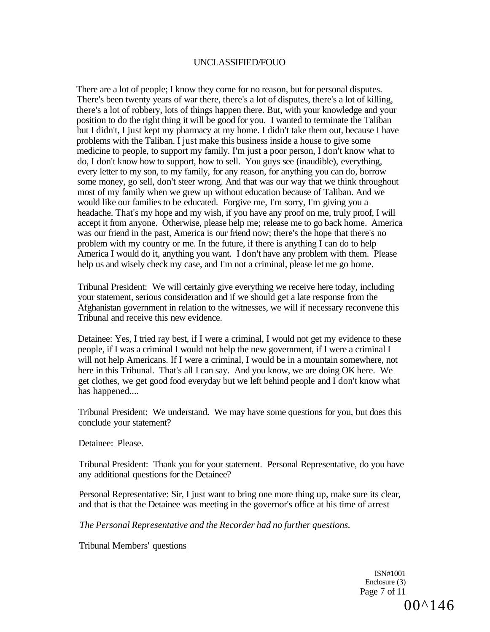There are a lot of people; I know they come for no reason, but for personal disputes. There's been twenty years of war there, there's a lot of disputes, there's a lot of killing, there's a lot of robbery, lots of things happen there. But, with your knowledge and your position to do the right thing it will be good for you. I wanted to terminate the Taliban but I didn't, I just kept my pharmacy at my home. I didn't take them out, because I have problems with the Taliban. I just make this business inside a house to give some medicine to people, to support my family. I'm just a poor person, I don't know what to do, I don't know how to support, how to sell. You guys see (inaudible), everything, every letter to my son, to my family, for any reason, for anything you can do, borrow some money, go sell, don't steer wrong. And that was our way that we think throughout most of my family when we grew up without education because of Taliban. And we would like our families to be educated. Forgive me, I'm sorry, I'm giving you a headache. That's my hope and my wish, if you have any proof on me, truly proof, I will accept it from anyone. Otherwise, please help me; release me to go back home. America was our friend in the past, America is our friend now; there's the hope that there's no problem with my country or me. In the future, if there is anything I can do to help America I would do it, anything you want. I don't have any problem with them. Please help us and wisely check my case, and I'm not a criminal, please let me go home.

Tribunal President: We will certainly give everything we receive here today, including your statement, serious consideration and if we should get a late response from the Afghanistan government in relation to the witnesses, we will if necessary reconvene this Tribunal and receive this new evidence.

Detainee: Yes, I tried ray best, if I were a criminal, I would not get my evidence to these people, if I was a criminal I would not help the new government, if I were a criminal I will not help Americans. If I were a criminal, I would be in a mountain somewhere, not here in this Tribunal. That's all I can say. And you know, we are doing OK here. We get clothes, we get good food everyday but we left behind people and I don't know what has happened....

Tribunal President: We understand. We may have some questions for you, but does this conclude your statement?

Detainee: Please.

Tribunal President: Thank you for your statement. Personal Representative, do you have any additional questions for the Detainee?

Personal Representative: Sir, I just want to bring one more thing up, make sure its clear, and that is that the Detainee was meeting in the governor's office at his time of arrest

*The Personal Representative and the Recorder had no further questions.* 

Tribunal Members' questions

ISN#1001 Enclosure (3) Page 7 of 11 00^146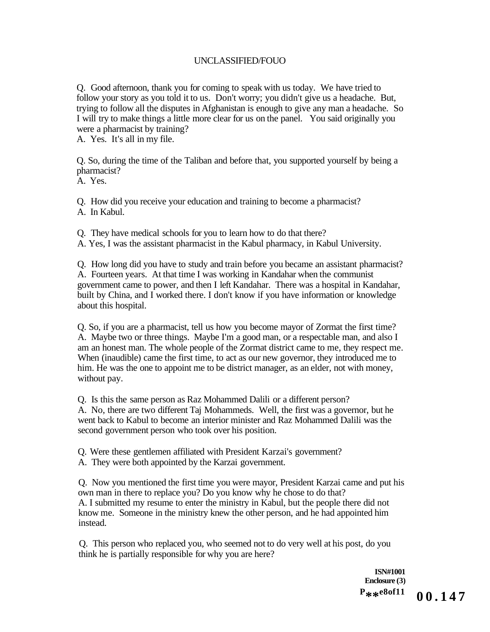Q. Good afternoon, thank you for coming to speak with us today. We have tried to follow your story as you told it to us. Don't worry; you didn't give us a headache. But, trying to follow all the disputes in Afghanistan is enough to give any man a headache. So I will try to make things a little more clear for us on the panel. You said originally you were a pharmacist by training?

A. Yes. It's all in my file.

Q. So, during the time of the Taliban and before that, you supported yourself by being a pharmacist?

A. Yes.

Q. How did you receive your education and training to become a pharmacist? A. In Kabul.

Q. They have medical schools for you to learn how to do that there?

A. Yes, I was the assistant pharmacist in the Kabul pharmacy, in Kabul University.

Q. How long did you have to study and train before you became an assistant pharmacist? A. Fourteen years. At that time I was working in Kandahar when the communist government came to power, and then I left Kandahar. There was a hospital in Kandahar, built by China, and I worked there. I don't know if you have information or knowledge about this hospital.

Q. So, if you are a pharmacist, tell us how you become mayor of Zormat the first time? A. Maybe two or three things. Maybe I'm a good man, or a respectable man, and also I am an honest man. The whole people of the Zormat district came to me, they respect me. When (inaudible) came the first time, to act as our new governor, they introduced me to him. He was the one to appoint me to be district manager, as an elder, not with money, without pay.

Q. Is this the same person as Raz Mohammed Dalili or a different person?

A. No, there are two different Taj Mohammeds. Well, the first was a governor, but he went back to Kabul to become an interior minister and Raz Mohammed Dalili was the second government person who took over his position.

Q. Were these gentlemen affiliated with President Karzai's government?

A. They were both appointed by the Karzai government.

Q. Now you mentioned the first time you were mayor, President Karzai came and put his own man in there to replace you? Do you know why he chose to do that? A. I submitted my resume to enter the ministry in Kabul, but the people there did not know me. Someone in the ministry knew the other person, and he had appointed him instead.

Q. This person who replaced you, who seemed not to do very well at his post, do you think he is partially responsible for why you are here?

> **ISN#1001 Enclosure (3) P \*\*e8of11**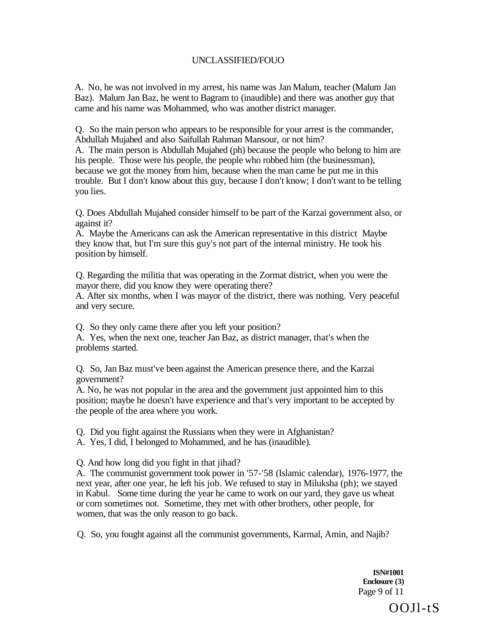A. No, he was not involved in my arrest, his name was Jan Malum, teacher (Malum Jan Baz). Malum Jan Baz, he went to Bagram to (inaudible) and there was another guy that came and his name was Mohammed, who was another district manager.

Q. So the main person who appears to be responsible for your arrest is the commander, Abdullah Mujahed and also Saifullah Rahman Mansour, or not him?

A. The main person is Abdullah Mujahed (ph) because the people who belong to him are his people. Those were his people, the people who robbed him (the businessman), because we got the money from him, because when the man came he put me in this trouble. But I don't know about this guy, because I don't know; I don't want to be telling you lies.

Q. Does Abdullah Mujahed consider himself to be part of the Karzai government also, or against it?

A. Maybe the Americans can ask the American representative in this district Maybe they know that, but I'm sure this guy's not part of the internal ministry. He took his position by himself.

Q. Regarding the militia that was operating in the Zormat district, when you were the mayor there, did you know they were operating there?

A. After six months, when I was mayor of the district, there was nothing. Very peaceful and very secure.

Q. So they only came there after you left your position?

A. Yes, when the next one, teacher Jan Baz, as district manager, that's when the problems started.

Q. So, Jan Baz must've been against the American presence there, and the Karzai government?

A. No, he was not popular in the area and the government just appointed him to this position; maybe he doesn't have experience and that's very important to be accepted by the people of the area where you work.

Q. Did you fight against the Russians when they were in Afghanistan?

A. Yes, I did, I belonged to Mohammed, and he has (inaudible).

Q. And how long did you fight in that jihad?

A. The communist government took power in '57-'58 (Islamic calendar), 1976-1977, the next year, after one year, he left his job. We refused to stay in Miluksha (ph); we stayed in Kabul. Some time during the year he came to work on our yard, they gave us wheat or corn sometimes not. Sometime, they met with other brothers, other people, for women, that was the only reason to go back.

Q. So, you fought against all the communist governments, Karmal, Amin, and Najib?

**ISN#1001 Enclosure (3)**  Page 9 of 11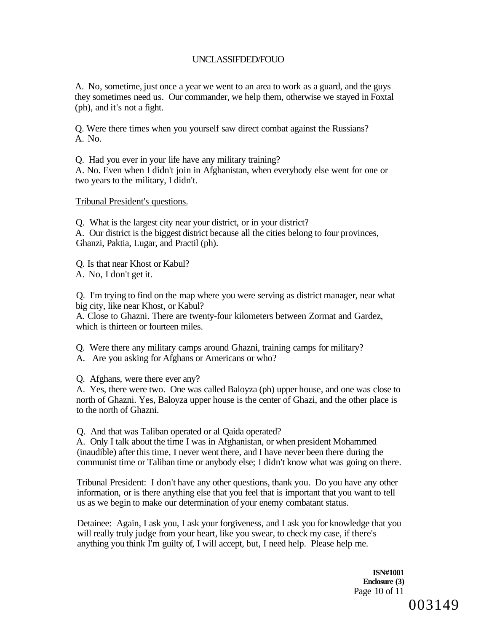A. No, sometime, just once a year we went to an area to work as a guard, and the guys they sometimes need us. Our commander, we help them, otherwise we stayed in Foxtal (ph), and it's not a fight.

Q. Were there times when you yourself saw direct combat against the Russians? A. No.

Q. Had you ever in your life have any military training? A. No. Even when I didn't join in Afghanistan, when everybody else went for one or two years to the military, I didn't.

#### Tribunal President's questions.

Q. What is the largest city near your district, or in your district? A. Our district is the biggest district because all the cities belong to four provinces, Ghanzi, Paktia, Lugar, and Practil (ph).

Q. Is that near Khost or Kabul? A. No, I don't get it.

Q. I'm trying to find on the map where you were serving as district manager, near what big city, like near Khost, or Kabul?

A. Close to Ghazni. There are twenty-four kilometers between Zormat and Gardez, which is thirteen or fourteen miles.

Q. Were there any military camps around Ghazni, training camps for military?

A. Are you asking for Afghans or Americans or who?

Q. Afghans, were there ever any?

A. Yes, there were two. One was called Baloyza (ph) upper house, and one was close to north of Ghazni. Yes, Baloyza upper house is the center of Ghazi, and the other place is to the north of Ghazni.

Q. And that was Taliban operated or al Qaida operated?

A. Only I talk about the time I was in Afghanistan, or when president Mohammed (inaudible) after this time, I never went there, and I have never been there during the communist time or Taliban time or anybody else; I didn't know what was going on there.

Tribunal President: I don't have any other questions, thank you. Do you have any other information, or is there anything else that you feel that is important that you want to tell us as we begin to make our determination of your enemy combatant status.

Detainee: Again, I ask you, I ask your forgiveness, and I ask you for knowledge that you will really truly judge from your heart, like you swear, to check my case, if there's anything you think I'm guilty of, I will accept, but, I need help. Please help me.

> **ISN#1001 Enclosure (3)**  Page 10 of 11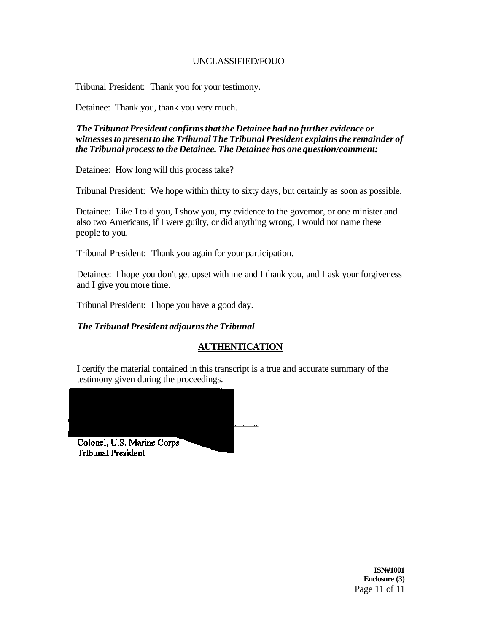Tribunal President: Thank you for your testimony.

Detainee: Thank you, thank you very much.

*The Tribunat President confirms that the Detainee had no further evidence or witnesses to present to the Tribunal The Tribunal President explains the remainder of the Tribunal process to the Detainee. The Detainee has one question/comment:* 

Detainee: How long will this process take?

Tribunal President: We hope within thirty to sixty days, but certainly as soon as possible.

Detainee: Like I told you, I show you, my evidence to the governor, or one minister and also two Americans, if I were guilty, or did anything wrong, I would not name these people to you.

Tribunal President: Thank you again for your participation.

Detainee: I hope you don't get upset with me and I thank you, and I ask your forgiveness and I give you more time.

Tribunal President: I hope you have a good day.

### *The Tribunal President adjourns the Tribunal*

## **AUTHENTICATION**

I certify the material contained in this transcript is a true and accurate summary of the testimony given during the proceedings.



**Tribunal President** 

**ISN#1001 Enclosure (3)**  Page 11 of 11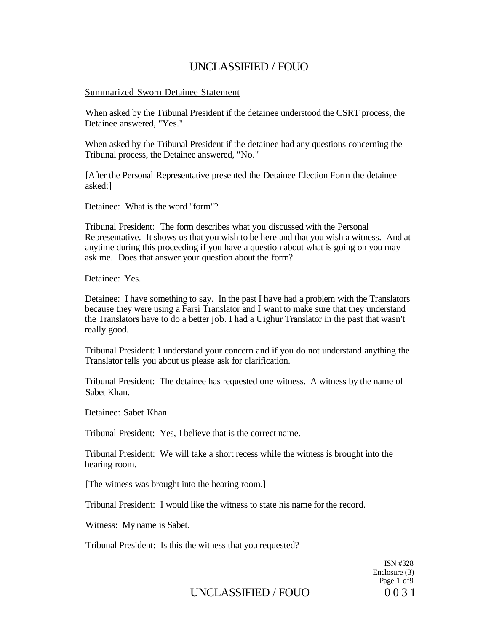### Summarized Sworn Detainee Statement

When asked by the Tribunal President if the detainee understood the CSRT process, the Detainee answered, "Yes."

When asked by the Tribunal President if the detainee had any questions concerning the Tribunal process, the Detainee answered, "No."

[After the Personal Representative presented the Detainee Election Form the detainee asked:]

Detainee: What is the word "form"?

Tribunal President: The form describes what you discussed with the Personal Representative. It shows us that you wish to be here and that you wish a witness. And at anytime during this proceeding if you have a question about what is going on you may ask me. Does that answer your question about the form?

Detainee: Yes.

Detainee: I have something to say. In the past I have had a problem with the Translators because they were using a Farsi Translator and I want to make sure that they understand the Translators have to do a better job. I had a Uighur Translator in the past that wasn't really good.

Tribunal President: I understand your concern and if you do not understand anything the Translator tells you about us please ask for clarification.

Tribunal President: The detainee has requested one witness. A witness by the name of Sabet Khan.

Detainee: Sabet Khan.

Tribunal President: Yes, I believe that is the correct name.

Tribunal President: We will take a short recess while the witness is brought into the hearing room.

[The witness was brought into the hearing room.]

Tribunal President: I would like the witness to state his name for the record.

Witness: My name is Sabet.

Tribunal President: Is this the witness that you requested?

ISN #328 Enclosure (3) Page 1 of9

# UNCLASSIFIED / FOUO 0031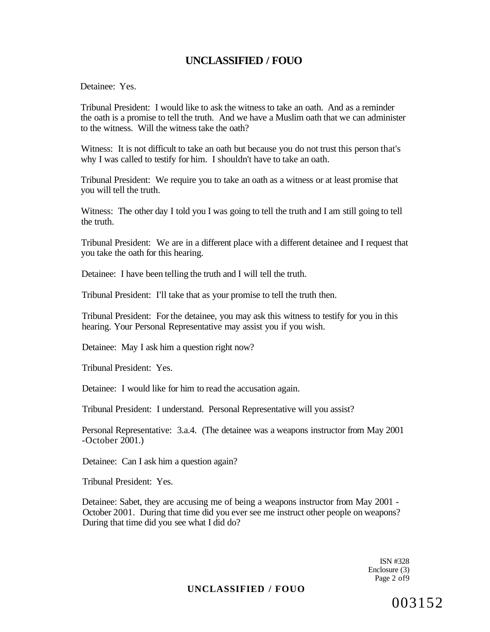Detainee: Yes.

Tribunal President: I would like to ask the witness to take an oath. And as a reminder the oath is a promise to tell the truth. And we have a Muslim oath that we can administer to the witness. Will the witness take the oath?

Witness: It is not difficult to take an oath but because you do not trust this person that's why I was called to testify for him. I shouldn't have to take an oath.

Tribunal President: We require you to take an oath as a witness or at least promise that you will tell the truth.

Witness: The other day I told you I was going to tell the truth and I am still going to tell the truth.

Tribunal President: We are in a different place with a different detainee and I request that you take the oath for this hearing.

Detainee: I have been telling the truth and I will tell the truth.

Tribunal President: I'll take that as your promise to tell the truth then.

Tribunal President: For the detainee, you may ask this witness to testify for you in this hearing. Your Personal Representative may assist you if you wish.

Detainee: May I ask him a question right now?

Tribunal President: Yes.

Detainee: I would like for him to read the accusation again.

Tribunal President: I understand. Personal Representative will you assist?

Personal Representative: 3.a.4. (The detainee was a weapons instructor from May 2001  $-$ October 2001.)

Detainee: Can I ask him a question again?

Tribunal President: Yes.

Detainee: Sabet, they are accusing me of being a weapons instructor from May 2001 - October 2001. During that time did you ever see me instruct other people on weapons? During that time did you see what I did do?

> ISN #328 Enclosure (3) Page 2 of 9

### **UNCLASSIFIED / FOUO**

003152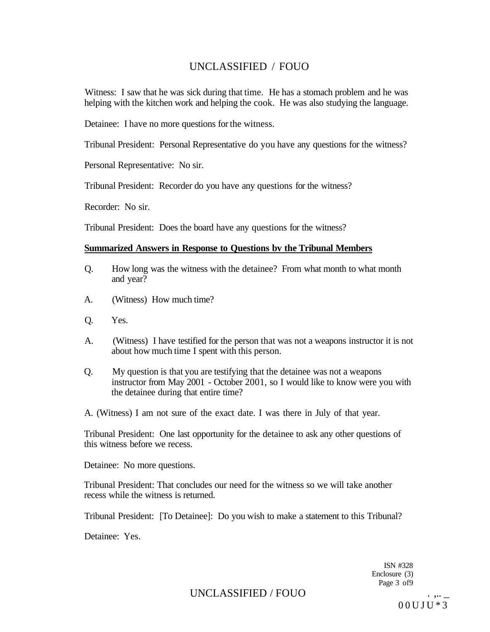Witness: I saw that he was sick during that time. He has a stomach problem and he was helping with the kitchen work and helping the cook. He was also studying the language.

Detainee: I have no more questions for the witness.

Tribunal President: Personal Representative do you have any questions for the witness?

Personal Representative: No sir.

Tribunal President: Recorder do you have any questions for the witness?

Recorder: No sir.

Tribunal President: Does the board have any questions for the witness?

### **Summarized Answers in Response to Questions bv the Tribunal Members**

- Q. How long was the witness with the detainee? From what month to what month and year?
- A. (Witness) How much time?
- Q. Yes.
- A. (Witness) I have testified for the person that was not a weapons instructor it is not about how much time I spent with this person.
- Q. My question is that you are testifying that the detainee was not a weapons instructor from May 2001 - October 2001, so I would like to know were you with the detainee during that entire time?

A. (Witness) I am not sure of the exact date. I was there in July of that year.

Tribunal President: One last opportunity for the detainee to ask any other questions of this witness before we recess.

Detainee: No more questions.

Tribunal President: That concludes our need for the witness so we will take another recess while the witness is returned.

Tribunal President: [To Detainee]: Do you wish to make a statement to this Tribunal?

Detainee: Yes.

ISN #328 Enclosure (3) Page 3 of 9

UNCLASSIFIED / FOUO

00UJU\* 3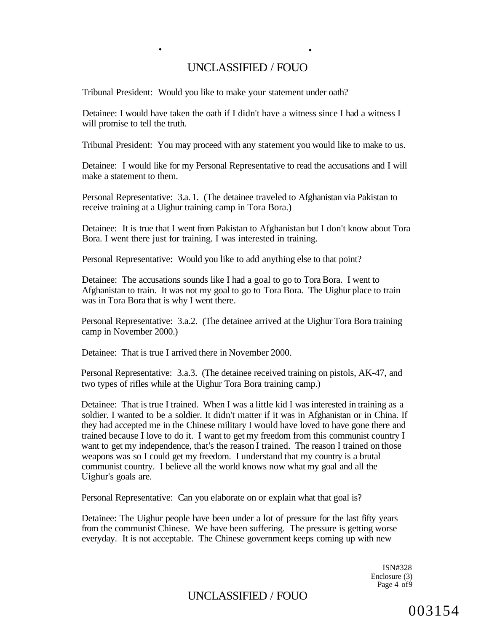**• •** 

Tribunal President: Would you like to make your statement under oath?

Detainee: I would have taken the oath if I didn't have a witness since I had a witness I will promise to tell the truth.

Tribunal President: You may proceed with any statement you would like to make to us.

Detainee: I would like for my Personal Representative to read the accusations and I will make a statement to them.

Personal Representative: 3.a. 1. (The detainee traveled to Afghanistan via Pakistan to receive training at a Uighur training camp in Tora Bora.)

Detainee: It is true that I went from Pakistan to Afghanistan but I don't know about Tora Bora. I went there just for training. I was interested in training.

Personal Representative: Would you like to add anything else to that point?

Detainee: The accusations sounds like I had a goal to go to Tora Bora. I went to Afghanistan to train. It was not my goal to go to Tora Bora. The Uighur place to train was in Tora Bora that is why I went there.

Personal Representative: 3.a.2. (The detainee arrived at the Uighur Tora Bora training camp in November 2000.)

Detainee: That is true I arrived there in November 2000.

Personal Representative: 3.a.3. (The detainee received training on pistols, AK-47, and two types of rifles while at the Uighur Tora Bora training camp.)

Detainee: That is true I trained. When I was a little kid I was interested in training as a soldier. I wanted to be a soldier. It didn't matter if it was in Afghanistan or in China. If they had accepted me in the Chinese military I would have loved to have gone there and trained because I love to do it. I want to get my freedom from this communist country I want to get my independence, that's the reason I trained. The reason I trained on those weapons was so I could get my freedom. I understand that my country is a brutal communist country. I believe all the world knows now what my goal and all the Uighur's goals are.

Personal Representative: Can you elaborate on or explain what that goal is?

Detainee: The Uighur people have been under a lot of pressure for the last fifty years from the communist Chinese. We have been suffering. The pressure is getting worse everyday. It is not acceptable. The Chinese government keeps coming up with new

> ISN#328 Enclosure (3) Page 4 of 9

# UNCLASSIFIED / FOUO

003154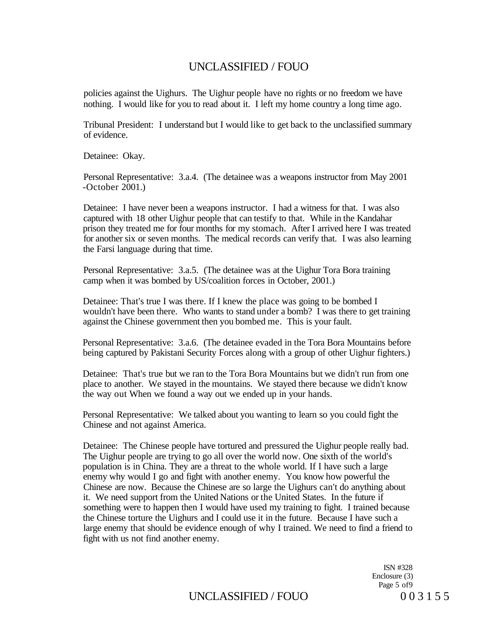policies against the Uighurs. The Uighur people have no rights or no freedom we have nothing. I would like for you to read about it. I left my home country a long time ago.

Tribunal President: I understand but I would like to get back to the unclassified summary of evidence.

Detainee: Okay.

Personal Representative: 3.a.4. (The detainee was a weapons instructor from May 2001  $-$ October  $2001$ .)

Detainee: I have never been a weapons instructor. I had a witness for that. I was also captured with 18 other Uighur people that can testify to that. While in the Kandahar prison they treated me for four months for my stomach. After I arrived here I was treated for another six or seven months. The medical records can verify that. I was also learning the Farsi language during that time.

Personal Representative: 3.a.5. (The detainee was at the Uighur Tora Bora training camp when it was bombed by US/coalition forces in October, 2001.)

Detainee: That's true I was there. If I knew the place was going to be bombed I wouldn't have been there. Who wants to stand under a bomb? I was there to get training against the Chinese government then you bombed me. This is your fault.

Personal Representative: 3.a.6. (The detainee evaded in the Tora Bora Mountains before being captured by Pakistani Security Forces along with a group of other Uighur fighters.)

Detainee: That's true but we ran to the Tora Bora Mountains but we didn't run from one place to another. We stayed in the mountains. We stayed there because we didn't know the way out When we found a way out we ended up in your hands.

Personal Representative: We talked about you wanting to learn so you could fight the Chinese and not against America.

Detainee: The Chinese people have tortured and pressured the Uighur people really bad. The Uighur people are trying to go all over the world now. One sixth of the world's population is in China. They are a threat to the whole world. If I have such a large enemy why would I go and fight with another enemy. You know how powerful the Chinese are now. Because the Chinese are so large the Uighurs can't do anything about it. We need support from the United Nations or the United States. In the future if something were to happen then I would have used my training to fight. I trained because the Chinese torture the Uighurs and I could use it in the future. Because I have such a large enemy that should be evidence enough of why I trained. We need to find a friend to fight with us not find another enemy.

> ISN #328 Enclosure (3) Page 5 of9

# UNCLASSIFIED / FOUO  $0.3155$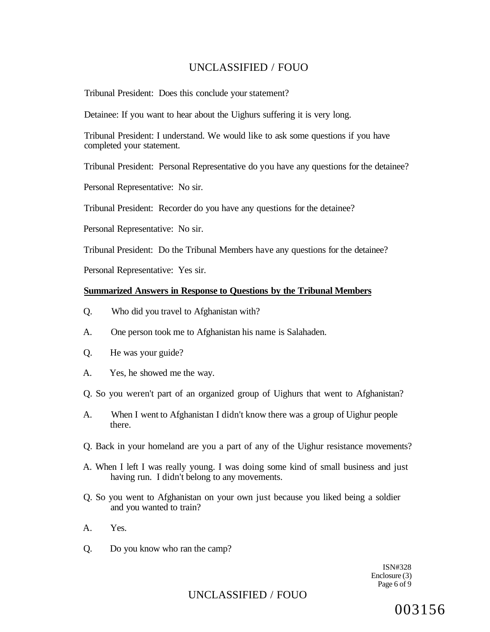Tribunal President: Does this conclude your statement?

Detainee: If you want to hear about the Uighurs suffering it is very long.

Tribunal President: I understand. We would like to ask some questions if you have completed your statement.

Tribunal President: Personal Representative do you have any questions for the detainee?

Personal Representative: No sir.

Tribunal President: Recorder do you have any questions for the detainee?

Personal Representative: No sir.

Tribunal President: Do the Tribunal Members have any questions for the detainee?

Personal Representative: Yes sir.

### **Summarized Answers in Response to Questions by the Tribunal Members**

- Q. Who did you travel to Afghanistan with?
- A. One person took me to Afghanistan his name is Salahaden.
- Q. He was your guide?
- A. Yes, he showed me the way.
- Q. So you weren't part of an organized group of Uighurs that went to Afghanistan?
- A. When I went to Afghanistan I didn't know there was a group of Uighur people there.
- Q. Back in your homeland are you a part of any of the Uighur resistance movements?
- A. When I left I was really young. I was doing some kind of small business and just having run. I didn't belong to any movements.
- Q. So you went to Afghanistan on your own just because you liked being a soldier and you wanted to train?
- A. Yes.
- Q. Do you know who ran the camp?

ISN#328 Enclosure (3) Page 6 of 9

# UNCLASSIFIED / FOUO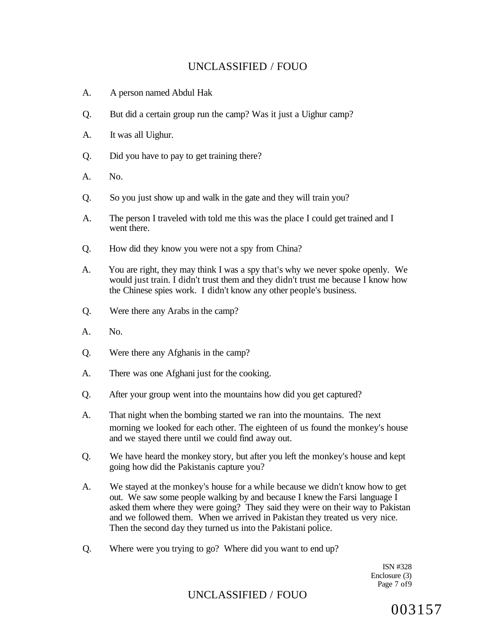- A. A person named Abdul Hak
- Q. But did a certain group run the camp? Was it just a Uighur camp?
- A. It was all Uighur.
- Q. Did you have to pay to get training there?
- A. No.
- Q. So you just show up and walk in the gate and they will train you?
- A. The person I traveled with told me this was the place I could get trained and I went there.
- Q. How did they know you were not a spy from China?
- A. You are right, they may think I was a spy that's why we never spoke openly. We would just train. I didn't trust them and they didn't trust me because I know how the Chinese spies work. I didn't know any other people's business.
- Q. Were there any Arabs in the camp?
- A. No.
- Q. Were there any Afghanis in the camp?
- A. There was one Afghani just for the cooking.
- Q. After your group went into the mountains how did you get captured?
- A. That night when the bombing started we ran into the mountains. The next morning we looked for each other. The eighteen of us found the monkey's house and we stayed there until we could find away out.
- Q. We have heard the monkey story, but after you left the monkey's house and kept going how did the Pakistanis capture you?
- A. We stayed at the monkey's house for a while because we didn't know how to get out. We saw some people walking by and because I knew the Farsi language I asked them where they were going? They said they were on their way to Pakistan and we followed them. When we arrived in Pakistan they treated us very nice. Then the second day they turned us into the Pakistani police.
- Q. Where were you trying to go? Where did you want to end up?

ISN #328 Enclosure (3) Page 7 of9

## UNCLASSIFIED / FOUO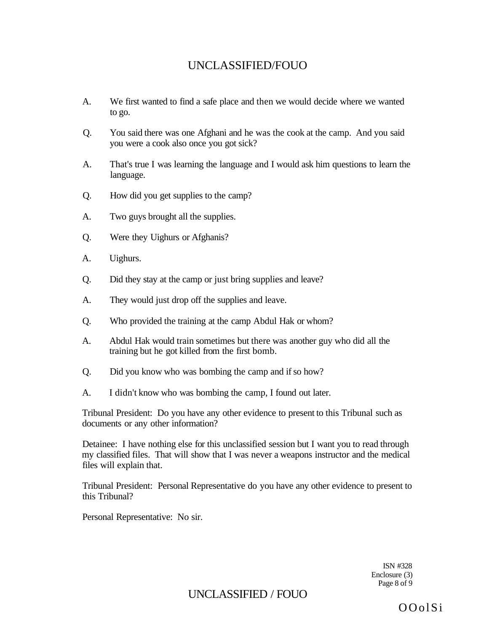- A. We first wanted to find a safe place and then we would decide where we wanted to go.
- Q. You said there was one Afghani and he was the cook at the camp. And you said you were a cook also once you got sick?
- A. That's true I was learning the language and I would ask him questions to learn the language.
- Q. How did you get supplies to the camp?
- A. Two guys brought all the supplies.
- Q. Were they Uighurs or Afghanis?
- A. Uighurs.
- Q. Did they stay at the camp or just bring supplies and leave?
- A. They would just drop off the supplies and leave.
- Q. Who provided the training at the camp Abdul Hak or whom?
- A. Abdul Hak would train sometimes but there was another guy who did all the training but he got killed from the first bomb.
- Q. Did you know who was bombing the camp and if so how?
- A. I didn't know who was bombing the camp, I found out later.

Tribunal President: Do you have any other evidence to present to this Tribunal such as documents or any other information?

Detainee: I have nothing else for this unclassified session but I want you to read through my classified files. That will show that I was never a weapons instructor and the medical files will explain that.

Tribunal President: Personal Representative do you have any other evidence to present to this Tribunal?

Personal Representative: No sir.

ISN #328 Enclosure (3) Page 8 of 9

UNCLASSIFIED / FOUO

OOolSi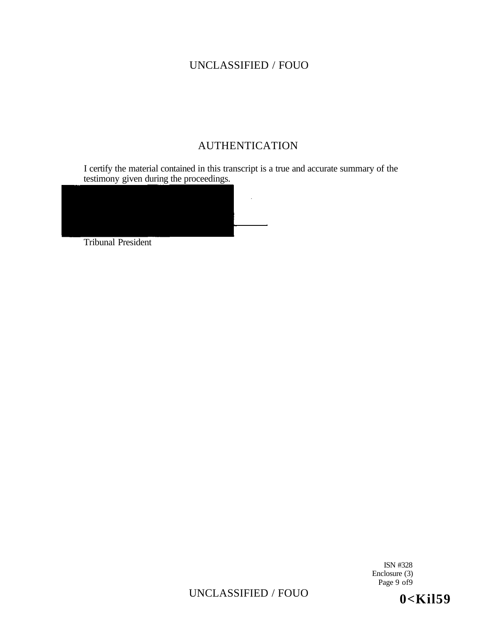# AUTHENTICATION

I certify the material contained in this transcript is a true and accurate summary of the testimony given during the proceedings.



Tribunal President

ISN #328 Enclosure (3) Page 9 of9

UNCLASSIFIED / FOUO

**0<Kil59**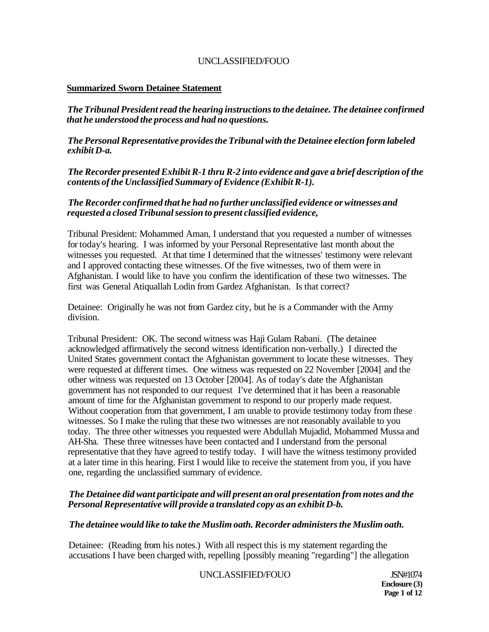## **Summarized Sworn Detainee Statement**

*The Tribunal President read the hearing instructions to the detainee. The detainee confirmed that he understood the process and had no questions.* 

*The Personal Representative provides the Tribunal with the Detainee election form labeled exhibit D-a.* 

*The Recorder presented Exhibit R-1 thru R-2 into evidence and gave a brief description of the contents of the Unclassified Summary of Evidence (Exhibit R-1).* 

### *The Recorder confirmed that he had no further unclassified evidence or witnesses and requested a closed Tribunal session to present classified evidence,*

Tribunal President: Mohammed Aman, I understand that you requested a number of witnesses for today's hearing. I was informed by your Personal Representative last month about the witnesses you requested. At that time I determined that the witnesses' testimony were relevant and I approved contacting these witnesses. Of the five witnesses, two of them were in Afghanistan. I would like to have you confirm the identification of these two witnesses. The first was General Atiquallah Lodin from Gardez Afghanistan. Is that correct?

Detainee: Originally he was not from Gardez city, but he is a Commander with the Army division.

Tribunal President: OK. The second witness was Haji Gulam Rabani. (The detainee acknowledged affirmatively the second witness identification non-verbally.) I directed the United States government contact the Afghanistan government to locate these witnesses. They were requested at different times. One witness was requested on 22 November [2004] and the other witness was requested on 13 October [2004]. As of today's date the Afghanistan government has not responded to our request I've determined that it has been a reasonable amount of time for the Afghanistan government to respond to our properly made request. Without cooperation from that government, I am unable to provide testimony today from these witnesses. So I make the ruling that these two witnesses are not reasonably available to you today. The three other witnesses you requested were Abdullah Mujadid, Mohammed Mussa and AH-Sha. These three witnesses have been contacted and I understand from the personal representative that they have agreed to testify today. I will have the witness testimony provided at a later time in this hearing. First I would like to receive the statement from you, if you have one, regarding the unclassified summary of evidence.

## *The Detainee did want participate and will present an oral presentation from notes and the Personal Representative will provide a translated copy as an exhibit D-b.*

### *The detainee would like to take the Muslim oath. Recorder administers the Muslim oath.*

Detainee: (Reading from his notes.) With all respect this is my statement regarding the accusations I have been charged with, repelling [possibly meaning "regarding"] the allegation

UNCLASSIFIED/FOUO JSN#1074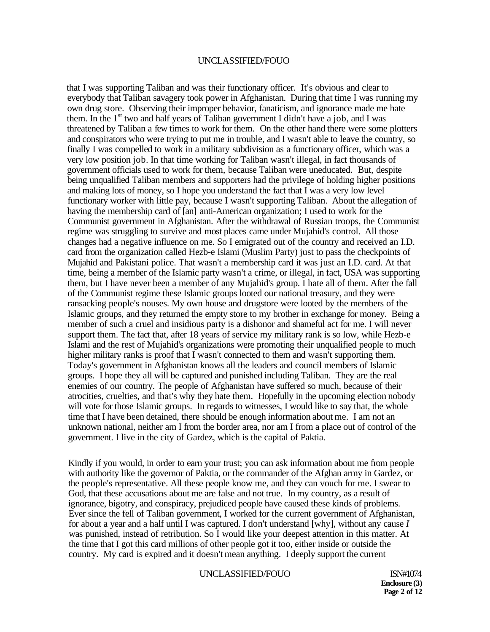that I was supporting Taliban and was their functionary officer. It's obvious and clear to everybody that Taliban savagery took power in Afghanistan. During that time I was running my own drug store. Observing their improper behavior, fanaticism, and ignorance made me hate them. In the  $1<sup>st</sup>$  two and half years of Taliban government I didn't have a job, and I was threatened by Taliban a few times to work for them. On the other hand there were some plotters and conspirators who were trying to put me in trouble, and I wasn't able to leave the country, so finally I was compelled to work in a military subdivision as a functionary officer, which was a very low position job. In that time working for Taliban wasn't illegal, in fact thousands of government officials used to work for them, because Taliban were uneducated. But, despite being unqualified Taliban members and supporters had the privilege of holding higher positions and making lots of money, so I hope you understand the fact that I was a very low level functionary worker with little pay, because I wasn't supporting Taliban. About the allegation of having the membership card of [an] anti-American organization; I used to work for the Communist government in Afghanistan. After the withdrawal of Russian troops, the Communist regime was struggling to survive and most places came under Mujahid's control. All those changes had a negative influence on me. So I emigrated out of the country and received an I.D. card from the organization called Hezb-e Islami (Muslim Party) just to pass the checkpoints of Mujahid and Pakistani police. That wasn't a membership card it was just an I.D. card. At that time, being a member of the Islamic party wasn't a crime, or illegal, in fact, USA was supporting them, but I have never been a member of any Mujahid's group. I hate all of them. After the fall of the Communist regime these Islamic groups looted our national treasury, and they were ransacking people's nouses. My own house and drugstore were looted by the members of the Islamic groups, and they returned the empty store to my brother in exchange for money. Being a member of such a cruel and insidious party is a dishonor and shameful act for me. I will never support them. The fact that, after 18 years of service my military rank is so low, while Hezb-e Islami and the rest of Mujahid's organizations were promoting their unqualified people to much higher military ranks is proof that I wasn't connected to them and wasn't supporting them. Today's government in Afghanistan knows all the leaders and council members of Islamic groups. I hope they all will be captured and punished including Taliban. They are the real enemies of our country. The people of Afghanistan have suffered so much, because of their atrocities, cruelties, and that's why they hate them. Hopefully in the upcoming election nobody will vote for those Islamic groups. In regards to witnesses, I would like to say that, the whole time that I have been detained, there should be enough information about me. I am not an unknown national, neither am I from the border area, nor am I from a place out of control of the government. I live in the city of Gardez, which is the capital of Paktia.

Kindly if you would, in order to earn your trust; you can ask information about me from people with authority like the governor of Paktia, or the commander of the Afghan army in Gardez, or the people's representative. All these people know me, and they can vouch for me. I swear to God, that these accusations about me are false and not true. In my country, as a result of ignorance, bigotry, and conspiracy, prejudiced people have caused these kinds of problems. Ever since the fell of Taliban government, I worked for the current government of Afghanistan, for about a year and a half until I was captured. I don't understand [why], without any cause *I*  was punished, instead of retribution. So I would like your deepest attention in this matter. At the time that I got this card millions of other people got it too, either inside or outside the country. My card is expired and it doesn't mean anything. I deeply support the current

#### UNCLASSIFIED/FOUO ISN#1074

**Enclosure (3) Page 2 of 12**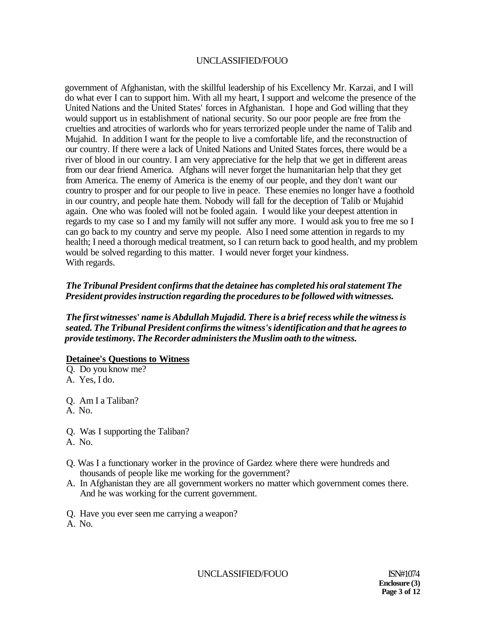government of Afghanistan, with the skillful leadership of his Excellency Mr. Karzai, and I will do what ever I can to support him. With all my heart, I support and welcome the presence of the United Nations and the United States' forces in Afghanistan. I hope and God willing that they would support us in establishment of national security. So our poor people are free from the cruelties and atrocities of warlords who for years terrorized people under the name of Talib and Mujahid. In addition I want for the people to live a comfortable life, and the reconstruction of our country. If there were a lack of United Nations and United States forces, there would be a river of blood in our country. I am very appreciative for the help that we get in different areas from our dear friend America. Afghans will never forget the humanitarian help that they get from America. The enemy of America is the enemy of our people, and they don't want our country to prosper and for our people to live in peace. These enemies no longer have a foothold in our country, and people hate them. Nobody will fall for the deception of Talib or Mujahid again. One who was fooled will not be fooled again. I would like your deepest attention in regards to my case so I and my family will not suffer any more. I would ask you to free me so I can go back to my country and serve my people. Also I need some attention in regards to my health; I need a thorough medical treatment, so I can return back to good health, and my problem would be solved regarding to this matter. I would never forget your kindness. With regards.

## *The Tribunal President confirms that the detainee has completed his oral statement The President provides instruction regarding the procedures to be followed with witnesses.*

*The first witnesses***'** *name is Abdullah Mujadid. There is a brief recess while the witness is seated. The Tribunal President confirms the witness's identification and that he agrees to provide testimony. The Recorder administers the Muslim oath to the witness.* 

### **Detainee's Questions to Witness**

Q. Do you know me? A. Yes, I do.

Q. Am I a Taliban?

A. No.

Q. Was I supporting the Taliban?

- A. No.
- Q. Was I a functionary worker in the province of Gardez where there were hundreds and thousands of people like me working for the government?
- A. In Afghanistan they are all government workers no matter which government comes there. And he was working for the current government.
- Q. Have you ever seen me carrying a weapon?
- A. No.

UNCLASSIFIED/FOUO ISN#1074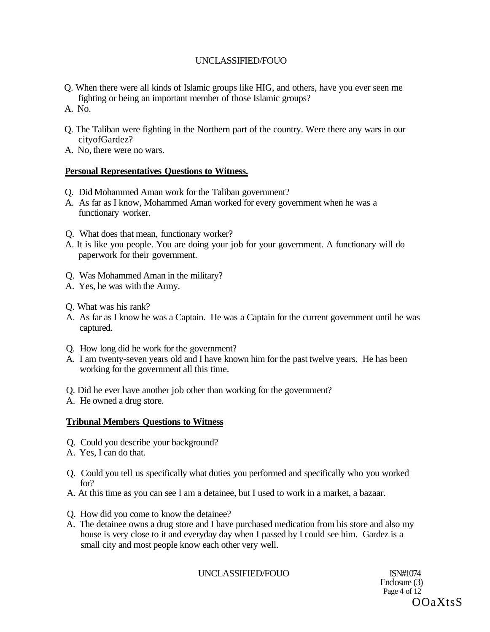- Q. When there were all kinds of Islamic groups like HIG, and others, have you ever seen me fighting or being an important member of those Islamic groups?
- A. No.
- Q. The Taliban were fighting in the Northern part of the country. Were there any wars in our cityofGardez?
- A. No, there were no wars.

## **Personal Representatives Questions to Witness.**

- Q. Did Mohammed Aman work for the Taliban government?
- A. As far as I know, Mohammed Aman worked for every government when he was a functionary worker.
- Q. What does that mean, functionary worker?
- A. It is like you people. You are doing your job for your government. A functionary will do paperwork for their government.
- Q. Was Mohammed Aman in the military?
- A. Yes, he was with the Army.
- Q. What was his rank?
- A. As far as I know he was a Captain. He was a Captain for the current government until he was captured.
- Q. How long did he work for the government?
- A. I am twenty-seven years old and I have known him for the past twelve years. He has been working for the government all this time.
- Q. Did he ever have another job other than working for the government?
- A. He owned a drug store.

## **Tribunal Members Questions to Witness**

- Q. Could you describe your background?
- A. Yes, I can do that.
- Q. Could you tell us specifically what duties you performed and specifically who you worked for?
- A. At this time as you can see I am a detainee, but I used to work in a market, a bazaar.
- Q. How did you come to know the detainee?
- A. The detainee owns a drug store and I have purchased medication from his store and also my house is very close to it and everyday day when I passed by I could see him. Gardez is a small city and most people know each other very well.

UNCLASSIFIED/FOUO ISN#1074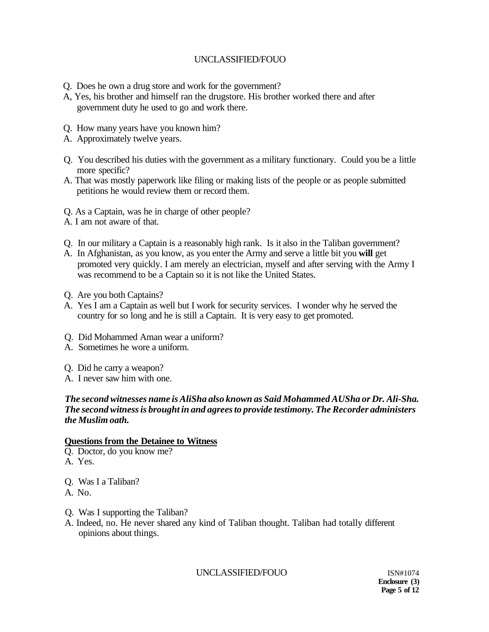- Q. Does he own a drug store and work for the government?
- A, Yes, his brother and himself ran the drugstore. His brother worked there and after government duty he used to go and work there.
- Q. How many years have you known him?
- A. Approximately twelve years.
- Q. You described his duties with the government as a military functionary. Could you be a little more specific?
- A. That was mostly paperwork like filing or making lists of the people or as people submitted petitions he would review them or record them.
- Q. As a Captain, was he in charge of other people?
- A. I am not aware of that.
- Q. In our military a Captain is a reasonably high rank. Is it also in the Taliban government?
- A. In Afghanistan, as you know, as you enter the Army and serve a little bit you **will** get promoted very quickly. I am merely an electrician, myself and after serving with the Army I was recommend to be a Captain so it is not like the United States.
- Q. Are you both Captains?
- A. Yes I am a Captain as well but I work for security services. I wonder why he served the country for so long and he is still a Captain. It is very easy to get promoted.
- Q. Did Mohammed Aman wear a uniform?
- A. Sometimes he wore a uniform.
- Q. Did he carry a weapon?
- A. I never saw him with one.

### *The second witnesses name is AliSha also known as Said Mohammed AUSha or Dr. Ali-Sha. The second witness is brought in and agrees to provide testimony. The Recorder administers the Muslim oath.*

### **Questions from the Detainee to Witness**

- Q. Doctor, do you know me?
- A. Yes.
- Q. Was I a Taliban?
- A. No.
- Q. Was I supporting the Taliban?
- A. Indeed, no. He never shared any kind of Taliban thought. Taliban had totally different opinions about things.

UNCLASSIFIED/FOUO ISN#1074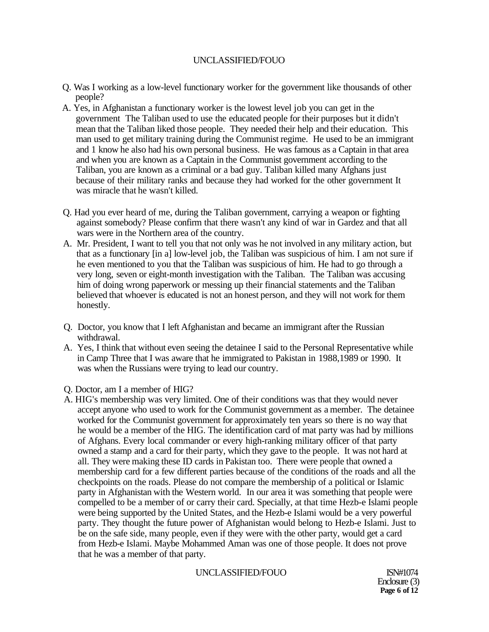- Q. Was I working as a low-level functionary worker for the government like thousands of other people?
- A. Yes, in Afghanistan a functionary worker is the lowest level job you can get in the government The Taliban used to use the educated people for their purposes but it didn't mean that the Taliban liked those people. They needed their help and their education. This man used to get military training during the Communist regime. He used to be an immigrant and 1 know he also had his own personal business. He was famous as a Captain in that area and when you are known as a Captain in the Communist government according to the Taliban, you are known as a criminal or a bad guy. Taliban killed many Afghans just because of their military ranks and because they had worked for the other government It was miracle that he wasn't killed.
- Q. Had you ever heard of me, during the Taliban government, carrying a weapon or fighting against somebody? Please confirm that there wasn't any kind of war in Gardez and that all wars were in the Northern area of the country.
- A. Mr. President, I want to tell you that not only was he not involved in any military action, but that as a functionary [in a] low-level job, the Taliban was suspicious of him. I am not sure if he even mentioned to you that the Taliban was suspicious of him. He had to go through a very long, seven or eight-month investigation with the Taliban. The Taliban was accusing him of doing wrong paperwork or messing up their financial statements and the Taliban believed that whoever is educated is not an honest person, and they will not work for them honestly.
- Q. Doctor, you know that I left Afghanistan and became an immigrant after the Russian withdrawal.
- A. Yes, I think that without even seeing the detainee I said to the Personal Representative while in Camp Three that I was aware that he immigrated to Pakistan in 1988,1989 or 1990. It was when the Russians were trying to lead our country.
- Q. Doctor, am I a member of HIG?
- A. HIG's membership was very limited. One of their conditions was that they would never accept anyone who used to work for the Communist government as a member. The detainee worked for the Communist government for approximately ten years so there is no way that he would be a member of the HIG. The identification card of mat party was had by millions of Afghans. Every local commander or every high-ranking military officer of that party owned a stamp and a card for their party, which they gave to the people. It was not hard at all. They were making these ID cards in Pakistan too. There were people that owned a membership card for a few different parties because of the conditions of the roads and all the checkpoints on the roads. Please do not compare the membership of a political or Islamic party in Afghanistan with the Western world. In our area it was something that people were compelled to be a member of or carry their card. Specially, at that time Hezb-e Islami people were being supported by the United States, and the Hezb-e Islami would be a very powerful party. They thought the future power of Afghanistan would belong to Hezb-e Islami. Just to be on the safe side, many people, even if they were with the other party, would get a card from Hezb-e Islami. Maybe Mohammed Aman was one of those people. It does not prove that he was a member of that party.

UNCLASSIFIED/FOUO ISN#1074

Enclosure (3) **Page 6 of 12**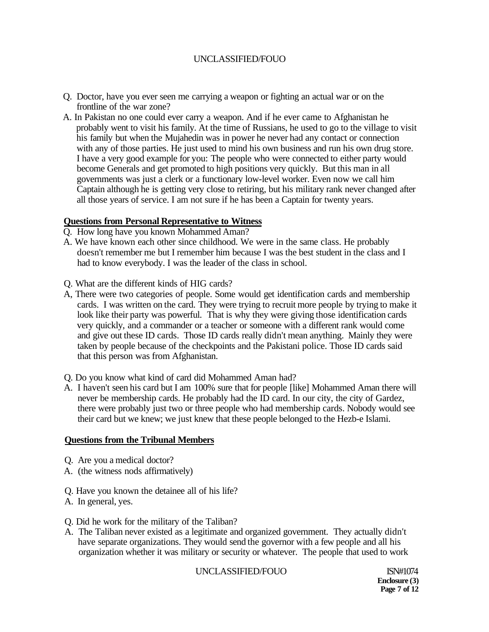- Q. Doctor, have you ever seen me carrying a weapon or fighting an actual war or on the frontline of the war zone?
- A. In Pakistan no one could ever carry a weapon. And if he ever came to Afghanistan he probably went to visit his family. At the time of Russians, he used to go to the village to visit his family but when the Mujahedin was in power he never had any contact or connection with any of those parties. He just used to mind his own business and run his own drug store. I have a very good example for you: The people who were connected to either party would become Generals and get promoted to high positions very quickly. But this man in all governments was just a clerk or a functionary low-level worker. Even now we call him Captain although he is getting very close to retiring, but his military rank never changed after all those years of service. I am not sure if he has been a Captain for twenty years.

### **Questions from Personal Representative to Witness**

- Q. How long have you known Mohammed Aman?
- A. We have known each other since childhood. We were in the same class. He probably doesn't remember me but I remember him because I was the best student in the class and I had to know everybody. I was the leader of the class in school.
- Q. What are the different kinds of HIG cards?
- A, There were two categories of people. Some would get identification cards and membership cards. I was written on the card. They were trying to recruit more people by trying to make it look like their party was powerful. That is why they were giving those identification cards very quickly, and a commander or a teacher or someone with a different rank would come and give out these ID cards. Those ID cards really didn't mean anything. Mainly they were taken by people because of the checkpoints and the Pakistani police. Those ID cards said that this person was from Afghanistan.
- Q. Do you know what kind of card did Mohammed Aman had?
- A. I haven't seen his card but I am 100% sure that for people [like] Mohammed Aman there will never be membership cards. He probably had the ID card. In our city, the city of Gardez, there were probably just two or three people who had membership cards. Nobody would see their card but we knew; we just knew that these people belonged to the Hezb-e Islami.

### **Questions from the Tribunal Members**

- Q. Are you a medical doctor?
- A. (the witness nods affirmatively)
- Q. Have you known the detainee all of his life?
- A. In general, yes.
- Q. Did he work for the military of the Taliban?
- A. The Taliban never existed as a legitimate and organized government. They actually didn't have separate organizations. They would send the governor with a few people and all his organization whether it was military or security or whatever. The people that used to work

### UNCLASSIFIED/FOUO ISN#1074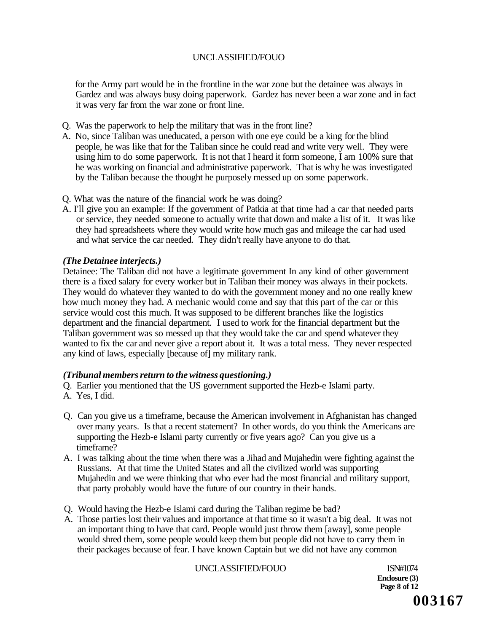for the Army part would be in the frontline in the war zone but the detainee was always in Gardez and was always busy doing paperwork. Gardez has never been a war zone and in fact it was very far from the war zone or front line.

- Q. Was the paperwork to help the military that was in the front line?
- A. No, since Taliban was uneducated, a person with one eye could be a king for the blind people, he was like that for the Taliban since he could read and write very well. They were using him to do some paperwork. It is not that I heard it form someone, I am 100% sure that he was working on financial and administrative paperwork. That is why he was investigated by the Taliban because the thought he purposely messed up on some paperwork.
- Q. What was the nature of the financial work he was doing?
- A. I'll give you an example: If the government of Patkia at that time had a car that needed parts or service, they needed someone to actually write that down and make a list of it. It was like they had spreadsheets where they would write how much gas and mileage the car had used and what service the car needed. They didn't really have anyone to do that.

### *(The Detainee interjects.)*

Detainee: The Taliban did not have a legitimate government In any kind of other government there is a fixed salary for every worker but in Taliban their money was always in their pockets. They would do whatever they wanted to do with the government money and no one really knew how much money they had. A mechanic would come and say that this part of the car or this service would cost this much. It was supposed to be different branches like the logistics department and the financial department. I used to work for the financial department but the Taliban government was so messed up that they would take the car and spend whatever they wanted to fix the car and never give a report about it. It was a total mess. They never respected any kind of laws, especially [because of] my military rank.

### *(Tribunal members return to the witness questioning.)*

Q. Earlier you mentioned that the US government supported the Hezb-e Islami party.

- A. Yes, I did.
- Q. Can you give us a timeframe, because the American involvement in Afghanistan has changed over many years. Is that a recent statement? In other words, do you think the Americans are supporting the Hezb-e Islami party currently or five years ago? Can you give us a timeframe?
- A. I was talking about the time when there was a Jihad and Mujahedin were fighting against the Russians. At that time the United States and all the civilized world was supporting Mujahedin and we were thinking that who ever had the most financial and military support, that party probably would have the future of our country in their hands.
- Q. Would having the Hezb-e Islami card during the Taliban regime be bad?
- A. Those parties lost their values and importance at that time so it wasn't a big deal. It was not an important thing to have that card. People would just throw them [away], some people would shred them, some people would keep them but people did not have to carry them in their packages because of fear. I have known Captain but we did not have any common

# UNCLASSIFIED/FOUO 1SN#1074

**Enclosure (3) Page 8 of 12**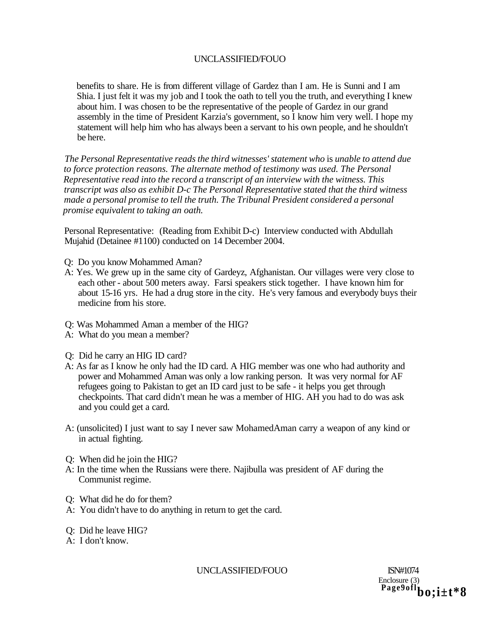benefits to share. He is from different village of Gardez than I am. He is Sunni and I am Shia. I just felt it was my job and I took the oath to tell you the truth, and everything I knew about him. I was chosen to be the representative of the people of Gardez in our grand assembly in the time of President Karzia's government, so I know him very well. I hope my statement will help him who has always been a servant to his own people, and he shouldn't be here.

*The Personal Representative reads the third witnesses' statement who* is *unable to attend due*  to force protection reasons. The alternate method of testimony was used. The Personal *Representative read into the record a transcript of an interview with the witness. This transcript was also as exhibit D-c The Personal Representative stated that the third witness made a personal promise to tell the truth. The Tribunal President considered a personal promise equivalent to taking an oath.* 

Personal Representative: (Reading from Exhibit D-c) Interview conducted with Abdullah Mujahid (Detainee #1100) conducted on 14 December 2004.

- Q: Do you know Mohammed Aman?
- A: Yes. We grew up in the same city of Gardeyz, Afghanistan. Our villages were very close to each other - about 500 meters away. Farsi speakers stick together. I have known him for about 15-16 yrs. He had a drug store in the city. He's very famous and everybody buys their medicine from his store.
- Q: Was Mohammed Aman a member of the HIG?
- A: What do you mean a member?
- Q: Did he carry an HIG ID card?
- A: As far as I know he only had the ID card. A HIG member was one who had authority and power and Mohammed Aman was only a low ranking person. It was very normal for AF refugees going to Pakistan to get an ID card just to be safe - it helps you get through checkpoints. That card didn't mean he was a member of HIG. AH you had to do was ask and you could get a card.
- A: (unsolicited) I just want to say I never saw MohamedAman carry a weapon of any kind or in actual fighting.
- Q: When did he join the HIG?
- A: In the time when the Russians were there. Najibulla was president of AF during the Communist regime.
- Q: What did he do for them?
- A: You didn't have to do anything in return to get the card.
- Q: Did he leave HIG?
- A: I don't know.

UNCLASSIFIED/FOUO ISN#1074

Enclosure (3) **Page9oflbo;i±t\*8**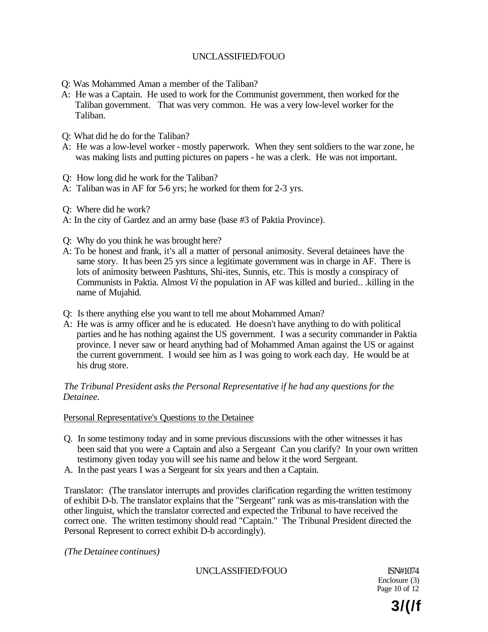- Q: Was Mohammed Aman a member of the Taliban?
- A: He was a Captain. He used to work for the Communist government, then worked for the Taliban government. That was very common. He was a very low-level worker for the Taliban.
- Q: What did he do for the Taliban?
- A: He was a low-level worker mostly paperwork. When they sent soldiers to the war zone, he was making lists and putting pictures on papers - he was a clerk. He was not important.
- Q: How long did he work for the Taliban?
- A: Taliban was in AF for 5-6 yrs; he worked for them for 2-3 yrs.
- Q: Where did he work?
- A: In the city of Gardez and an army base (base #3 of Paktia Province).
- Q: Why do you think he was brought here?
- A: To be honest and frank, it's all a matter of personal animosity. Several detainees have the same story. It has been 25 yrs since a legitimate government was in charge in AF. There is lots of animosity between Pashtuns, Shi-ites, Sunnis, etc. This is mostly a conspiracy of Communists in Paktia. Almost *Vi* the population in AF was killed and buried.. .killing in the name of Mujahid.
- Q: Is there anything else you want to tell me about Mohammed Aman?
- A: He was is army officer and he is educated. He doesn't have anything to do with political parties and he has nothing against the US government. I was a security commander in Paktia province. I never saw or heard anything bad of Mohammed Aman against the US or against the current government. I would see him as I was going to work each day. He would be at his drug store.

# *The Tribunal President asks the Personal Representative if he had any questions for the Detainee.*

# Personal Representative's Questions to the Detainee

- Q. In some testimony today and in some previous discussions with the other witnesses it has been said that you were a Captain and also a Sergeant Can you clarify? In your own written testimony given today you will see his name and below it the word Sergeant.
- A. In the past years I was a Sergeant for six years and then a Captain.

Translator: (The translator interrupts and provides clarification regarding the written testimony of exhibit D-b. The translator explains that the "Sergeant" rank was as mis-translation with the other linguist, which the translator corrected and expected the Tribunal to have received the correct one. The written testimony should read "Captain." The Tribunal President directed the Personal Represent to correct exhibit D-b accordingly).

*(The Detainee continues)* 

UNCLASSIFIED/FOUO ISN#1074

Enclosure (3) Page 10 of 12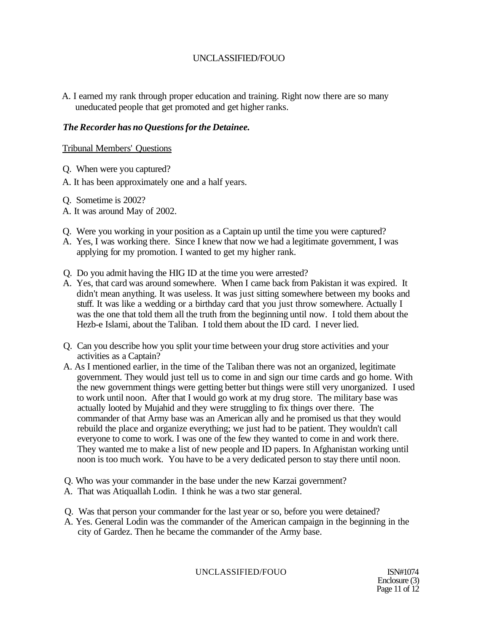A. I earned my rank through proper education and training. Right now there are so many uneducated people that get promoted and get higher ranks.

# *The Recorder has no Questions for the Detainee.*

# Tribunal Members' Questions

- Q. When were you captured?
- A. It has been approximately one and a half years.
- Q. Sometime is 2002?
- A. It was around May of 2002.
- Q. Were you working in your position as a Captain up until the time you were captured?
- A. Yes, I was working there. Since I knew that now we had a legitimate government, I was applying for my promotion. I wanted to get my higher rank.
- Q. Do you admit having the HIG ID at the time you were arrested?
- A. Yes, that card was around somewhere. When I came back from Pakistan it was expired. It didn't mean anything. It was useless. It was just sitting somewhere between my books and stuff. It was like a wedding or a birthday card that you just throw somewhere. Actually I was the one that told them all the truth from the beginning until now. I told them about the Hezb-e Islami, about the Taliban. I told them about the ID card. I never lied.
- Q. Can you describe how you split your time between your drug store activities and your activities as a Captain?
- A. As I mentioned earlier, in the time of the Taliban there was not an organized, legitimate government. They would just tell us to come in and sign our time cards and go home. With the new government things were getting better but things were still very unorganized. I used to work until noon. After that I would go work at my drug store. The military base was actually looted by Mujahid and they were struggling to fix things over there. The commander of that Army base was an American ally and he promised us that they would rebuild the place and organize everything; we just had to be patient. They wouldn't call everyone to come to work. I was one of the few they wanted to come in and work there. They wanted me to make a list of new people and ID papers. In Afghanistan working until noon is too much work. You have to be a very dedicated person to stay there until noon.
- Q. Who was your commander in the base under the new Karzai government?
- A. That was Atiquallah Lodin. I think he was a two star general.
- Q. Was that person your commander for the last year or so, before you were detained?
- A. Yes. General Lodin was the commander of the American campaign in the beginning in the city of Gardez. Then he became the commander of the Army base.

UNCLASSIFIED/FOUO ISN#1074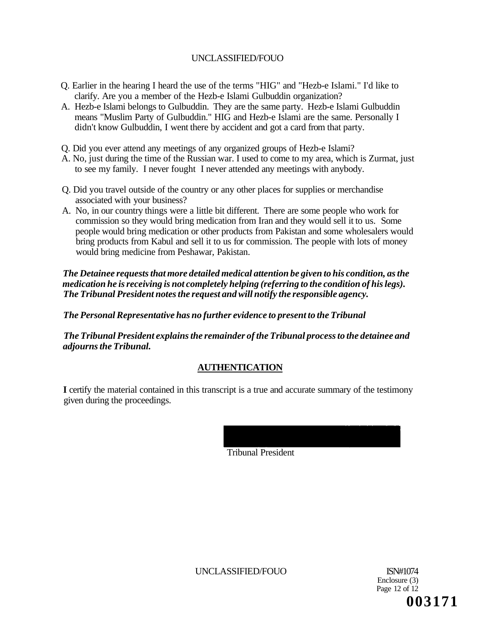- Q. Earlier in the hearing I heard the use of the terms "HIG" and "Hezb-e Islami." I'd like to clarify. Are you a member of the Hezb-e Islami Gulbuddin organization?
- A. Hezb-e Islami belongs to Gulbuddin. They are the same party. Hezb-e Islami Gulbuddin means "Muslim Party of Gulbuddin." HIG and Hezb-e Islami are the same. Personally I didn't know Gulbuddin, I went there by accident and got a card from that party.
- Q. Did you ever attend any meetings of any organized groups of Hezb-e Islami?
- A. No, just during the time of the Russian war. I used to come to my area, which is Zurmat, just to see my family. I never fought I never attended any meetings with anybody.
- Q. Did you travel outside of the country or any other places for supplies or merchandise associated with your business?
- A. No, in our country things were a little bit different. There are some people who work for commission so they would bring medication from Iran and they would sell it to us. Some people would bring medication or other products from Pakistan and some wholesalers would bring products from Kabul and sell it to us for commission. The people with lots of money would bring medicine from Peshawar, Pakistan.

*The Detainee requests that more detailed medical attention be given to his condition, as the medication he is receiving is not completely helping (referring to the condition of his legs). The Tribunal President notes the request and will notify the responsible agency.* 

*The Personal Representative has no further evidence to present to the Tribunal* 

*The Tribunal President explains the remainder of the Tribunal process to the detainee and adjourns the Tribunal.* 

# **AUTHENTICATION**

**I** certify the material contained in this transcript is a true and accurate summary of the testimony given during the proceedings.

Tribunal President

UNCLASSIFIED/FOUO ISN#1074

Enclosure (3) Page 12 of 12 **003171**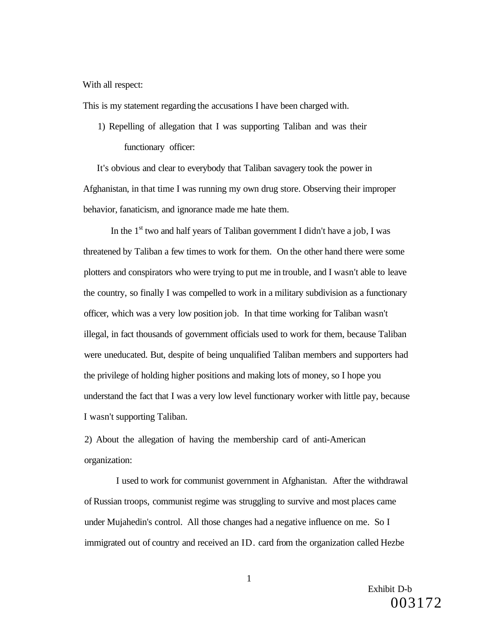### With all respect:

This is my statement regarding the accusations I have been charged with.

1) Repelling of allegation that I was supporting Taliban and was their functionary officer:

It's obvious and clear to everybody that Taliban savagery took the power in Afghanistan, in that time I was running my own drug store. Observing their improper behavior, fanaticism, and ignorance made me hate them.

In the  $1<sup>st</sup>$  two and half years of Taliban government I didn't have a job, I was threatened by Taliban a few times to work for them. On the other hand there were some plotters and conspirators who were trying to put me in trouble, and I wasn't able to leave the country, so finally I was compelled to work in a military subdivision as a functionary officer, which was a very low position job. In that time working for Taliban wasn't illegal, in fact thousands of government officials used to work for them, because Taliban were uneducated. But, despite of being unqualified Taliban members and supporters had the privilege of holding higher positions and making lots of money, so I hope you understand the fact that I was a very low level functionary worker with little pay, because I wasn't supporting Taliban.

2) About the allegation of having the membership card of anti-American organization:

I used to work for communist government in Afghanistan. After the withdrawal of Russian troops, communist regime was struggling to survive and most places came under Mujahedin's control. All those changes had a negative influence on me. So I immigrated out of country and received an ID. card from the organization called Hezbe

> Exhibit D-b 003172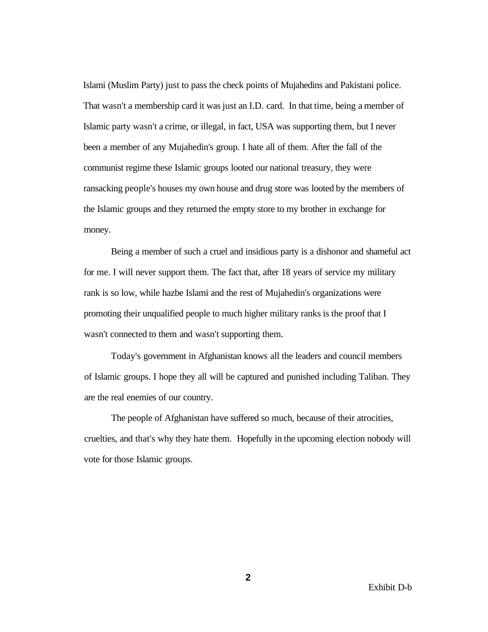Islami (Muslim Party) just to pass the check points of Mujahedins and Pakistani police. That wasn't a membership card it was just an I.D. card. In that time, being a member of Islamic party wasn't a crime, or illegal, in fact, USA was supporting them, but I never been a member of any Mujahedin's group. I hate all of them. After the fall of the communist regime these Islamic groups looted our national treasury, they were ransacking people's houses my own house and drug store was looted by the members of the Islamic groups and they returned the empty store to my brother in exchange for money.

Being a member of such a cruel and insidious party is a dishonor and shameful act for me. I will never support them. The fact that, after 18 years of service my military rank is so low, while hazbe Islami and the rest of Mujahedin's organizations were promoting their unqualified people to much higher military ranks is the proof that I wasn't connected to them and wasn't supporting them.

Today's government in Afghanistan knows all the leaders and council members of Islamic groups. I hope they all will be captured and punished including Taliban. They are the real enemies of our country.

The people of Afghanistan have suffered so much, because of their atrocities, cruelties, and that's why they hate them. Hopefully in the upcoming election nobody will vote for those Islamic groups.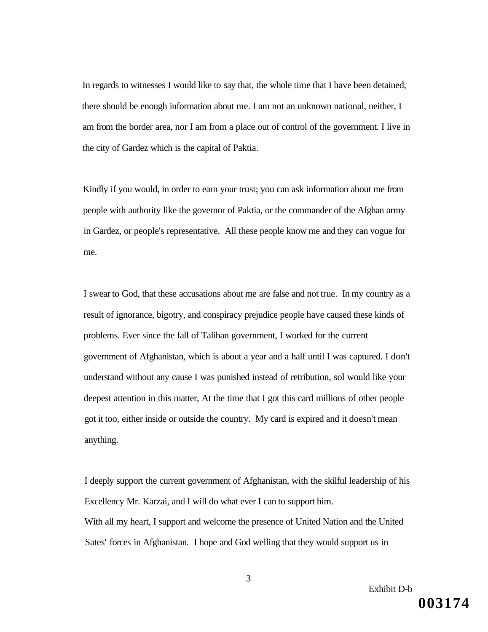In regards to witnesses I would like to say that, the whole time that I have been detained, there should be enough information about me. I am not an unknown national, neither, I am from the border area, nor I am from a place out of control of the government. I live in the city of Gardez which is the capital of Paktia.

Kindly if you would, in order to earn your trust; you can ask information about me from people with authority like the governor of Paktia, or the commander of the Afghan army in Gardez, or people's representative. All these people know me and they can vogue for me.

I swear to God, that these accusations about me are false and not true. In my country as a result of ignorance, bigotry, and conspiracy prejudice people have caused these kinds of problems. Ever since the fall of Taliban government, I worked for the current government of Afghanistan, which is about a year and a half until I was captured. I don't understand without any cause I was punished instead of retribution, sol would like your deepest attention in this matter, At the time that I got this card millions of other people got it too, either inside or outside the country. My card is expired and it doesn't mean anything.

I deeply support the current government of Afghanistan, with the skilful leadership of his Excellency Mr. Karzai, and I will do what ever I can to support him. With all my heart, I support and welcome the presence of United Nation and the United Sates' forces in Afghanistan. I hope and God welling that they would support us in

**003174**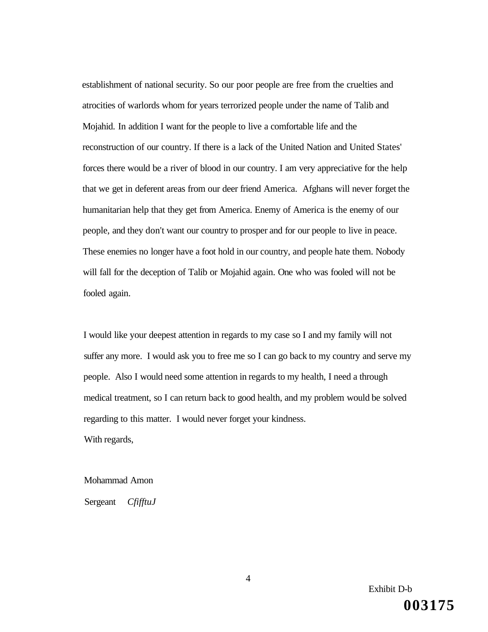establishment of national security. So our poor people are free from the cruelties and atrocities of warlords whom for years terrorized people under the name of Talib and Mojahid. In addition I want for the people to live a comfortable life and the reconstruction of our country. If there is a lack of the United Nation and United States' forces there would be a river of blood in our country. I am very appreciative for the help that we get in deferent areas from our deer friend America. Afghans will never forget the humanitarian help that they get from America. Enemy of America is the enemy of our people, and they don't want our country to prosper and for our people to live in peace. These enemies no longer have a foot hold in our country, and people hate them. Nobody will fall for the deception of Talib or Mojahid again. One who was fooled will not be fooled again.

I would like your deepest attention in regards to my case so I and my family will not suffer any more. I would ask you to free me so I can go back to my country and serve my people. Also I would need some attention in regards to my health, I need a through medical treatment, so I can return back to good health, and my problem would be solved regarding to this matter. I would never forget your kindness. With regards,

### Mohammad Amon

Sergeant *CfifftuJ* 

Exhibit D-b **003175**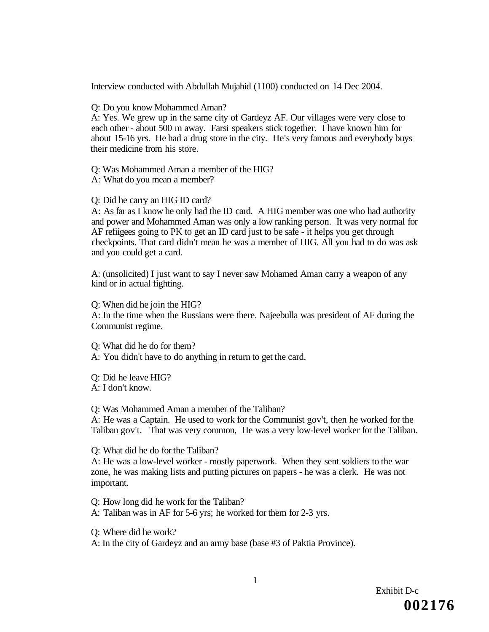Interview conducted with Abdullah Mujahid (1100) conducted on 14 Dec 2004.

Q: Do you know Mohammed Aman?

A: Yes. We grew up in the same city of Gardeyz AF. Our villages were very close to each other - about 500 m away. Farsi speakers stick together. I have known him for about 15-16 yrs. He had a drug store in the city. He's very famous and everybody buys their medicine from his store.

Q: Was Mohammed Aman a member of the HIG? A: What do you mean a member?

Q: Did he carry an HIG ID card?

A: As far as I know he only had the ID card. A HIG member was one who had authority and power and Mohammed Aman was only a low ranking person. It was very normal for AF refiigees going to PK to get an ID card just to be safe - it helps you get through checkpoints. That card didn't mean he was a member of HIG. All you had to do was ask and you could get a card.

A: (unsolicited) I just want to say I never saw Mohamed Aman carry a weapon of any kind or in actual fighting.

Q: When did he join the HIG?

A: In the time when the Russians were there. Najeebulla was president of AF during the Communist regime.

Q: What did he do for them?

A: You didn't have to do anything in return to get the card.

Q: Did he leave HIG? A: I don't know.

Q: Was Mohammed Aman a member of the Taliban?

A: He was a Captain. He used to work for the Communist gov't, then he worked for the Taliban gov't. That was very common, He was a very low-level worker for the Taliban.

Q: What did he do for the Taliban?

A: He was a low-level worker - mostly paperwork. When they sent soldiers to the war zone, he was making lists and putting pictures on papers - he was a clerk. He was not important.

Q: How long did he work for the Taliban? A: Taliban was in AF for 5-6 yrs; he worked for them for 2-3 yrs.

Q: Where did he work?

A: In the city of Gardeyz and an army base (base #3 of Paktia Province).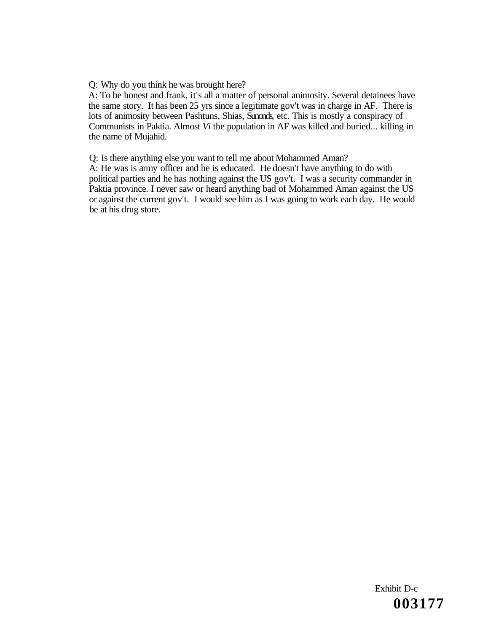Q: Why do you think he was brought here?

A: To be honest and frank, it's all a matter of personal animosity. Several detainees have the same story. It has been 25 yrs since a legitimate gov't was in charge in AF. There is lots of animosity between Pashtuns, Shias, Sunonds, etc. This is mostly a conspiracy of Communists in Paktia. Almost *Vi* the population in AF was killed and buried... killing in the name of Mujahid.

Q: Is there anything else you want to tell me about Mohammed Aman?

A: He was is army officer and he is educated. He doesn't have anything to do with political parties and he has nothing against the US gov't. I was a security commander in Paktia province. I never saw or heard anything bad of Mohammed Aman against the US or against the current gov't. I would see him as I was going to work each day. He would be at his drug store.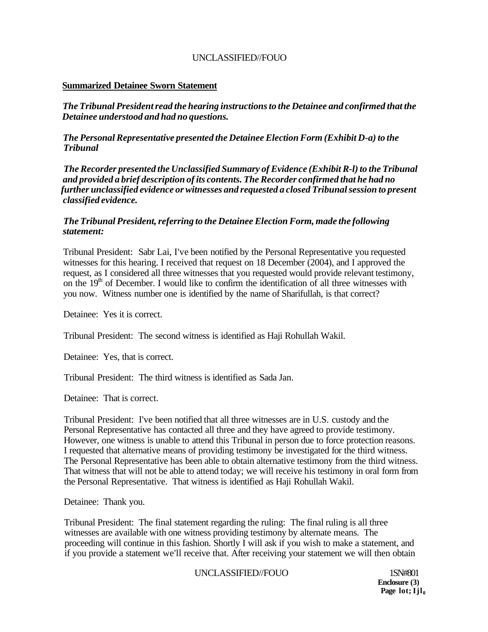### **Summarized Detainee Sworn Statement**

*The Tribunal President read the hearing instructions to the Detainee and confirmed that the Detainee understood and had no questions.* 

*The Personal Representative presented the Detainee Election Form (Exhibit D-a) to the Tribunal* 

*The Recorder presented the Unclassified Summary of Evidence (Exhibit R-l) to the Tribunal and provided a brief description of its contents. The Recorder confirmed that he had no further unclassified evidence or witnesses and requested a closed Tribunal session to present classified evidence.* 

### *The Tribunal President, referring to the Detainee Election Form, made the following statement:*

Tribunal President: Sabr Lai, I've been notified by the Personal Representative you requested witnesses for this hearing. I received that request on 18 December (2004), and I approved the request, as I considered all three witnesses that you requested would provide relevant testimony, on the 19<sup>th</sup> of December. I would like to confirm the identification of all three witnesses with you now. Witness number one is identified by the name of Sharifullah, is that correct?

Detainee: Yes it is correct.

Tribunal President: The second witness is identified as Haji Rohullah Wakil.

Detainee: Yes, that is correct.

Tribunal President: The third witness is identified as Sada Jan.

Detainee: That is correct.

Tribunal President: I've been notified that all three witnesses are in U.S. custody and the Personal Representative has contacted all three and they have agreed to provide testimony. However, one witness is unable to attend this Tribunal in person due to force protection reasons. I requested that alternative means of providing testimony be investigated for the third witness. The Personal Representative has been able to obtain alternative testimony from the third witness. That witness that will not be able to attend today; we will receive his testimony in oral form from the Personal Representative. That witness is identified as Haji Rohullah Wakil.

Detainee: Thank you.

Tribunal President: The final statement regarding the ruling: The final ruling is all three witnesses are available with one witness providing testimony by alternate means. The proceeding will continue in this fashion. Shortly I will ask if you wish to make a statement, and if you provide a statement we'll receive that. After receiving your statement we will then obtain

### UNCLASSIFIED//FOUO 1SN#801

**Enclosure (3)**  Page lot; Ijl<sub>0</sub>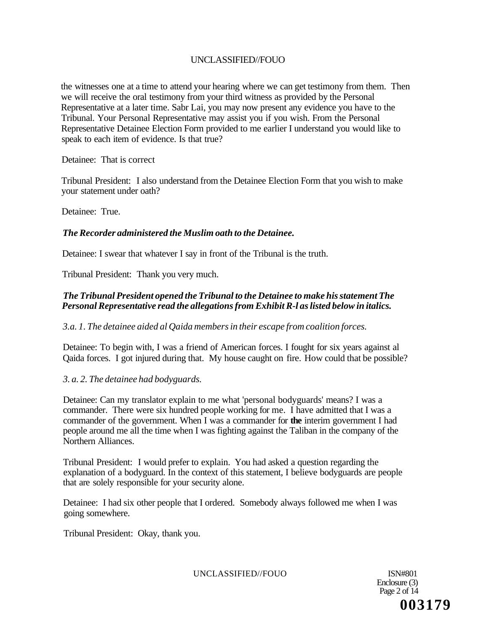the witnesses one at a time to attend your hearing where we can get testimony from them. Then we will receive the oral testimony from your third witness as provided by the Personal Representative at a later time. Sabr Lai, you may now present any evidence you have to the Tribunal. Your Personal Representative may assist you if you wish. From the Personal Representative Detainee Election Form provided to me earlier I understand you would like to speak to each item of evidence. Is that true?

Detainee: That is correct

Tribunal President: I also understand from the Detainee Election Form that you wish to make your statement under oath?

Detainee: True.

# *The Recorder administered the Muslim oath to the Detainee.*

Detainee: I swear that whatever I say in front of the Tribunal is the truth.

Tribunal President: Thank you very much.

# *The Tribunal President opened the Tribunal to the Detainee to make his statement The Personal Representative read the allegations from Exhibit R-l as listed below in italics.*

# *3.a. 1. The detainee aided al Qaida members in their escape from coalition forces.*

Detainee: To begin with, I was a friend of American forces. I fought for six years against al Qaida forces. I got injured during that. My house caught on fire. How could that be possible?

# *3. a. 2. The detainee had bodyguards.*

Detainee: Can my translator explain to me what 'personal bodyguards' means? I was a commander. There were six hundred people working for me. I have admitted that I was a commander of the government. When I was a commander for **the** interim government I had people around me all the time when I was fighting against the Taliban in the company of the Northern Alliances.

Tribunal President: I would prefer to explain. You had asked a question regarding the explanation of a bodyguard. In the context of this statement, I believe bodyguards are people that are solely responsible for your security alone.

Detainee: I had six other people that I ordered. Somebody always followed me when I was going somewhere.

Tribunal President: Okay, thank you.

UNCLASSIFIED//FOUO ISN#801

Enclosure (3) Page 2 of 14 **003179**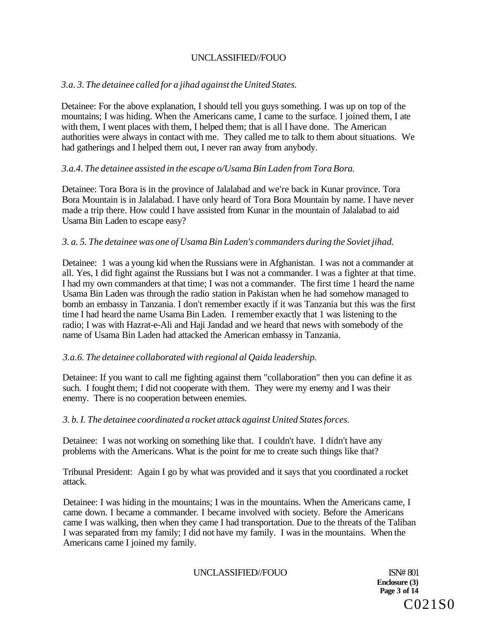# *3.a. 3. The detainee called for a jihad against the United States.*

Detainee: For the above explanation, I should tell you guys something. I was up on top of the mountains; I was hiding. When the Americans came, I came to the surface. I joined them, I ate with them, I went places with them, I helped them; that is all I have done. The American authorities were always in contact with me. They called me to talk to them about situations. We had gatherings and I helped them out, I never ran away from anybody.

# *3.a.4. The detainee assisted in the escape o/Usama Bin Laden from Tora Bora.*

Detainee: Tora Bora is in the province of Jalalabad and we're back in Kunar province. Tora Bora Mountain is in Jalalabad. I have only heard of Tora Bora Mountain by name. I have never made a trip there. How could I have assisted from Kunar in the mountain of Jalalabad to aid Usama Bin Laden to escape easy?

# *3. a. 5. The detainee was one of Usama Bin Laden's commanders during the Soviet jihad.*

Detainee: 1 was a young kid when the Russians were in Afghanistan. I was not a commander at all. Yes, I did fight against the Russians but I was not a commander. I was a fighter at that time. I had my own commanders at that time; I was not a commander. The first time 1 heard the name Usama Bin Laden was through the radio station in Pakistan when he had somehow managed to bomb an embassy in Tanzania. I don't remember exactly if it was Tanzania but this was the first time I had heard the name Usama Bin Laden. I remember exactly that 1 was listening to the radio; I was with Hazrat-e-Ali and Haji Jandad and we heard that news with somebody of the name of Usama Bin Laden had attacked the American embassy in Tanzania.

# *3.a.6. The detainee collaborated with regional al Qaida leadership.*

Detainee: If you want to call me fighting against them "collaboration" then you can define it as such. I fought them; I did not cooperate with them. They were my enemy and I was their enemy. There is no cooperation between enemies.

# *3. b. I. The detainee coordinated a rocket attack against United States forces.*

Detainee: I was not working on something like that. I couldn't have. I didn't have any problems with the Americans. What is the point for me to create such things like that?

Tribunal President: Again I go by what was provided and it says that you coordinated a rocket attack.

Detainee: I was hiding in the mountains; I was in the mountains. When the Americans came, I came down. I became a commander. I became involved with society. Before the Americans came I was walking, then when they came I had transportation. Due to the threats of the Taliban I was separated from my family; I did not have my family. I was in the mountains. When the Americans came I joined my family.

UNCLASSIFIED//FOUO ISN# 801

**Enclosure (3) Page 3 of 14**  C021S0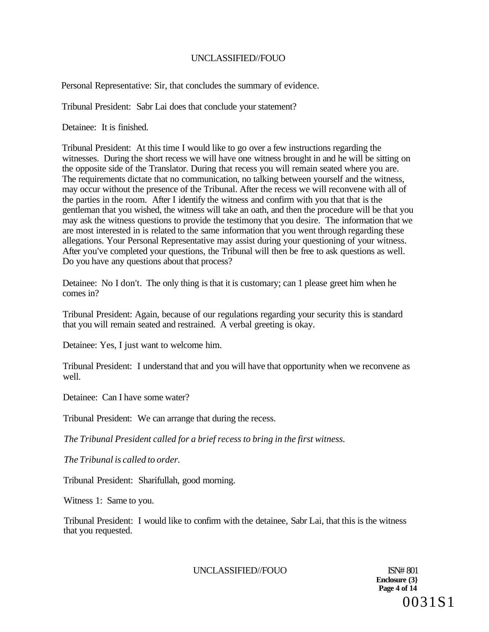Personal Representative: Sir, that concludes the summary of evidence.

Tribunal President: Sabr Lai does that conclude your statement?

Detainee: It is finished.

Tribunal President: At this time I would like to go over a few instructions regarding the witnesses. During the short recess we will have one witness brought in and he will be sitting on the opposite side of the Translator. During that recess you will remain seated where you are. The requirements dictate that no communication, no talking between yourself and the witness, may occur without the presence of the Tribunal. After the recess we will reconvene with all of the parties in the room. After I identify the witness and confirm with you that that is the gentleman that you wished, the witness will take an oath, and then the procedure will be that you may ask the witness questions to provide the testimony that you desire. The information that we are most interested in is related to the same information that you went through regarding these allegations. Your Personal Representative may assist during your questioning of your witness. After you've completed your questions, the Tribunal will then be free to ask questions as well. Do you have any questions about that process?

Detainee: No I don't. The only thing is that it is customary; can 1 please greet him when he comes in?

Tribunal President: Again, because of our regulations regarding your security this is standard that you will remain seated and restrained. A verbal greeting is okay.

Detainee: Yes, I just want to welcome him.

Tribunal President: I understand that and you will have that opportunity when we reconvene as well.

Detainee: Can I have some water?

Tribunal President: We can arrange that during the recess.

*The Tribunal President called for a brief recess to bring in the first witness.* 

*The Tribunal is called to order.* 

Tribunal President: Sharifullah, good morning.

Witness 1: Same to you.

Tribunal President: I would like to confirm with the detainee, Sabr Lai, that this is the witness that you requested.

UNCLASSIFIED//FOUO ISN# 801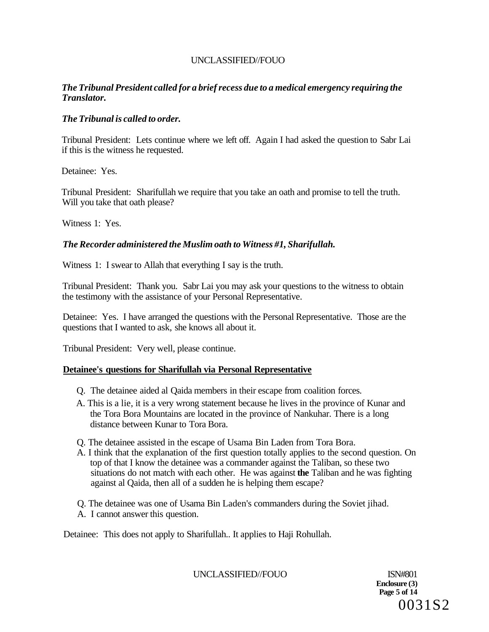# *The Tribunal President called for a brief recess due to a medical emergency requiring the Translator.*

# *The Tribunal is called to order.*

Tribunal President: Lets continue where we left off. Again I had asked the question to Sabr Lai if this is the witness he requested.

Detainee: Yes.

Tribunal President: Sharifullah we require that you take an oath and promise to tell the truth. Will you take that oath please?

Witness 1: Yes.

# *The Recorder administered the Muslim oath to Witness #1, Sharifullah.*

Witness 1: I swear to Allah that everything I say is the truth.

Tribunal President: Thank you. Sabr Lai you may ask your questions to the witness to obtain the testimony with the assistance of your Personal Representative.

Detainee: Yes. I have arranged the questions with the Personal Representative. Those are the questions that I wanted to ask, she knows all about it.

Tribunal President: Very well, please continue.

### **Detainee's questions for Sharifullah via Personal Representative**

- Q. The detainee aided al Qaida members in their escape from coalition forces.
- A. This is a lie, it is a very wrong statement because he lives in the province of Kunar and the Tora Bora Mountains are located in the province of Nankuhar. There is a long distance between Kunar to Tora Bora.
- Q. The detainee assisted in the escape of Usama Bin Laden from Tora Bora.
- A. I think that the explanation of the first question totally applies to the second question. On top of that I know the detainee was a commander against the Taliban, so these two situations do not match with each other. He was against **the** Taliban and he was fighting against al Qaida, then all of a sudden he is helping them escape?

Q. The detainee was one of Usama Bin Laden's commanders during the Soviet jihad. A. I cannot answer this question.

Detainee: This does not apply to Sharifullah.. It applies to Haji Rohullah.

UNCLASSIFIED//FOUO ISN#801

**Enclosure (3) Page 5 of 14**  0031S2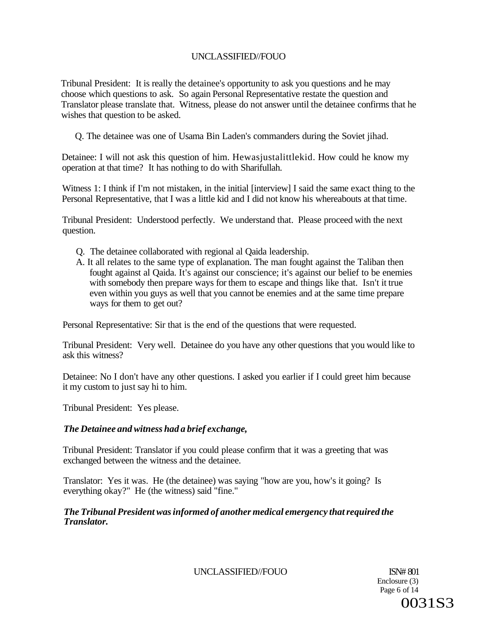Tribunal President: It is really the detainee's opportunity to ask you questions and he may choose which questions to ask. So again Personal Representative restate the question and Translator please translate that. Witness, please do not answer until the detainee confirms that he wishes that question to be asked.

Q. The detainee was one of Usama Bin Laden's commanders during the Soviet jihad.

Detainee: I will not ask this question of him. Hewasjustalittlekid. How could he know my operation at that time? It has nothing to do with Sharifullah.

Witness 1: I think if I'm not mistaken, in the initial [interview] I said the same exact thing to the Personal Representative, that I was a little kid and I did not know his whereabouts at that time.

Tribunal President: Understood perfectly. We understand that. Please proceed with the next question.

- Q. The detainee collaborated with regional al Qaida leadership.
- A. It all relates to the same type of explanation. The man fought against the Taliban then fought against al Qaida. It's against our conscience; it's against our belief to be enemies with somebody then prepare ways for them to escape and things like that. Isn't it true even within you guys as well that you cannot be enemies and at the same time prepare ways for them to get out?

Personal Representative: Sir that is the end of the questions that were requested.

Tribunal President: Very well. Detainee do you have any other questions that you would like to ask this witness?

Detainee: No I don't have any other questions. I asked you earlier if I could greet him because it my custom to just say hi to him.

Tribunal President: Yes please.

# *The Detainee and witness had a brief exchange,*

Tribunal President: Translator if you could please confirm that it was a greeting that was exchanged between the witness and the detainee.

Translator: Yes it was. He (the detainee) was saying "how are you, how's it going? Is everything okay?" He (the witness) said "fine."

# *The Tribunal President was informed of another medical emergency that required the Translator.*

UNCLASSIFIED//FOUO ISN# 801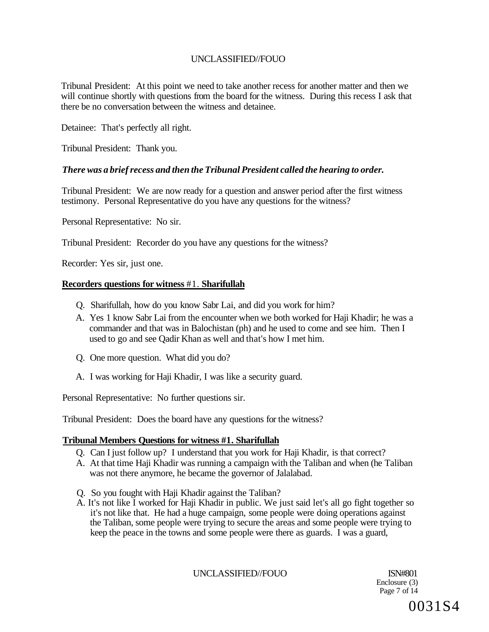Tribunal President: At this point we need to take another recess for another matter and then we will continue shortly with questions from the board for the witness. During this recess I ask that there be no conversation between the witness and detainee.

Detainee: That's perfectly all right.

Tribunal President: Thank you.

### *There was a brief recess and then the Tribunal President called the hearing to order.*

Tribunal President: We are now ready for a question and answer period after the first witness testimony. Personal Representative do you have any questions for the witness?

Personal Representative: No sir.

Tribunal President: Recorder do you have any questions for the witness?

Recorder: Yes sir, just one.

#### **Recorders questions for witness** #1. **Sharifullah**

- Q. Sharifullah, how do you know Sabr Lai, and did you work for him?
- A. Yes 1 know Sabr Lai from the encounter when we both worked for Haji Khadir; he was a commander and that was in Balochistan (ph) and he used to come and see him. Then I used to go and see Qadir Khan as well and that's how I met him.
- Q. One more question. What did you do?
- A. I was working for Haji Khadir, I was like a security guard.

Personal Representative: No further questions sir.

Tribunal President: Does the board have any questions for the witness?

### **Tribunal Members Questions for witness #1. Sharifullah**

- Q. Can I just follow up? I understand that you work for Haji Khadir, is that correct?
- A. At that time Haji Khadir was running a campaign with the Taliban and when (he Taliban was not there anymore, he became the governor of Jalalabad.
- Q. So you fought with Haji Khadir against the Taliban?
- A. It's not like I worked for Haji Khadir in public. We just said let's all go fight together so it's not like that. He had a huge campaign, some people were doing operations against the Taliban, some people were trying to secure the areas and some people were trying to keep the peace in the towns and some people were there as guards. I was a guard,

UNCLASSIFIED//FOUO ISN#801

Enclosure (3) Page 7 of 14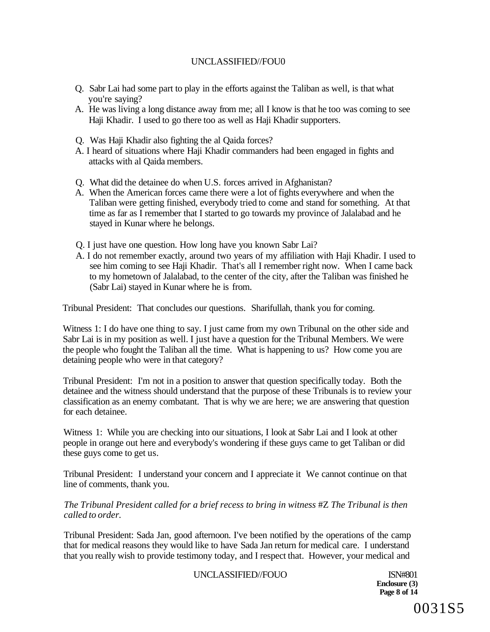- Q. Sabr Lai had some part to play in the efforts against the Taliban as well, is that what you're saying?
- A. He was living a long distance away from me; all I know is that he too was coming to see Haji Khadir. I used to go there too as well as Haji Khadir supporters.
- Q. Was Haji Khadir also fighting the al Qaida forces?
- A. I heard of situations where Haji Khadir commanders had been engaged in fights and attacks with al Qaida members.
- Q. What did the detainee do when U.S. forces arrived in Afghanistan?
- A. When the American forces came there were a lot of fights everywhere and when the Taliban were getting finished, everybody tried to come and stand for something. At that time as far as I remember that I started to go towards my province of Jalalabad and he stayed in Kunar where he belongs.
- Q. I just have one question. How long have you known Sabr Lai?
- A. I do not remember exactly, around two years of my affiliation with Haji Khadir. I used to see him coming to see Haji Khadir. That's all I remember right now. When I came back to my hometown of Jalalabad, to the center of the city, after the Taliban was finished he (Sabr Lai) stayed in Kunar where he is from.

Tribunal President: That concludes our questions. Sharifullah, thank you for coming.

Witness 1: I do have one thing to say. I just came from my own Tribunal on the other side and Sabr Lai is in my position as well. I just have a question for the Tribunal Members. We were the people who fought the Taliban all the time. What is happening to us? How come you are detaining people who were in that category?

Tribunal President: I'm not in a position to answer that question specifically today. Both the detainee and the witness should understand that the purpose of these Tribunals is to review your classification as an enemy combatant. That is why we are here; we are answering that question for each detainee.

Witness 1: While you are checking into our situations, I look at Sabr Lai and I look at other people in orange out here and everybody's wondering if these guys came to get Taliban or did these guys come to get us.

Tribunal President: I understand your concern and I appreciate it We cannot continue on that line of comments, thank you.

### *The Tribunal President called for a brief recess to bring in witness* #Z *The Tribunal is then called to order.*

Tribunal President: Sada Jan, good afternoon. I've been notified by the operations of the camp that for medical reasons they would like to have Sada Jan return for medical care. I understand that you really wish to provide testimony today, and I respect that. However, your medical and

#### UNCLASSIFIED//FOUO ISN#801

**Enclosure (3) Page 8 of 14**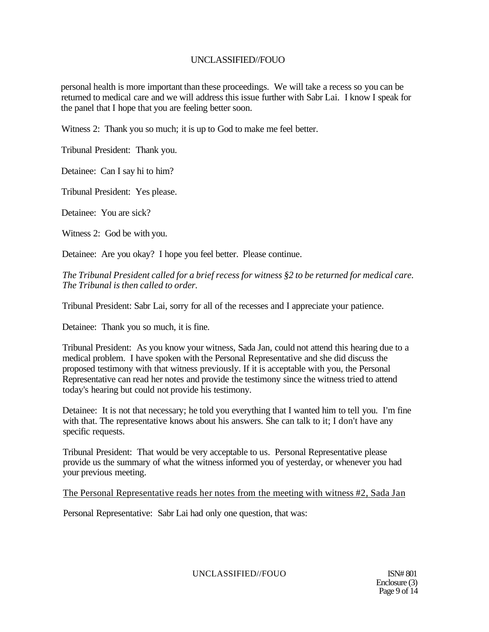personal health is more important than these proceedings. We will take a recess so you can be returned to medical care and we will address this issue further with Sabr Lai. I know I speak for the panel that I hope that you are feeling better soon.

Witness 2: Thank you so much; it is up to God to make me feel better.

Tribunal President: Thank you.

Detainee: Can I say hi to him?

Tribunal President: Yes please.

Detainee: You are sick?

Witness 2: God be with you.

Detainee: Are you okay? I hope you feel better. Please continue.

*The Tribunal President called for a brief recess for witness §2 to be returned for medical care. The Tribunal is then called to order.* 

Tribunal President: Sabr Lai, sorry for all of the recesses and I appreciate your patience.

Detainee: Thank you so much, it is fine.

Tribunal President: As you know your witness, Sada Jan, could not attend this hearing due to a medical problem. I have spoken with the Personal Representative and she did discuss the proposed testimony with that witness previously. If it is acceptable with you, the Personal Representative can read her notes and provide the testimony since the witness tried to attend today's hearing but could not provide his testimony.

Detainee: It is not that necessary; he told you everything that I wanted him to tell you. I'm fine with that. The representative knows about his answers. She can talk to it; I don't have any specific requests.

Tribunal President: That would be very acceptable to us. Personal Representative please provide us the summary of what the witness informed you of yesterday, or whenever you had your previous meeting.

### The Personal Representative reads her notes from the meeting with witness #2, Sada Jan

Personal Representative: Sabr Lai had only one question, that was:

UNCLASSIFIED//FOUO ISN# 801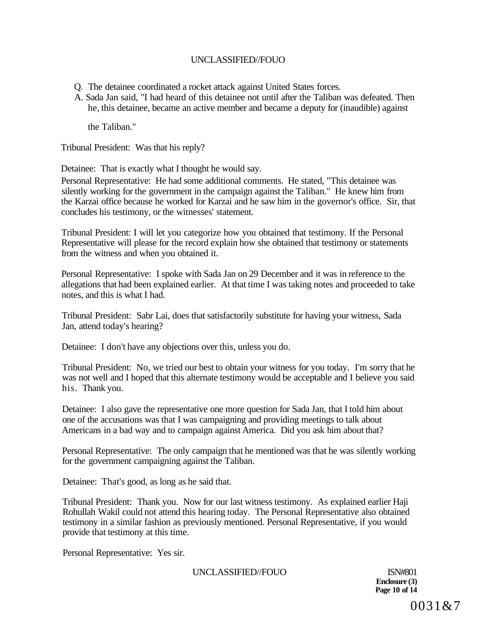- Q. The detainee coordinated a rocket attack against United States forces.
- A. Sada Jan said, "I had heard of this detainee not until after the Taliban was defeated. Then he, this detainee, became an active member and became a deputy for (inaudible) against

the Taliban."

Tribunal President: Was that his reply?

Detainee: That is exactly what I thought he would say.

Personal Representative: He had some additional comments. He stated, "This detainee was silently working for the government in the campaign against the Taliban." He knew him from the Karzai office because he worked for Karzai and he saw him in the governor's office. Sir, that concludes his testimony, or the witnesses' statement.

Tribunal President: I will let you categorize how you obtained that testimony. If the Personal Representative will please for the record explain how she obtained that testimony or statements from the witness and when you obtained it.

Personal Representative: I spoke with Sada Jan on 29 December and it was in reference to the allegations that had been explained earlier. At that time I was taking notes and proceeded to take notes, and this is what I had.

Tribunal President: Sabr Lai, does that satisfactorily substitute for having your witness, Sada Jan, attend today's hearing?

Detainee: I don't have any objections over this, unless you do.

Tribunal President: No, we tried our best to obtain your witness for you today. I'm sorry that he was not well and I hoped that this alternate testimony would be acceptable and I believe you said his. Thank you.

Detainee: I also gave the representative one more question for Sada Jan, that I told him about one of the accusations was that I was campaigning and providing meetings to talk about Americans in a bad way and to campaign against America. Did you ask him about that?

Personal Representative: The only campaign that he mentioned was that he was silently working for the government campaigning against the Taliban.

Detainee: That's good, as long as he said that.

Tribunal President: Thank you. Now for our last witness testimony. As explained earlier Haji Rohullah Wakil could not attend this hearing today. The Personal Representative also obtained testimony in a similar fashion as previously mentioned. Personal Representative, if you would provide that testimony at this time.

Personal Representative: Yes sir.

UNCLASSIFIED//FOUO ISN#801

**Enclosure (3) Page 10 of 14**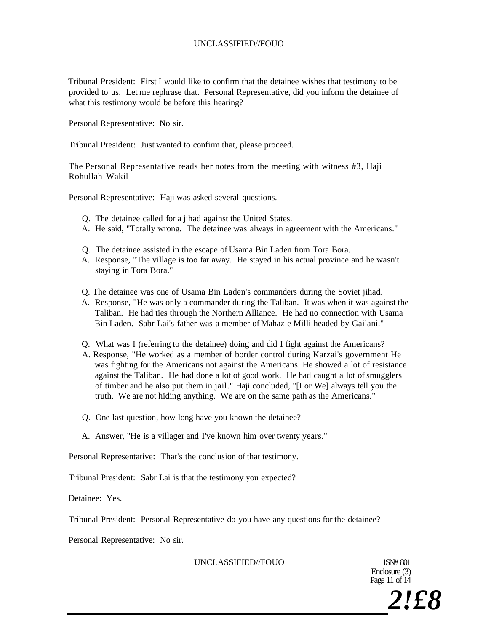Tribunal President: First I would like to confirm that the detainee wishes that testimony to be provided to us. Let me rephrase that. Personal Representative, did you inform the detainee of what this testimony would be before this hearing?

Personal Representative: No sir.

Tribunal President: Just wanted to confirm that, please proceed.

The Personal Representative reads her notes from the meeting with witness #3, Haji Rohullah Wakil

Personal Representative: Haji was asked several questions.

- Q. The detainee called for a jihad against the United States.
- A. He said, "Totally wrong. The detainee was always in agreement with the Americans."
- Q. The detainee assisted in the escape of Usama Bin Laden from Tora Bora.
- A. Response, "The village is too far away. He stayed in his actual province and he wasn't staying in Tora Bora."
- Q. The detainee was one of Usama Bin Laden's commanders during the Soviet jihad.
- A. Response, "He was only a commander during the Taliban. It was when it was against the Taliban. He had ties through the Northern Alliance. He had no connection with Usama Bin Laden. Sabr Lai's father was a member of Mahaz-e Milli headed by Gailani."
- Q. What was I (referring to the detainee) doing and did I fight against the Americans?
- A. Response, "He worked as a member of border control during Karzai's government He was fighting for the Americans not against the Americans. He showed a lot of resistance against the Taliban. He had done a lot of good work. He had caught a lot of smugglers of timber and he also put them in jail." Haji concluded, "[I or We] always tell you the truth. We are not hiding anything. We are on the same path as the Americans."
- Q. One last question, how long have you known the detainee?
- A. Answer, "He is a villager and I've known him over twenty years."

Personal Representative: That's the conclusion of that testimony.

Tribunal President: Sabr Lai is that the testimony you expected?

Detainee: Yes.

Tribunal President: Personal Representative do you have any questions for the detainee?

Personal Representative: No sir.

UNCLASSIFIED//FOUO 1SN# 801

Enclosure (3) Page 11 of 14

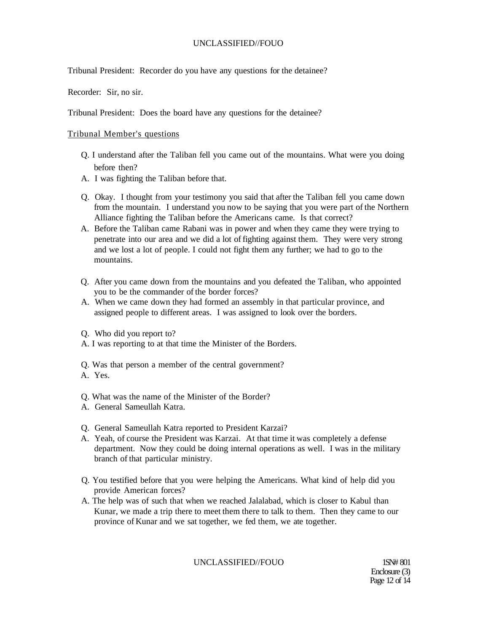Tribunal President: Recorder do you have any questions for the detainee?

Recorder: Sir, no sir.

Tribunal President: Does the board have any questions for the detainee?

#### Tribunal Member's questions

- Q. I understand after the Taliban fell you came out of the mountains. What were you doing before then?
- A. I was fighting the Taliban before that.
- Q. Okay. I thought from your testimony you said that after the Taliban fell you came down from the mountain. I understand you now to be saying that you were part of the Northern Alliance fighting the Taliban before the Americans came. Is that correct?
- A. Before the Taliban came Rabani was in power and when they came they were trying to penetrate into our area and we did a lot of fighting against them. They were very strong and we lost a lot of people. I could not fight them any further; we had to go to the mountains.
- Q. After you came down from the mountains and you defeated the Taliban, who appointed you to be the commander of the border forces?
- A. When we came down they had formed an assembly in that particular province, and assigned people to different areas. I was assigned to look over the borders.
- Q. Who did you report to?
- A. I was reporting to at that time the Minister of the Borders.
- Q. Was that person a member of the central government?
- A. Yes.
- Q. What was the name of the Minister of the Border?
- A. General Sameullah Katra.
- Q. General Sameullah Katra reported to President Karzai?
- A. Yeah, of course the President was Karzai. At that time it was completely a defense department. Now they could be doing internal operations as well. I was in the military branch of that particular ministry.
- Q. You testified before that you were helping the Americans. What kind of help did you provide American forces?
- A. The help was of such that when we reached Jalalabad, which is closer to Kabul than Kunar, we made a trip there to meet them there to talk to them. Then they came to our province of Kunar and we sat together, we fed them, we ate together.

UNCLASSIFIED//FOUO 1SN# 801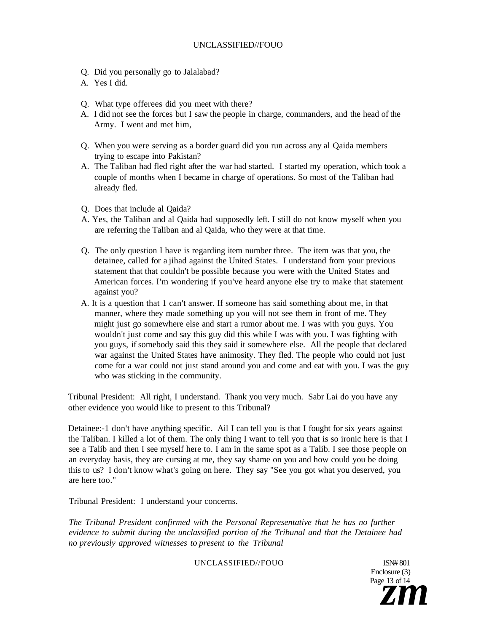- Q. Did you personally go to Jalalabad?
- A. Yes I did.
- Q. What type offerees did you meet with there?
- A. I did not see the forces but I saw the people in charge, commanders, and the head of the Army. I went and met him,
- Q. When you were serving as a border guard did you run across any al Qaida members trying to escape into Pakistan?
- A. The Taliban had fled right after the war had started. I started my operation, which took a couple of months when I became in charge of operations. So most of the Taliban had already fled.
- Q. Does that include al Qaida?
- A. Yes, the Taliban and al Qaida had supposedly left. I still do not know myself when you are referring the Taliban and al Qaida, who they were at that time.
- Q. The only question I have is regarding item number three. The item was that you, the detainee, called for a jihad against the United States. I understand from your previous statement that that couldn't be possible because you were with the United States and American forces. I'm wondering if you've heard anyone else try to make that statement against you?
- A. It is a question that 1 can't answer. If someone has said something about me, in that manner, where they made something up you will not see them in front of me. They might just go somewhere else and start a rumor about me. I was with you guys. You wouldn't just come and say this guy did this while I was with you. I was fighting with you guys, if somebody said this they said it somewhere else. All the people that declared war against the United States have animosity. They fled. The people who could not just come for a war could not just stand around you and come and eat with you. I was the guy who was sticking in the community.

Tribunal President: All right, I understand. Thank you very much. Sabr Lai do you have any other evidence you would like to present to this Tribunal?

Detainee:-1 don't have anything specific. Ail I can tell you is that I fought for six years against the Taliban. I killed a lot of them. The only thing I want to tell you that is so ironic here is that I see a Talib and then I see myself here to. I am in the same spot as a Talib. I see those people on an everyday basis, they are cursing at me, they say shame on you and how could you be doing this to us? I don't know what's going on here. They say "See you got what you deserved, you are here too."

Tribunal President: I understand your concerns.

*The Tribunal President confirmed with the Personal Representative that he has no further evidence to submit during the unclassified portion of the Tribunal and that the Detainee had no previously approved witnesses to present to the Tribunal* 

UNCLASSIFIED//FOUO 1SN# 801

Enclosure (3) Page 13 of 14  $\bar{z}$ *m*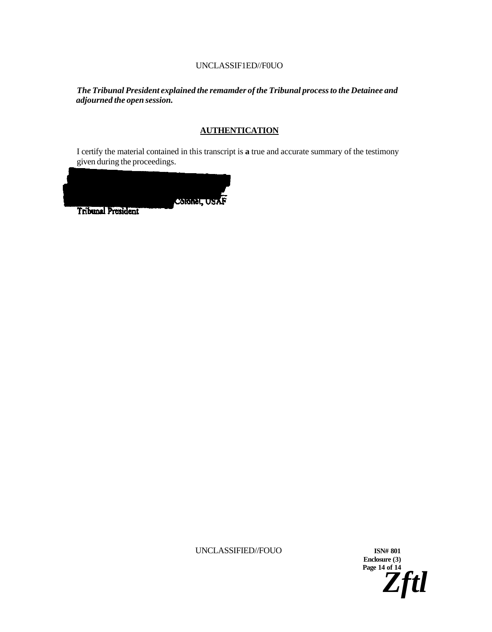### UNCLASSIF1ED//F0UO

*The Tribunal President explained the remamder of the Tribunal process to the Detainee and adjourned the open session.* 

### **AUTHENTICATION**

I certify the material contained in this transcript is **a** true and accurate summary of the testimony given during the proceedings.



UNCLASSIFIED//FOUO **ISN# 801** 

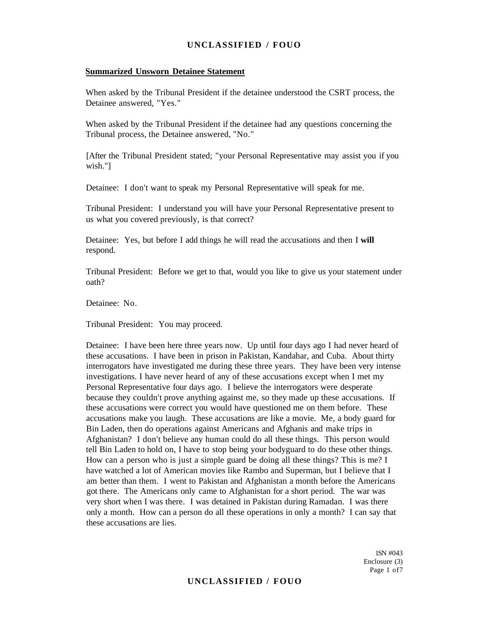#### **Summarized Unsworn Detainee Statement**

When asked by the Tribunal President if the detainee understood the CSRT process, the Detainee answered, "Yes."

When asked by the Tribunal President if the detainee had any questions concerning the Tribunal process, the Detainee answered, "No."

[After the Tribunal President stated; "your Personal Representative may assist you if you wish."]

Detainee: I don't want to speak my Personal Representative will speak for me.

Tribunal President: I understand you will have your Personal Representative present to us what you covered previously, is that correct?

Detainee: Yes, but before I add things he will read the accusations and then I **will**  respond.

Tribunal President: Before we get to that, would you like to give us your statement under oath?

Detainee: No.

Tribunal President: You may proceed.

Detainee: I have been here three years now. Up until four days ago I had never heard of these accusations. I have been in prison in Pakistan, Kandahar, and Cuba. About thirty interrogators have investigated me during these three years. They have been very intense investigations. I have never heard of any of these accusations except when I met my Personal Representative four days ago. I believe the interrogators were desperate because they couldn't prove anything against me, so they made up these accusations. If these accusations were correct you would have questioned me on them before. These accusations make you laugh. These accusations are like a movie. Me, a body guard for Bin Laden, then do operations against Americans and Afghanis and make trips in Afghanistan? I don't believe any human could do all these things. This person would tell Bin Laden to hold on, I have to stop being your bodyguard to do these other things. How can a person who is just a simple guard be doing all these things? This is me? I have watched a lot of American movies like Rambo and Superman, but I believe that I am better than them. I went to Pakistan and Afghanistan a month before the Americans got there. The Americans only came to Afghanistan for a short period. The war was very short when I was there. I was detained in Pakistan during Ramadan. I was there only a month. How can a person do all these operations in only a month? I can say that these accusations are lies.

> 1SN #043 Enclosure (3) Page 1 of7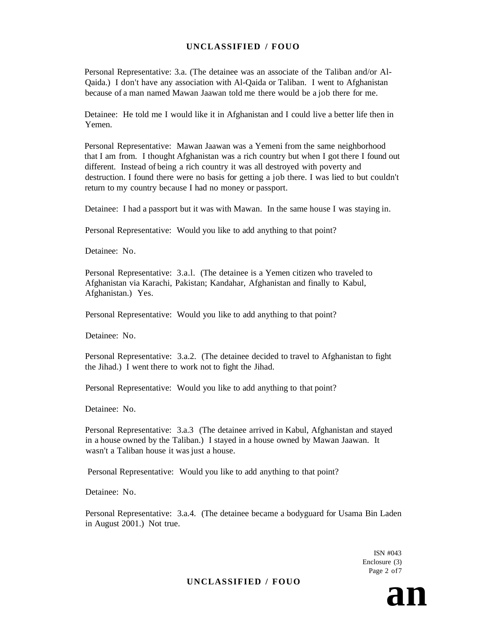Personal Representative: 3.a. (The detainee was an associate of the Taliban and/or Al-Qaida.) I don't have any association with Al-Qaida or Taliban. I went to Afghanistan because of a man named Mawan Jaawan told me there would be a job there for me.

Detainee: He told me I would like it in Afghanistan and I could live a better life then in Yemen.

Personal Representative: Mawan Jaawan was a Yemeni from the same neighborhood that I am from. I thought Afghanistan was a rich country but when I got there I found out different. Instead of being a rich country it was all destroyed with poverty and destruction. I found there were no basis for getting a job there. I was lied to but couldn't return to my country because I had no money or passport.

Detainee: I had a passport but it was with Mawan. In the same house I was staying in.

Personal Representative: Would you like to add anything to that point?

Detainee: No.

Personal Representative: 3.a.l. (The detainee is a Yemen citizen who traveled to Afghanistan via Karachi, Pakistan; Kandahar, Afghanistan and finally to Kabul, Afghanistan.) Yes.

Personal Representative: Would you like to add anything to that point?

Detainee: No.

Personal Representative: 3.a.2. (The detainee decided to travel to Afghanistan to fight the Jihad.) I went there to work not to fight the Jihad.

Personal Representative: Would you like to add anything to that point?

Detainee: No.

Personal Representative: 3.a.3 (The detainee arrived in Kabul, Afghanistan and stayed in a house owned by the Taliban.) I stayed in a house owned by Mawan Jaawan. It wasn't a Taliban house it was just a house.

Personal Representative: Would you like to add anything to that point?

Detainee: No.

Personal Representative: 3.a.4. (The detainee became a bodyguard for Usama Bin Laden in August 2001.) Not true.

> ISN #043 Enclosure (3) Page 2 of7

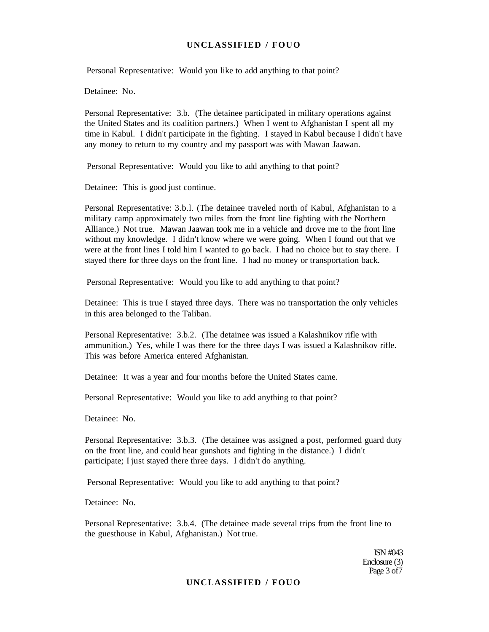Personal Representative: Would you like to add anything to that point?

Detainee: No.

Personal Representative: 3.b. (The detainee participated in military operations against the United States and its coalition partners.) When I went to Afghanistan I spent all my time in Kabul. I didn't participate in the fighting. I stayed in Kabul because I didn't have any money to return to my country and my passport was with Mawan Jaawan.

Personal Representative: Would you like to add anything to that point?

Detainee: This is good just continue.

Personal Representative: 3.b.l. (The detainee traveled north of Kabul, Afghanistan to a military camp approximately two miles from the front line fighting with the Northern Alliance.) Not true. Mawan Jaawan took me in a vehicle and drove me to the front line without my knowledge. I didn't know where we were going. When I found out that we were at the front lines I told him I wanted to go back. I had no choice but to stay there. I stayed there for three days on the front line. I had no money or transportation back.

Personal Representative: Would you like to add anything to that point?

Detainee: This is true I stayed three days. There was no transportation the only vehicles in this area belonged to the Taliban.

Personal Representative: 3.b.2. (The detainee was issued a Kalashnikov rifle with ammunition.) Yes, while I was there for the three days I was issued a Kalashnikov rifle. This was before America entered Afghanistan.

Detainee: It was a year and four months before the United States came.

Personal Representative: Would you like to add anything to that point?

Detainee: No.

Personal Representative: 3.b.3. (The detainee was assigned a post, performed guard duty on the front line, and could hear gunshots and fighting in the distance.) I didn't participate; I just stayed there three days. I didn't do anything.

Personal Representative: Would you like to add anything to that point?

Detainee: No.

Personal Representative: 3.b.4. (The detainee made several trips from the front line to the guesthouse in Kabul, Afghanistan.) Not true.

> ISN #043 Enclosure (3) Page 3 of 7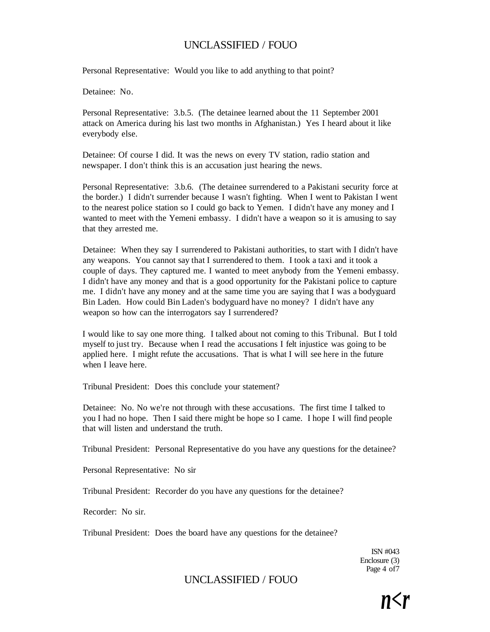Personal Representative: Would you like to add anything to that point?

Detainee: No.

Personal Representative: 3.b.5. (The detainee learned about the 11 September 2001 attack on America during his last two months in Afghanistan.) Yes I heard about it like everybody else.

Detainee: Of course I did. It was the news on every TV station, radio station and newspaper. I don't think this is an accusation just hearing the news.

Personal Representative: 3.b.6. (The detainee surrendered to a Pakistani security force at the border.) I didn't surrender because I wasn't fighting. When I went to Pakistan I went to the nearest police station so I could go back to Yemen. I didn't have any money and I wanted to meet with the Yemeni embassy. I didn't have a weapon so it is amusing to say that they arrested me.

Detainee: When they say I surrendered to Pakistani authorities, to start with I didn't have any weapons. You cannot say that I surrendered to them. I took a taxi and it took a couple of days. They captured me. I wanted to meet anybody from the Yemeni embassy. I didn't have any money and that is a good opportunity for the Pakistani police to capture me. I didn't have any money and at the same time you are saying that I was a bodyguard Bin Laden. How could Bin Laden's bodyguard have no money? I didn't have any weapon so how can the interrogators say I surrendered?

I would like to say one more thing. I talked about not coming to this Tribunal. But I told myself to just try. Because when I read the accusations I felt injustice was going to be applied here. I might refute the accusations. That is what I will see here in the future when I leave here.

Tribunal President: Does this conclude your statement?

Detainee: No. No we're not through with these accusations. The first time I talked to you I had no hope. Then I said there might be hope so I came. I hope I will find people that will listen and understand the truth.

Tribunal President: Personal Representative do you have any questions for the detainee?

Personal Representative: No sir

Tribunal President: Recorder do you have any questions for the detainee?

Recorder: No sir.

Tribunal President: Does the board have any questions for the detainee?

ISN #043 Enclosure (3) Page 4 of7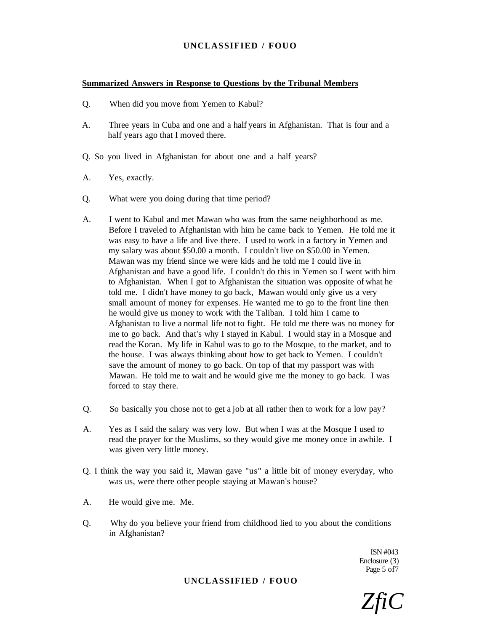#### **Summarized Answers in Response to Questions by the Tribunal Members**

- Q. When did you move from Yemen to Kabul?
- A. Three years in Cuba and one and a half years in Afghanistan. That is four and a half years ago that I moved there.
- Q. So you lived in Afghanistan for about one and a half years?
- A. Yes, exactly.
- Q. What were you doing during that time period?
- A. I went to Kabul and met Mawan who was from the same neighborhood as me. Before I traveled to Afghanistan with him he came back to Yemen. He told me it was easy to have a life and live there. I used to work in a factory in Yemen and my salary was about \$50.00 a month. I couldn't live on \$50.00 in Yemen. Mawan was my friend since we were kids and he told me I could live in Afghanistan and have a good life. I couldn't do this in Yemen so I went with him to Afghanistan. When I got to Afghanistan the situation was opposite of what he told me. I didn't have money to go back, Mawan would only give us a very small amount of money for expenses. He wanted me to go to the front line then he would give us money to work with the Taliban. I told him I came to Afghanistan to live a normal life not to fight. He told me there was no money for me to go back. And that's why I stayed in Kabul. I would stay in a Mosque and read the Koran. My life in Kabul was to go to the Mosque, to the market, and to the house. I was always thinking about how to get back to Yemen. I couldn't save the amount of money to go back. On top of that my passport was with Mawan. He told me to wait and he would give me the money to go back. I was forced to stay there.
- Q. So basically you chose not to get a job at all rather then to work for a low pay?
- A. Yes as I said the salary was very low. But when I was at the Mosque I used *to*  read the prayer for the Muslims, so they would give me money once in awhile. I was given very little money.
- Q. I think the way you said it, Mawan gave "us" a little bit of money everyday, who was us, were there other people staying at Mawan's house?
- A. He would give me. Me.
- Q. Why do you believe your friend from childhood lied to you about the conditions in Afghanistan?

ISN #043 Enclosure (3) Page 5 of7

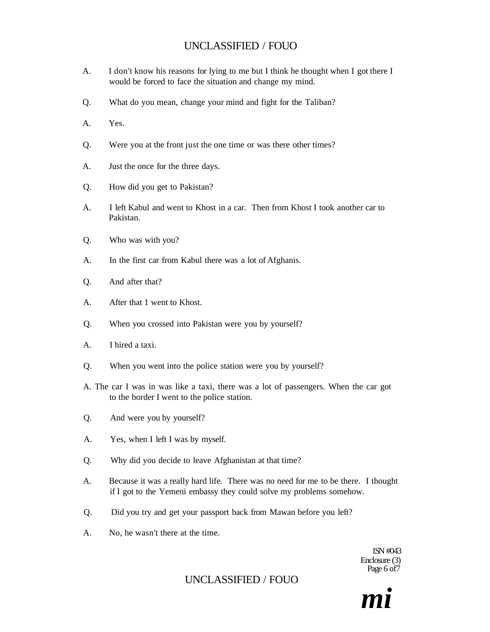- A. I don't know his reasons for lying to me but I think he thought when I got there I would be forced to face the situation and change my mind.
- Q. What do you mean, change your mind and fight for the Taliban?
- A. Yes.
- Q. Were you at the front just the one time or was there other times?
- A. Just the once for the three days.
- Q. How did you get to Pakistan?
- A. I left Kabul and went to Khost in a car. Then from Khost I took another car to Pakistan.
- Q. Who was with you?
- A. In the first car from Kabul there was a lot of Afghanis.
- Q. And after that?
- A. After that 1 went to Khost.
- Q. When you crossed into Pakistan were you by yourself?
- A. I hired a taxi.
- Q. When you went into the police station were you by yourself?
- A. The car I was in was like a taxi, there was a lot of passengers. When the car got to the border I went to the police station.
- Q. And were you by yourself?
- A. Yes, when I left I was by myself.
- Q. Why did you decide to leave Afghanistan at that time?
- A. Because it was a really hard life. There was no need for me to be there. I thought if I got to the Yemeni embassy they could solve my problems somehow.
- Q. Did you try and get your passport back from Mawan before you left?
- A. No, he wasn't there at the time.

1SN #043 Enclosure (3) Page 6 of 7

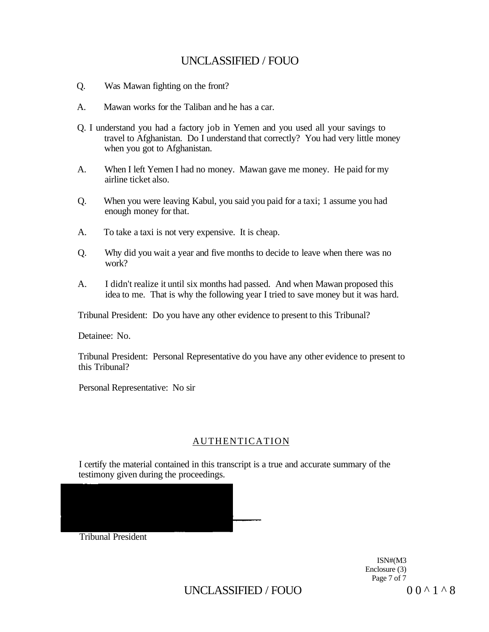- Q. Was Mawan fighting on the front?
- A. Mawan works for the Taliban and he has a car.
- Q. I understand you had a factory job in Yemen and you used all your savings to travel to Afghanistan. Do I understand that correctly? You had very little money when you got to Afghanistan.
- A. When I left Yemen I had no money. Mawan gave me money. He paid for my airline ticket also.
- Q. When you were leaving Kabul, you said you paid for a taxi; 1 assume you had enough money for that.
- A. To take a taxi is not very expensive. It is cheap.
- Q. Why did you wait a year and five months to decide to leave when there was no work?
- A. I didn't realize it until six months had passed. And when Mawan proposed this idea to me. That is why the following year I tried to save money but it was hard.

Tribunal President: Do you have any other evidence to present to this Tribunal?

Detainee: No.

Tribunal President: Personal Representative do you have any other evidence to present to this Tribunal?

Personal Representative: No sir

# AUTHENTICATION

I certify the material contained in this transcript is a true and accurate summary of the testimony given during the proceedings.

Tribunal President

ISN#(M3 Enclosure (3) Page 7 of 7

UNCLASSIFIED / FOUO  $00^1$   $0^8$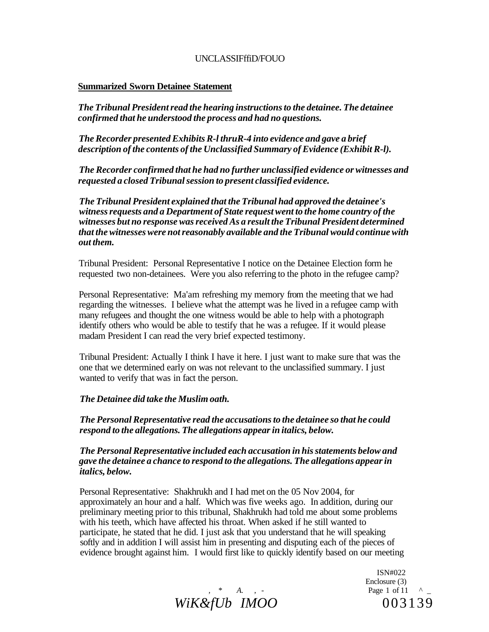### UNCLASSIFffiD/FOUO

### **Summarized Sworn Detainee Statement**

*The Tribunal President read the hearing instructions to the detainee. The detainee confirmed that he understood the process and had no questions.* 

*The Recorder presented Exhibits R-l thruR-4 into evidence and gave a brief description of the contents of the Unclassified Summary of Evidence (Exhibit R-l).* 

*The Recorder confirmed that he had no further unclassified evidence or witnesses and requested a closed Tribunal session to present classified evidence.* 

*The Tribunal President explained that the Tribunal had approved the detainee's witness requests and a Department of State request went to the home country of the witnesses but no response was received As a result the Tribunal President determined that the witnesses were not reasonably available and the Tribunal would continue with out them.* 

Tribunal President: Personal Representative I notice on the Detainee Election form he requested two non-detainees. Were you also referring to the photo in the refugee camp?

Personal Representative: Ma'am refreshing my memory from the meeting that we had regarding the witnesses. I believe what the attempt was he lived in a refugee camp with many refugees and thought the one witness would be able to help with a photograph identify others who would be able to testify that he was a refugee. If it would please madam President I can read the very brief expected testimony.

Tribunal President: Actually I think I have it here. I just want to make sure that was the one that we determined early on was not relevant to the unclassified summary. I just wanted to verify that was in fact the person.

### *The Detainee did take the Muslim oath.*

*The Personal Representative read the accusations to the detainee so that he could respond to the allegations. The allegations appear in italics, below.* 

*The Personal Representative included each accusation in his statements below and gave the detainee a chance to respond to the allegations. The allegations appear in italics, below.* 

Personal Representative: Shakhrukh and I had met on the 05 Nov 2004, for approximately an hour and a half. Which was five weeks ago. In addition, during our preliminary meeting prior to this tribunal, Shakhrukh had told me about some problems with his teeth, which have affected his throat. When asked if he still wanted to participate, he stated that he did. I just ask that you understand that he will speaking softly and in addition I will assist him in presenting and disputing each of the pieces of evidence brought against him. I would first like to quickly identify based on our meeting



ISN#022 Enclosure (3)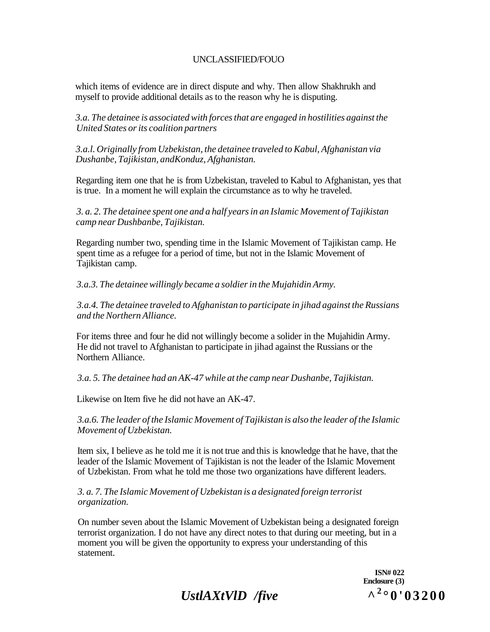which items of evidence are in direct dispute and why. Then allow Shakhrukh and myself to provide additional details as to the reason why he is disputing.

*3.a. The detainee is associated with forces that are engaged in hostilities against the United States or its coalition partners* 

*3.a.l. Originally from Uzbekistan, the detainee traveled to Kabul, Afghanistan via Dushanbe, Tajikistan, andKonduz, Afghanistan.* 

Regarding item one that he is from Uzbekistan, traveled to Kabul to Afghanistan, yes that is true. In a moment he will explain the circumstance as to why he traveled.

*3. a. 2. The detainee spent one and a half years in an Islamic Movement of Tajikistan camp near Dushbanbe, Tajikistan.* 

Regarding number two, spending time in the Islamic Movement of Tajikistan camp. He spent time as a refugee for a period of time, but not in the Islamic Movement of Tajikistan camp.

*3.a.3. The detainee willingly became a soldier in the Mujahidin Army.* 

*3.a.4. The detainee traveled to Afghanistan to participate in jihad against the Russians and the Northern Alliance.* 

For items three and four he did not willingly become a solider in the Mujahidin Army. He did not travel to Afghanistan to participate in jihad against the Russians or the Northern Alliance.

*3.a. 5. The detainee had an AK-47 while at the camp near Dushanbe, Tajikistan.* 

Likewise on Item five he did not have an AK-47.

*3.a.6. The leader of the Islamic Movement of Tajikistan is also the leader of the Islamic Movement of Uzbekistan.* 

Item six, I believe as he told me it is not true and this is knowledge that he have, that the leader of the Islamic Movement of Tajikistan is not the leader of the Islamic Movement of Uzbekistan. From what he told me those two organizations have different leaders.

*3. a. 7. The Islamic Movement of Uzbekistan is a designated foreign terrorist organization.* 

On number seven about the Islamic Movement of Uzbekistan being a designated foreign terrorist organization. I do not have any direct notes to that during our meeting, but in a moment you will be given the opportunity to express your understanding of this statement.

> **ISN# 022 Enclosure (3)**   $\lambda^{2}$ °0'03200

*UstlAXtVlD /five* **^<sup>2</sup>**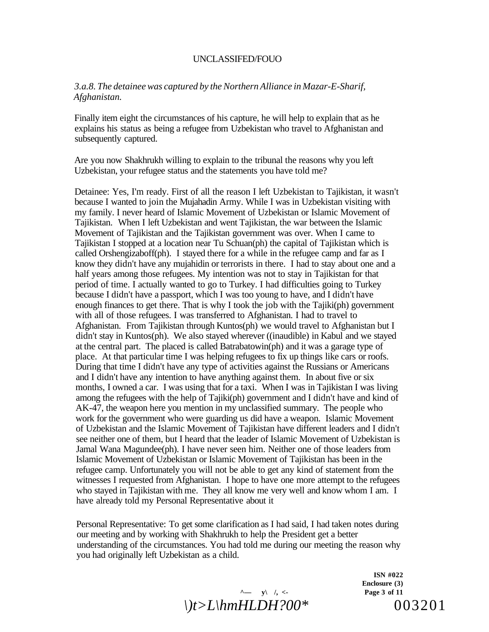### *3.a.8. The detainee was captured by the Northern Alliance in Mazar-E-Sharif, Afghanistan.*

Finally item eight the circumstances of his capture, he will help to explain that as he explains his status as being a refugee from Uzbekistan who travel to Afghanistan and subsequently captured.

Are you now Shakhrukh willing to explain to the tribunal the reasons why you left Uzbekistan, your refugee status and the statements you have told me?

Detainee: Yes, I'm ready. First of all the reason I left Uzbekistan to Tajikistan, it wasn't because I wanted to join the Mujahadin Army. While I was in Uzbekistan visiting with my family. I never heard of Islamic Movement of Uzbekistan or Islamic Movement of Tajikistan. When I left Uzbekistan and went Tajikistan, the war between the Islamic Movement of Tajikistan and the Tajikistan government was over. When I came to Tajikistan I stopped at a location near Tu Schuan(ph) the capital of Tajikistan which is called Orshengizaboff(ph). I stayed there for a while in the refugee camp and far as I know they didn't have any mujahidin or terrorists in there. I had to stay about one and a half years among those refugees. My intention was not to stay in Tajikistan for that period of time. I actually wanted to go to Turkey. I had difficulties going to Turkey because I didn't have a passport, which I was too young to have, and I didn't have enough finances to get there. That is why I took the job with the Tajiki(ph) government with all of those refugees. I was transferred to Afghanistan. I had to travel to Afghanistan. From Tajikistan through Kuntos(ph) we would travel to Afghanistan but I didn't stay in Kuntos(ph). We also stayed wherever ((inaudible) in Kabul and we stayed at the central part. The placed is called Batrabatowin(ph) and it was a garage type of place. At that particular time I was helping refugees to fix up things like cars or roofs. During that time I didn't have any type of activities against the Russians or Americans and I didn't have any intention to have anything against them. In about five or six months, I owned a car. I was using that for a taxi. When I was in Tajikistan I was living among the refugees with the help of Tajiki(ph) government and I didn't have and kind of AK-47, the weapon here you mention in my unclassified summary. The people who work for the government who were guarding us did have a weapon. Islamic Movement of Uzbekistan and the Islamic Movement of Tajikistan have different leaders and I didn't see neither one of them, but I heard that the leader of Islamic Movement of Uzbekistan is Jamal Wana Magundee(ph). I have never seen him. Neither one of those leaders from Islamic Movement of Uzbekistan or Islamic Movement of Tajikistan has been in the refugee camp. Unfortunately you will not be able to get any kind of statement from the witnesses I requested from Afghanistan. I hope to have one more attempt to the refugees who stayed in Tajikistan with me. They all know me very well and know whom I am. I have already told my Personal Representative about it

Personal Representative: To get some clarification as I had said, I had taken notes during our meeting and by working with Shakhrukh to help the President get a better understanding of the circumstances. You had told me during our meeting the reason why you had originally left Uzbekistan as a child.



**ISN #022 Enclosure (3)**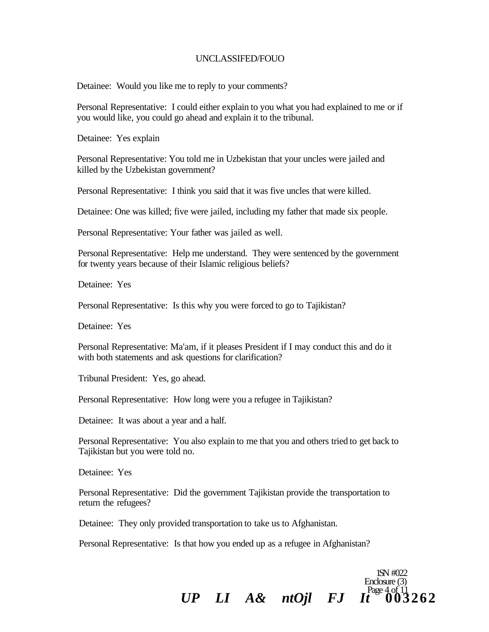Detainee: Would you like me to reply to your comments?

Personal Representative: I could either explain to you what you had explained to me or if you would like, you could go ahead and explain it to the tribunal.

Detainee: Yes explain

Personal Representative: You told me in Uzbekistan that your uncles were jailed and killed by the Uzbekistan government?

Personal Representative: I think you said that it was five uncles that were killed.

Detainee: One was killed; five were jailed, including my father that made six people.

Personal Representative: Your father was jailed as well.

Personal Representative: Help me understand. They were sentenced by the government for twenty years because of their Islamic religious beliefs?

Detainee: Yes

Personal Representative: Is this why you were forced to go to Tajikistan?

Detainee: Yes

Personal Representative: Ma'am, if it pleases President if I may conduct this and do it with both statements and ask questions for clarification?

Tribunal President: Yes, go ahead.

Personal Representative: How long were you a refugee in Tajikistan?

Detainee: It was about a year and a half.

Personal Representative: You also explain to me that you and others tried to get back to Tajikistan but you were told no.

Detainee: Yes

Personal Representative: Did the government Tajikistan provide the transportation to return the refugees?

Detainee: They only provided transportation to take us to Afghanistan.

Personal Representative: Is that how you ended up as a refugee in Afghanistan?

Enclosure (3)  $UP$  *LI*  $A\&$   $ntOjl$  *FJ*  $I_t^{\text{Page 4 of 11}}$  003262

1SN #022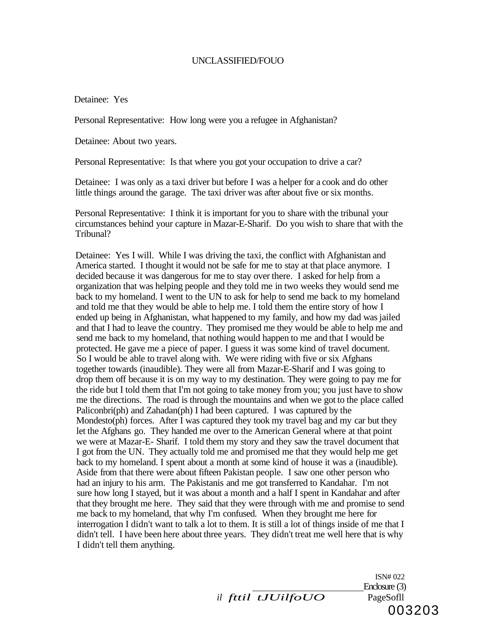Detainee: Yes

Personal Representative: How long were you a refugee in Afghanistan?

Detainee: About two years.

Personal Representative: Is that where you got your occupation to drive a car?

Detainee: I was only as a taxi driver but before I was a helper for a cook and do other little things around the garage. The taxi driver was after about five or six months.

Personal Representative: I think it is important for you to share with the tribunal your circumstances behind your capture in Mazar-E-Sharif. Do you wish to share that with the Tribunal?

Detainee: Yes I will. While I was driving the taxi, the conflict with Afghanistan and America started. I thought it would not be safe for me to stay at that place anymore. I decided because it was dangerous for me to stay over there. I asked for help from a organization that was helping people and they told me in two weeks they would send me back to my homeland. I went to the UN to ask for help to send me back to my homeland and told me that they would be able to help me. I told them the entire story of how I ended up being in Afghanistan, what happened to my family, and how my dad was jailed and that I had to leave the country. They promised me they would be able to help me and send me back to my homeland, that nothing would happen to me and that I would be protected. He gave me a piece of paper. I guess it was some kind of travel document. So I would be able to travel along with. We were riding with five or six Afghans together towards (inaudible). They were all from Mazar-E-Sharif and I was going to drop them off because it is on my way to my destination. They were going to pay me for the ride but I told them that I'm not going to take money from you; you just have to show me the directions. The road is through the mountains and when we got to the place called Paliconbri(ph) and Zahadan(ph) I had been captured. I was captured by the Mondesto(ph) forces. After I was captured they took my travel bag and my car but they let the Afghans go. They handed me over to the American General where at that point we were at Mazar-E- Sharif. I told them my story and they saw the travel document that I got from the UN. They actually told me and promised me that they would help me get back to my homeland. I spent about a month at some kind of house it was a (inaudible). Aside from that there were about fifteen Pakistan people. I saw one other person who had an injury to his arm. The Pakistanis and me got transferred to Kandahar. I'm not sure how long I stayed, but it was about a month and a half I spent in Kandahar and after that they brought me here. They said that they were through with me and promise to send me back to my homeland, that why I'm confused. When they brought me here for interrogation I didn't want to talk a lot to them. It is still a lot of things inside of me that I didn't tell. I have been here about three years. They didn't treat me well here that is why I didn't tell them anything.

*il fttil tJUilfoUO* PageSofll

ISN# 022 Enclosure (3) 003203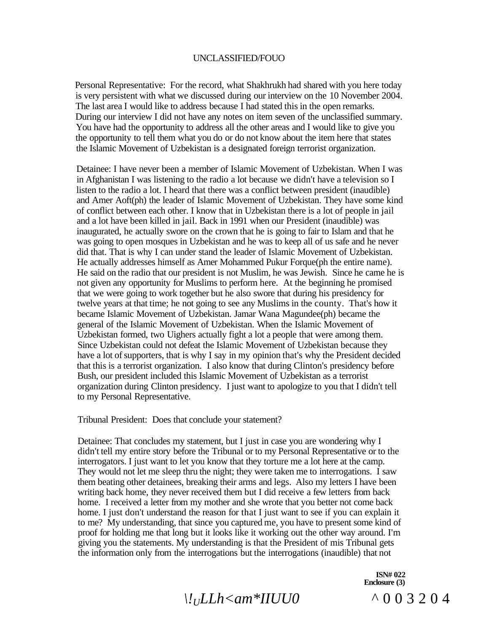Personal Representative: For the record, what Shakhrukh had shared with you here today is very persistent with what we discussed during our interview on the 10 November 2004. The last area I would like to address because I had stated this in the open remarks. During our interview I did not have any notes on item seven of the unclassified summary. You have had the opportunity to address all the other areas and I would like to give you the opportunity to tell them what you do or do not know about the item here that states the Islamic Movement of Uzbekistan is a designated foreign terrorist organization.

Detainee: I have never been a member of Islamic Movement of Uzbekistan. When I was in Afghanistan I was listening to the radio a lot because we didn't have a television so I listen to the radio a lot. I heard that there was a conflict between president (inaudible) and Amer Aoft(ph) the leader of Islamic Movement of Uzbekistan. They have some kind of conflict between each other. I know that in Uzbekistan there is a lot of people in jail and a lot have been killed in jail. Back in 1991 when our President (inaudible) was inaugurated, he actually swore on the crown that he is going to fair to Islam and that he was going to open mosques in Uzbekistan and he was to keep all of us safe and he never did that. That is why I can under stand the leader of Islamic Movement of Uzbekistan. He actually addresses himself as Amer Mohammed Pukur Forque(ph the entire name). He said on the radio that our president is not Muslim, he was Jewish. Since he came he is not given any opportunity for Muslims to perform here. At the beginning he promised that we were going to work together but he also swore that during his presidency for twelve years at that time; he not going to see any Muslims in the county. That's how it became Islamic Movement of Uzbekistan. Jamar Wana Magundee(ph) became the general of the Islamic Movement of Uzbekistan. When the Islamic Movement of Uzbekistan formed, two Uighers actually fight a lot a people that were among them. Since Uzbekistan could not defeat the Islamic Movement of Uzbekistan because they have a lot of supporters, that is why I say in my opinion that's why the President decided that this is a terrorist organization. I also know that during Clinton's presidency before Bush, our president included this Islamic Movement of Uzbekistan as a terrorist organization during Clinton presidency. I just want to apologize to you that I didn't tell to my Personal Representative.

Tribunal President: Does that conclude your statement?

Detainee: That concludes my statement, but I just in case you are wondering why I didn't tell my entire story before the Tribunal or to my Personal Representative or to the interrogators. I just want to let you know that they torture me a lot here at the camp. They would not let me sleep thru the night; they were taken me to interrogations. I saw them beating other detainees, breaking their arms and legs. Also my letters I have been writing back home, they never received them but I did receive a few letters from back home. I received a letter from my mother and she wrote that you better not come back home. I just don't understand the reason for that I just want to see if you can explain it to me? My understanding, that since you captured me, you have to present some kind of proof for holding me that long but it looks like it working out the other way around. I'm giving you the statements. My understanding is that the President of mis Tribunal gets the information only from the interrogations but the interrogations (inaudible) that not

> **ISN# 022 Enclosure (3)**

*\!ULLh<am\*IIUU0* ^00320 4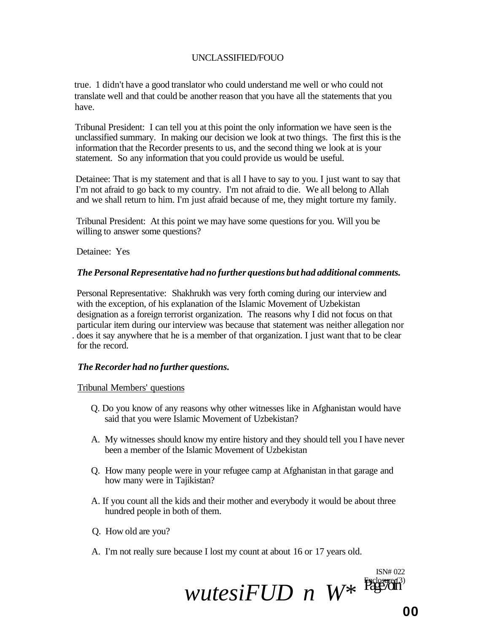true. 1 didn't have a good translator who could understand me well or who could not translate well and that could be another reason that you have all the statements that you have.

Tribunal President: I can tell you at this point the only information we have seen is the unclassified summary. In making our decision we look at two things. The first this is the information that the Recorder presents to us, and the second thing we look at is your statement. So any information that you could provide us would be useful.

Detainee: That is my statement and that is all I have to say to you. I just want to say that I'm not afraid to go back to my country. I'm not afraid to die. We all belong to Allah and we shall return to him. I'm just afraid because of me, they might torture my family.

Tribunal President: At this point we may have some questions for you. Will you be willing to answer some questions?

Detainee: Yes

### *The Personal Representative had no further questions but had additional comments.*

Personal Representative: Shakhrukh was very forth coming during our interview and with the exception, of his explanation of the Islamic Movement of Uzbekistan designation as a foreign terrorist organization. The reasons why I did not focus on that particular item during our interview was because that statement was neither allegation nor . does it say anywhere that he is a member of that organization. I just want that to be clear for the record.

# *The Recorder had no further questions.*

Tribunal Members' questions

- Q. Do you know of any reasons why other witnesses like in Afghanistan would have said that you were Islamic Movement of Uzbekistan?
- A. My witnesses should know my entire history and they should tell you I have never been a member of the Islamic Movement of Uzbekistan
- Q. How many people were in your refugee camp at Afghanistan in that garage and how many were in Tajikistan?
- A. If you count all the kids and their mother and everybody it would be about three hundred people in both of them.
- Q. How old are you?
- A. I'm not really sure because I lost my count at about 16 or 17 years old.



ISN# 022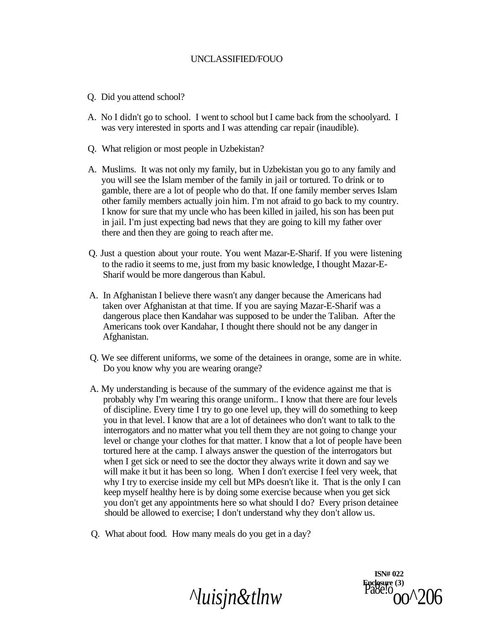- Q. Did you attend school?
- A. No I didn't go to school. I went to school but I came back from the schoolyard. I was very interested in sports and I was attending car repair (inaudible).
- Q. What religion or most people in Uzbekistan?
- A. Muslims. It was not only my family, but in Uzbekistan you go to any family and you will see the Islam member of the family in jail or tortured. To drink or to gamble, there are a lot of people who do that. If one family member serves Islam other family members actually join him. I'm not afraid to go back to my country. I know for sure that my uncle who has been killed in jailed, his son has been put in jail. I'm just expecting bad news that they are going to kill my father over there and then they are going to reach after me.
- Q. Just a question about your route. You went Mazar-E-Sharif. If you were listening to the radio it seems to me, just from my basic knowledge, I thought Mazar-E-Sharif would be more dangerous than Kabul.
- A. In Afghanistan I believe there wasn't any danger because the Americans had taken over Afghanistan at that time. If you are saying Mazar-E-Sharif was a dangerous place then Kandahar was supposed to be under the Taliban. After the Americans took over Kandahar, I thought there should not be any danger in Afghanistan.
- Q. We see different uniforms, we some of the detainees in orange, some are in white. Do you know why you are wearing orange?
- A. My understanding is because of the summary of the evidence against me that is probably why I'm wearing this orange uniform.. I know that there are four levels of discipline. Every time I try to go one level up, they will do something to keep you in that level. I know that are a lot of detainees who don't want to talk to the interrogators and no matter what you tell them they are not going to change your level or change your clothes for that matter. I know that a lot of people have been tortured here at the camp. I always answer the question of the interrogators but when I get sick or need to see the doctor they always write it down and say we will make it but it has been so long. When I don't exercise I feel very week, that why I try to exercise inside my cell but MPs doesn't like it. That is the only I can keep myself healthy here is by doing some exercise because when you get sick you don't get any appointments here so what should I do? Every prison detainee should be allowed to exercise; I don't understand why they don't allow us.
- Q. What about food. How many meals do you get in a day?

*<i><u>Nuisjn&tlnw</u>* 

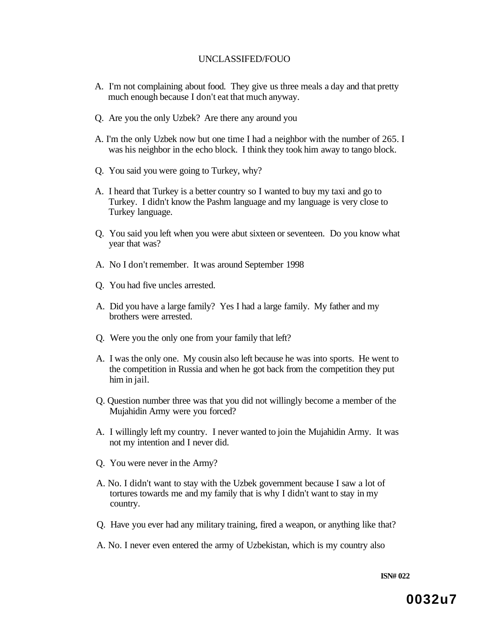- A. I'm not complaining about food. They give us three meals a day and that pretty much enough because I don't eat that much anyway.
- Q. Are you the only Uzbek? Are there any around you
- A. I'm the only Uzbek now but one time I had a neighbor with the number of 265. I was his neighbor in the echo block. I think they took him away to tango block.
- Q. You said you were going to Turkey, why?
- A. I heard that Turkey is a better country so I wanted to buy my taxi and go to Turkey. I didn't know the Pashm language and my language is very close to Turkey language.
- Q. You said you left when you were abut sixteen or seventeen. Do you know what year that was?
- A. No I don't remember. It was around September 1998
- Q. You had five uncles arrested.
- A. Did you have a large family? Yes I had a large family. My father and my brothers were arrested.
- Q. Were you the only one from your family that left?
- A. I was the only one. My cousin also left because he was into sports. He went to the competition in Russia and when he got back from the competition they put him in jail.
- Q. Question number three was that you did not willingly become a member of the Mujahidin Army were you forced?
- A. I willingly left my country. I never wanted to join the Mujahidin Army. It was not my intention and I never did.
- Q. You were never in the Army?
- A. No. I didn't want to stay with the Uzbek government because I saw a lot of tortures towards me and my family that is why I didn't want to stay in my country.
- Q. Have you ever had any military training, fired a weapon, or anything like that?
- A. No. I never even entered the army of Uzbekistan, which is my country also

**ISN# 022**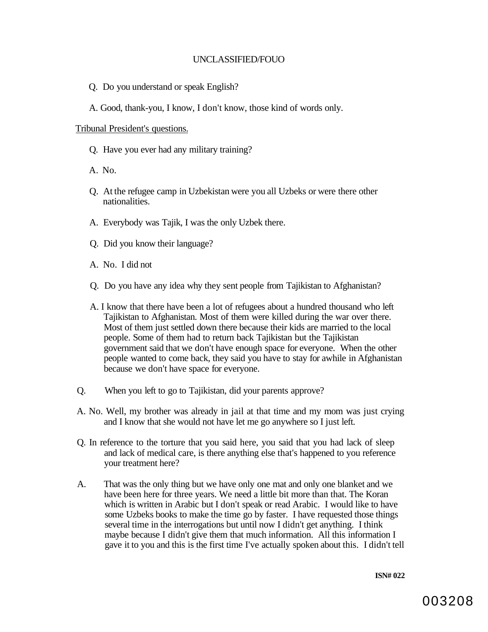- Q. Do you understand or speak English?
- A. Good, thank-you, I know, I don't know, those kind of words only.

#### Tribunal President's questions.

- Q. Have you ever had any military training?
- A. No.
- Q. At the refugee camp in Uzbekistan were you all Uzbeks or were there other nationalities.
- A. Everybody was Tajik, I was the only Uzbek there.
- Q. Did you know their language?
- A. No. I did not
- Q. Do you have any idea why they sent people from Tajikistan to Afghanistan?
- A. I know that there have been a lot of refugees about a hundred thousand who left Tajikistan to Afghanistan. Most of them were killed during the war over there. Most of them just settled down there because their kids are married to the local people. Some of them had to return back Tajikistan but the Tajikistan government said that we don't have enough space for everyone. When the other people wanted to come back, they said you have to stay for awhile in Afghanistan because we don't have space for everyone.
- Q. When you left to go to Tajikistan, did your parents approve?
- A. No. Well, my brother was already in jail at that time and my mom was just crying and I know that she would not have let me go anywhere so I just left.
- Q. In reference to the torture that you said here, you said that you had lack of sleep and lack of medical care, is there anything else that's happened to you reference your treatment here?
- A. That was the only thing but we have only one mat and only one blanket and we have been here for three years. We need a little bit more than that. The Koran which is written in Arabic but I don't speak or read Arabic. I would like to have some Uzbeks books to make the time go by faster. I have requested those things several time in the interrogations but until now I didn't get anything. I think maybe because I didn't give them that much information. All this information I gave it to you and this is the first time I've actually spoken about this. I didn't tell

**ISN# 022**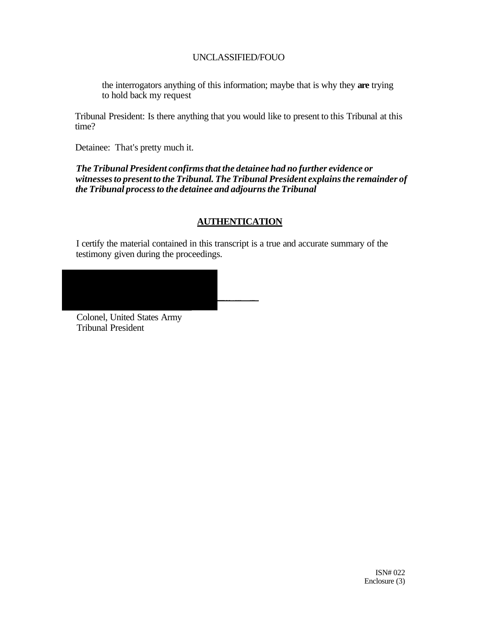the interrogators anything of this information; maybe that is why they **are** trying to hold back my request

Tribunal President: Is there anything that you would like to present to this Tribunal at this time?

Detainee: That's pretty much it.

*The Tribunal President confirms that the detainee had no further evidence or witnesses to present to the Tribunal. The Tribunal President explains the remainder of the Tribunal process to the detainee and adjourns the Tribunal* 

# **AUTHENTICATION**

I certify the material contained in this transcript is a true and accurate summary of the testimony given during the proceedings.



Colonel, United States Army Tribunal President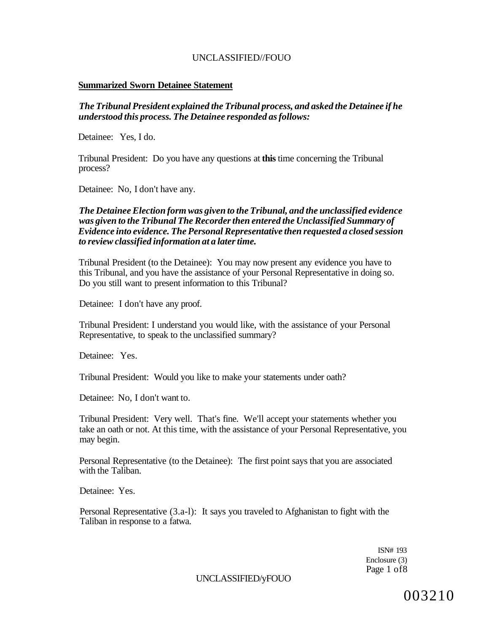### **Summarized Sworn Detainee Statement**

*The Tribunal President explained the Tribunal process, and asked the Detainee if he understood this process. The Detainee responded as follows:* 

Detainee: Yes, I do.

Tribunal President: Do you have any questions at **this** time concerning the Tribunal process?

Detainee: No, I don't have any.

## *The Detainee Election form was given to the Tribunal, and the unclassified evidence was given to the Tribunal The Recorder then entered the Unclassified Summary of Evidence into evidence. The Personal Representative then requested a closed session to review classified information at a later time.*

Tribunal President (to the Detainee): You may now present any evidence you have to this Tribunal, and you have the assistance of your Personal Representative in doing so. Do you still want to present information to this Tribunal?

Detainee: I don't have any proof.

Tribunal President: I understand you would like, with the assistance of your Personal Representative, to speak to the unclassified summary?

Detainee: Yes.

Tribunal President: Would you like to make your statements under oath?

Detainee: No, I don't want to.

Tribunal President: Very well. That's fine. We'll accept your statements whether you take an oath or not. At this time, with the assistance of your Personal Representative, you may begin.

Personal Representative (to the Detainee): The first point says that you are associated with the Taliban.

Detainee: Yes.

Personal Representative (3.a-l): It says you traveled to Afghanistan to fight with the Taliban in response to a fatwa.

> ISN# 193 Enclosure (3) Page 1 of8

UNCLASSIFIED/yFOUO

003210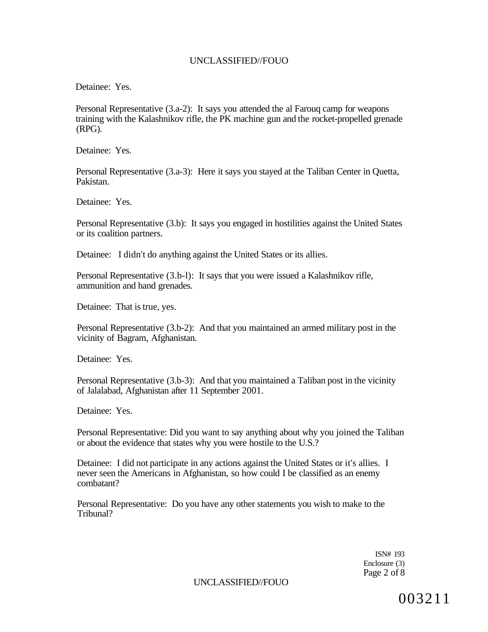Detainee: Yes.

Personal Representative (3.a-2): It says you attended the al Farouq camp for weapons training with the Kalashnikov rifle, the PK machine gun and the rocket-propelled grenade (RPG).

Detainee: Yes.

Personal Representative (3.a-3): Here it says you stayed at the Taliban Center in Quetta, Pakistan.

Detainee: Yes.

Personal Representative (3.b): It says you engaged in hostilities against the United States or its coalition partners.

Detainee: I didn't do anything against the United States or its allies.

Personal Representative (3.b-l): It says that you were issued a Kalashnikov rifle, ammunition and hand grenades.

Detainee: That is true, yes.

Personal Representative (3.b-2): And that you maintained an armed military post in the vicinity of Bagram, Afghanistan.

Detainee: Yes.

Personal Representative (3.b-3): And that you maintained a Taliban post in the vicinity of Jalalabad, Afghanistan after 11 September 2001.

Detainee: Yes.

Personal Representative: Did you want to say anything about why you joined the Taliban or about the evidence that states why you were hostile to the U.S.?

Detainee: I did not participate in any actions against the United States or it's allies. I never seen the Americans in Afghanistan, so how could I be classified as an enemy combatant?

Personal Representative: Do you have any other statements you wish to make to the Tribunal?

> ISN# 193 Enclosure (3) Page 2 of 8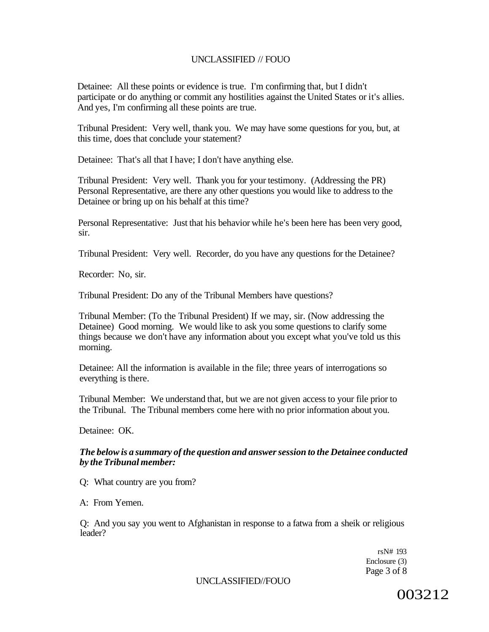Detainee: All these points or evidence is true. I'm confirming that, but I didn't participate or do anything or commit any hostilities against the United States or it's allies. And yes, I'm confirming all these points are true.

Tribunal President: Very well, thank you. We may have some questions for you, but, at this time, does that conclude your statement?

Detainee: That's all that I have; I don't have anything else.

Tribunal President: Very well. Thank you for your testimony. (Addressing the PR) Personal Representative, are there any other questions you would like to address to the Detainee or bring up on his behalf at this time?

Personal Representative: Just that his behavior while he's been here has been very good, sir.

Tribunal President: Very well. Recorder, do you have any questions for the Detainee?

Recorder: No, sir.

Tribunal President: Do any of the Tribunal Members have questions?

Tribunal Member: (To the Tribunal President) If we may, sir. (Now addressing the Detainee) Good morning. We would like to ask you some questions to clarify some things because we don't have any information about you except what you've told us this morning.

Detainee: All the information is available in the file; three years of interrogations so everything is there.

Tribunal Member: We understand that, but we are not given access to your file prior to the Tribunal. The Tribunal members come here with no prior information about you.

Detainee: OK.

### *The below is a summary of the question and answer session to the Detainee conducted by the Tribunal member:*

Q: What country are you from?

A: From Yemen.

Q: And you say you went to Afghanistan in response to a fatwa from a sheik or religious leader?

> rsN# 193 Enclosure (3) Page 3 of 8

UNCLASSIFIED//FOUO

003212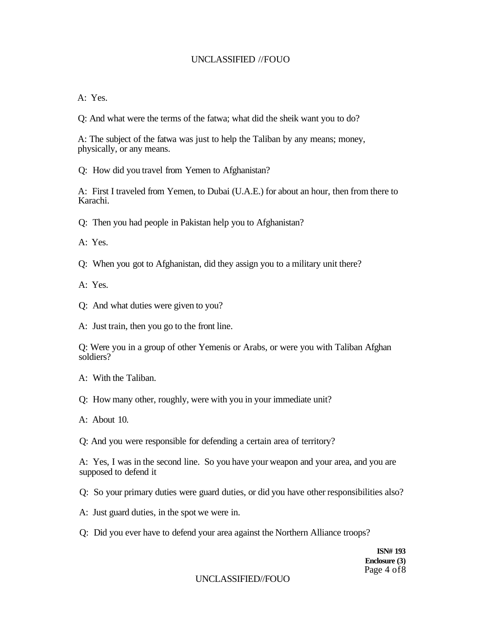$A \cdot Y_{PS}$ 

Q: And what were the terms of the fatwa; what did the sheik want you to do?

A: The subject of the fatwa was just to help the Taliban by any means; money, physically, or any means.

Q: How did you travel from Yemen to Afghanistan?

A: First I traveled from Yemen, to Dubai (U.A.E.) for about an hour, then from there to Karachi.

Q: Then you had people in Pakistan help you to Afghanistan?

A: Yes.

Q: When you got to Afghanistan, did they assign you to a military unit there?

A: Yes.

- Q: And what duties were given to you?
- A: Just train, then you go to the front line.

Q: Were you in a group of other Yemenis or Arabs, or were you with Taliban Afghan soldiers?

A: With the Taliban.

- Q: How many other, roughly, were with you in your immediate unit?
- A: About 10.

Q: And you were responsible for defending a certain area of territory?

A: Yes, I was in the second line. So you have your weapon and your area, and you are supposed to defend it

Q: So your primary duties were guard duties, or did you have other responsibilities also?

- A: Just guard duties, in the spot we were in.
- Q: Did you ever have to defend your area against the Northern Alliance troops?

**ISN# 193 Enclosure (3)**  Page 4 of 8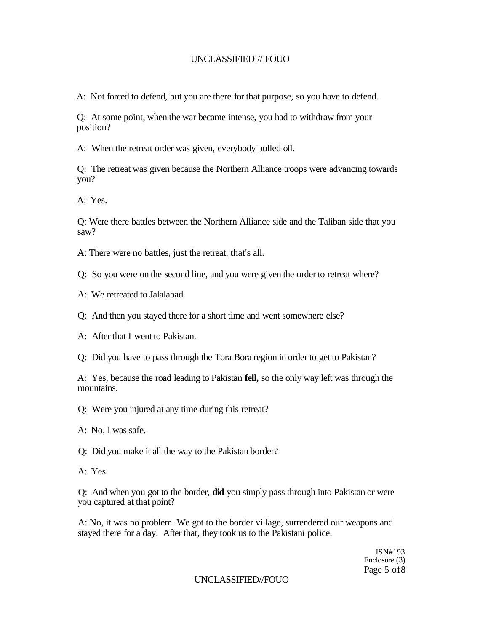A: Not forced to defend, but you are there for that purpose, so you have to defend.

Q: At some point, when the war became intense, you had to withdraw from your position?

A: When the retreat order was given, everybody pulled off.

Q: The retreat was given because the Northern Alliance troops were advancing towards you?

A: Yes.

Q: Were there battles between the Northern Alliance side and the Taliban side that you saw?

A: There were no battles, just the retreat, that's all.

Q: So you were on the second line, and you were given the order to retreat where?

- A: We retreated to Jalalabad.
- Q: And then you stayed there for a short time and went somewhere else?
- A: After that I went to Pakistan.

Q: Did you have to pass through the Tora Bora region in order to get to Pakistan?

A: Yes, because the road leading to Pakistan **fell,** so the only way left was through the mountains.

Q: Were you injured at any time during this retreat?

A: No, I was safe.

Q: Did you make it all the way to the Pakistan border?

A: Yes.

Q: And when you got to the border, **did** you simply pass through into Pakistan or were you captured at that point?

A: No, it was no problem. We got to the border village, surrendered our weapons and stayed there for a day. After that, they took us to the Pakistani police.

> ISN#193 Enclosure (3) Page 5 of8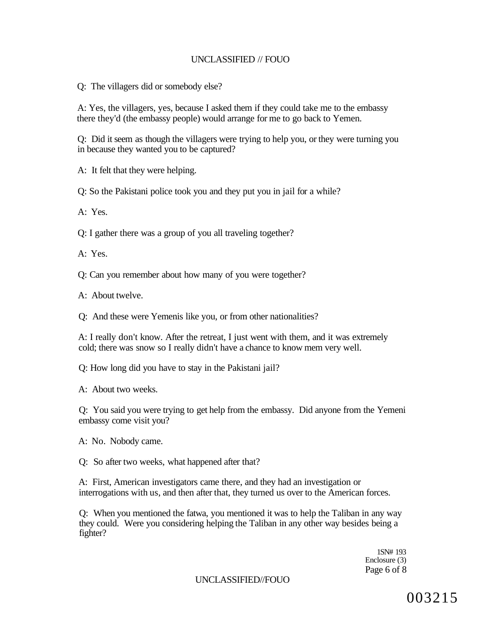Q: The villagers did or somebody else?

A: Yes, the villagers, yes, because I asked them if they could take me to the embassy there they'd (the embassy people) would arrange for me to go back to Yemen.

Q: Did it seem as though the villagers were trying to help you, or they were turning you in because they wanted you to be captured?

A: It felt that they were helping.

Q: So the Pakistani police took you and they put you in jail for a while?

A: Yes.

Q: I gather there was a group of you all traveling together?

A: Yes.

Q: Can you remember about how many of you were together?

A: About twelve.

Q: And these were Yemenis like you, or from other nationalities?

A: I really don't know. After the retreat, I just went with them, and it was extremely cold; there was snow so I really didn't have a chance to know mem very well.

Q: How long did you have to stay in the Pakistani jail?

A: About two weeks.

Q: You said you were trying to get help from the embassy. Did anyone from the Yemeni embassy come visit you?

A: No. Nobody came.

Q: So after two weeks, what happened after that?

A: First, American investigators came there, and they had an investigation or interrogations with us, and then after that, they turned us over to the American forces.

Q: When you mentioned the fatwa, you mentioned it was to help the Taliban in any way they could. Were you considering helping the Taliban in any other way besides being a fighter?

> 1SN# 193 Enclosure (3) Page 6 of 8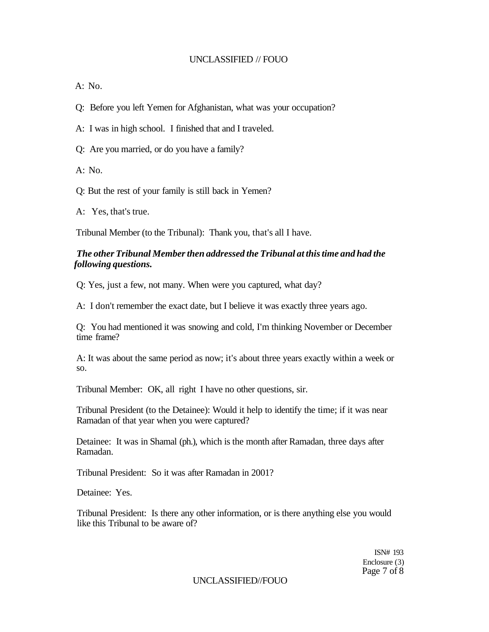A: No.

Q: Before you left Yemen for Afghanistan, what was your occupation?

A: I was in high school. I finished that and I traveled.

Q: Are you married, or do you have a family?

A: No.

Q: But the rest of your family is still back in Yemen?

A: Yes, that's true.

Tribunal Member (to the Tribunal): Thank you, that's all I have.

# *The other Tribunal Member then addressed the Tribunal at this time and had the following questions.*

Q: Yes, just a few, not many. When were you captured, what day?

A: I don't remember the exact date, but I believe it was exactly three years ago.

Q: You had mentioned it was snowing and cold, I'm thinking November or December time frame?

A: It was about the same period as now; it's about three years exactly within a week or so.

Tribunal Member: OK, all right I have no other questions, sir.

Tribunal President (to the Detainee): Would it help to identify the time; if it was near Ramadan of that year when you were captured?

Detainee: It was in Shamal (ph.), which is the month after Ramadan, three days after Ramadan.

Tribunal President: So it was after Ramadan in 2001?

Detainee: Yes.

Tribunal President: Is there any other information, or is there anything else you would like this Tribunal to be aware of?

> ISN# 193 Enclosure (3) Page 7 of 8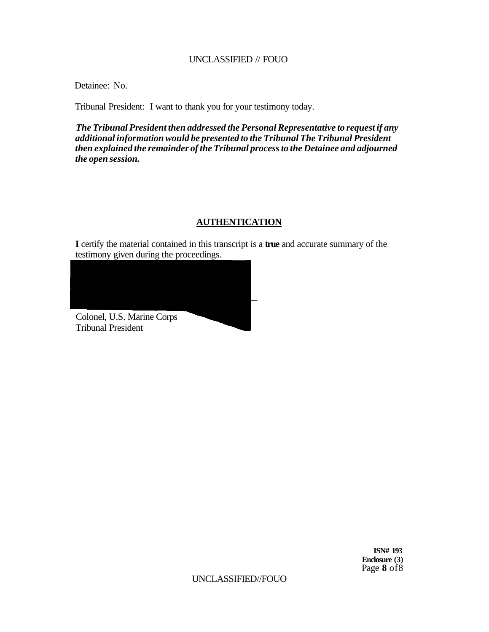Detainee: No.

Tribunal President: I want to thank you for your testimony today.

*The Tribunal President then addressed the Personal Representative to request if any additional information would be presented to the Tribunal The Tribunal President then explained the remainder of the Tribunal process to the Detainee and adjourned the open session.* 

# **AUTHENTICATION**

**I** certify the material contained in this transcript is a **true** and accurate summary of the testimony given during the proceedings.



**ISN# 193 Enclosure (3)**  Page **8** of8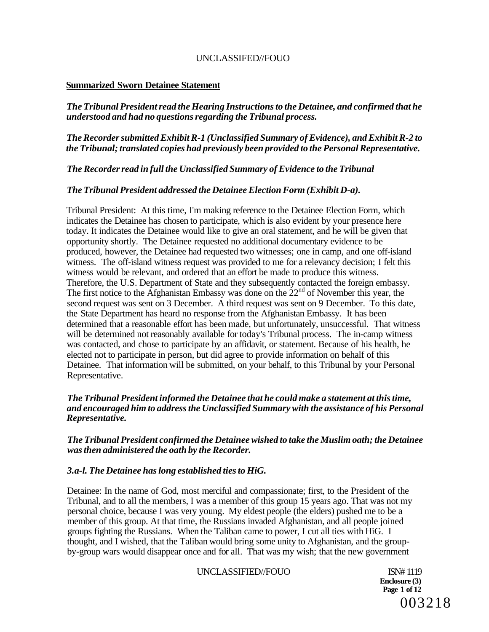# **Summarized Sworn Detainee Statement**

*The Tribunal President read the Hearing Instructions to the Detainee, and confirmed that he understood and had no questions regarding the Tribunal process.* 

# *The Recorder submitted Exhibit R-1 (Unclassified Summary of Evidence), and Exhibit R-2 to the Tribunal; translated copies had previously been provided to the Personal Representative.*

*The Recorder read in full the Unclassified Summary of Evidence to the Tribunal* 

### *The Tribunal President addressed the Detainee Election Form (Exhibit D-a).*

Tribunal President: At this time, I'm making reference to the Detainee Election Form, which indicates the Detainee has chosen to participate, which is also evident by your presence here today. It indicates the Detainee would like to give an oral statement, and he will be given that opportunity shortly. The Detainee requested no additional documentary evidence to be produced, however, the Detainee had requested two witnesses; one in camp, and one off-island witness. The off-island witness request was provided to me for a relevancy decision; I felt this witness would be relevant, and ordered that an effort be made to produce this witness. Therefore, the U.S. Department of State and they subsequently contacted the foreign embassy. The first notice to the Afghanistan Embassy was done on the  $22<sup>nd</sup>$  of November this year, the second request was sent on 3 December. A third request was sent on 9 December. To this date, the State Department has heard no response from the Afghanistan Embassy. It has been determined that a reasonable effort has been made, but unfortunately, unsuccessful. That witness will be determined not reasonably available for today's Tribunal process. The in-camp witness was contacted, and chose to participate by an affidavit, or statement. Because of his health, he elected not to participate in person, but did agree to provide information on behalf of this Detainee. That information will be submitted, on your behalf, to this Tribunal by your Personal Representative.

# *The Tribunal President informed the Detainee that he could make a statement at this time, and encouraged him to address the Unclassified Summary with the assistance of his Personal Representative.*

*The Tribunal President confirmed the Detainee wished to take the Muslim oath; the Detainee was then administered the oath by the Recorder.* 

# *3.a-l. The Detainee has long established ties to HiG.*

Detainee: In the name of God, most merciful and compassionate; first, to the President of the Tribunal, and to all the members, I was a member of this group 15 years ago. That was not my personal choice, because I was very young. My eldest people (the elders) pushed me to be a member of this group. At that time, the Russians invaded Afghanistan, and all people joined groups fighting the Russians. When the Taliban came to power, I cut all ties with HiG. I thought, and I wished, that the Taliban would bring some unity to Afghanistan, and the groupby-group wars would disappear once and for all. That was my wish; that the new government

UNCLASSIFIED//FOUO ISN# 1119

**Enclosure (3) Page 1 of 12**  003218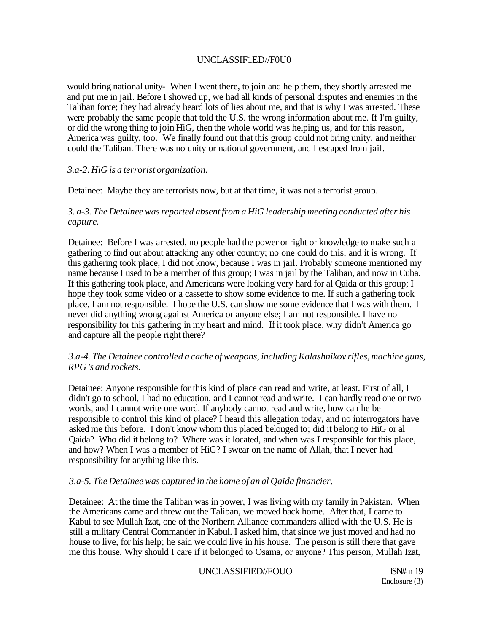# UNCLASSIF1ED//F0U0

would bring national unity- When I went there, to join and help them, they shortly arrested me and put me in jail. Before I showed up, we had all kinds of personal disputes and enemies in the Taliban force; they had already heard lots of lies about me, and that is why I was arrested. These were probably the same people that told the U.S. the wrong information about me. If I'm guilty, or did the wrong thing to join HiG, then the whole world was helping us, and for this reason, America was guilty, too. We finally found out that this group could not bring unity, and neither could the Taliban. There was no unity or national government, and I escaped from jail.

# *3.a-2. HiG is a terrorist organization.*

Detainee: Maybe they are terrorists now, but at that time, it was not a terrorist group.

# *3. a-3. The Detainee was reported absent from a HiG leadership meeting conducted after his capture.*

Detainee: Before I was arrested, no people had the power or right or knowledge to make such a gathering to find out about attacking any other country; no one could do this, and it is wrong. If this gathering took place, I did not know, because I was in jail. Probably someone mentioned my name because I used to be a member of this group; I was in jail by the Taliban, and now in Cuba. If this gathering took place, and Americans were looking very hard for al Qaida or this group; I hope they took some video or a cassette to show some evidence to me. If such a gathering took place, I am not responsible. I hope the U.S. can show me some evidence that I was with them. I never did anything wrong against America or anyone else; I am not responsible. I have no responsibility for this gathering in my heart and mind. If it took place, why didn't America go and capture all the people right there?

# *3.a-4. The Detainee controlled a cache of weapons, including Kalashnikov rifles, machine guns, RPG 's and rockets.*

Detainee: Anyone responsible for this kind of place can read and write, at least. First of all, I didn't go to school, I had no education, and I cannot read and write. I can hardly read one or two words, and I cannot write one word. If anybody cannot read and write, how can he be responsible to control this kind of place? I heard this allegation today, and no interrogators have asked me this before. I don't know whom this placed belonged to; did it belong to HiG or al Qaida? Who did it belong to? Where was it located, and when was I responsible for this place, and how? When I was a member of HiG? I swear on the name of Allah, that I never had responsibility for anything like this.

# *3.a-5. The Detainee was captured in the home of an al Qaida financier.*

Detainee: At the time the Taliban was in power, I was living with my family in Pakistan. When the Americans came and threw out the Taliban, we moved back home. After that, I came to Kabul to see Mullah Izat, one of the Northern Alliance commanders allied with the U.S. He is still a military Central Commander in Kabul. I asked him, that since we just moved and had no house to live, for his help; he said we could live in his house. The person is still there that gave me this house. Why should I care if it belonged to Osama, or anyone? This person, Mullah Izat,

UNCLASSIFIED//FOUO ISN# n 19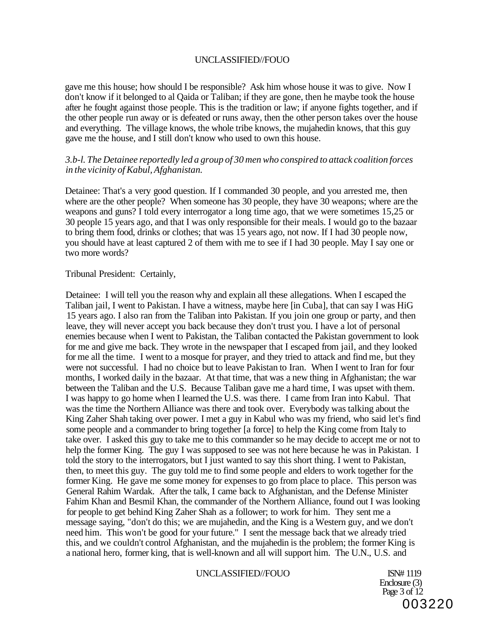gave me this house; how should I be responsible? Ask him whose house it was to give. Now I don't know if it belonged to al Qaida or Taliban; if they are gone, then he maybe took the house after he fought against those people. This is the tradition or law; if anyone fights together, and if the other people run away or is defeated or runs away, then the other person takes over the house and everything. The village knows, the whole tribe knows, the mujahedin knows, that this guy gave me the house, and I still don't know who used to own this house.

### *3.b-l. The Detainee reportedly led a group of 30 men who conspired to attack coalition forces in the vicinity of Kabul, Afghanistan.*

Detainee: That's a very good question. If I commanded 30 people, and you arrested me, then where are the other people? When someone has 30 people, they have 30 weapons; where are the weapons and guns? I told every interrogator a long time ago, that we were sometimes 15,25 or 30 people 15 years ago, and that I was only responsible for their meals. I would go to the bazaar to bring them food, drinks or clothes; that was 15 years ago, not now. If I had 30 people now, you should have at least captured 2 of them with me to see if I had 30 people. May I say one or two more words?

Tribunal President: Certainly,

Detainee: I will tell you the reason why and explain all these allegations. When I escaped the Taliban jail, I went to Pakistan. I have a witness, maybe here [in Cuba], that can say I was HiG 15 years ago. I also ran from the Taliban into Pakistan. If you join one group or party, and then leave, they will never accept you back because they don't trust you. I have a lot of personal enemies because when I went to Pakistan, the Taliban contacted the Pakistan government to look for me and give me back. They wrote in the newspaper that I escaped from jail, and they looked for me all the time. I went to a mosque for prayer, and they tried to attack and find me, but they were not successful. I had no choice but to leave Pakistan to Iran. When I went to Iran for four months, I worked daily in the bazaar. At that time, that was a new thing in Afghanistan; the war between the Taliban and the U.S. Because Taliban gave me a hard time, I was upset with them. I was happy to go home when I learned the U.S. was there. I came from Iran into Kabul. That was the time the Northern Alliance was there and took over. Everybody was talking about the King Zaher Shah taking over power. I met a guy in Kabul who was my friend, who said let's find some people and a commander to bring together [a force] to help the King come from Italy to take over. I asked this guy to take me to this commander so he may decide to accept me or not to help the former King. The guy I was supposed to see was not here because he was in Pakistan. I told the story to the interrogators, but I just wanted to say this short thing. I went to Pakistan, then, to meet this guy. The guy told me to find some people and elders to work together for the former King. He gave me some money for expenses to go from place to place. This person was General Rahim Wardak. After the talk, I came back to Afghanistan, and the Defense Minister Fahim Khan and Besmil Khan, the commander of the Northern Alliance, found out I was looking for people to get behind King Zaher Shah as a follower; to work for him. They sent me a message saying, "don't do this; we are mujahedin, and the King is a Western guy, and we don't need him. This won't be good for your future." I sent the message back that we already tried this, and we couldn't control Afghanistan, and the mujahedin is the problem; the former King is a national hero, former king, that is well-known and all will support him. The U.N., U.S. and

#### UNCLASSIFIED//FOUO ISN# 1119

Enclosure (3) Page  $3$  of  $12$ 003220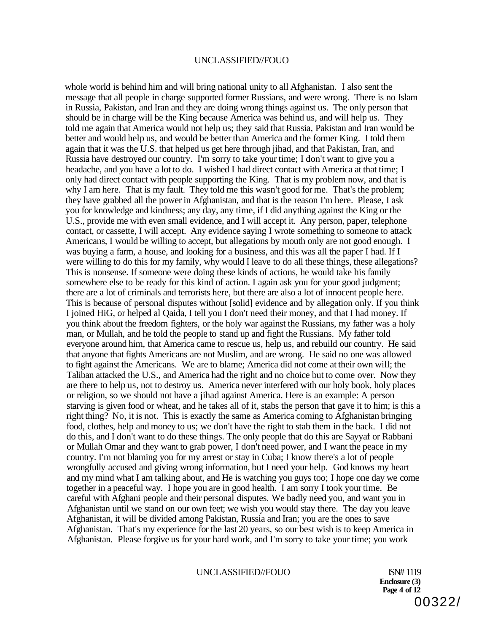whole world is behind him and will bring national unity to all Afghanistan. I also sent the message that all people in charge supported former Russians, and were wrong. There is no Islam in Russia, Pakistan, and Iran and they are doing wrong things against us. The only person that should be in charge will be the King because America was behind us, and will help us. They told me again that America would not help us; they said that Russia, Pakistan and Iran would be better and would help us, and would be better than America and the former King. I told them again that it was the U.S. that helped us get here through jihad, and that Pakistan, Iran, and Russia have destroyed our country. I'm sorry to take your time; I don't want to give you a headache, and you have a lot to do. I wished I had direct contact with America at that time; I only had direct contact with people supporting the King. That is my problem now, and that is why I am here. That is my fault. They told me this wasn't good for me. That's the problem: they have grabbed all the power in Afghanistan, and that is the reason I'm here. Please, I ask you for knowledge and kindness; any day, any time, if I did anything against the King or the U.S., provide me with even small evidence, and I will accept it. Any person, paper, telephone contact, or cassette, I will accept. Any evidence saying I wrote something to someone to attack Americans, I would be willing to accept, but allegations by mouth only are not good enough. I was buying a farm, a house, and looking for a business, and this was all the paper I had. If I were willing to do this for my family, why would I leave to do all these things, these allegations? This is nonsense. If someone were doing these kinds of actions, he would take his family somewhere else to be ready for this kind of action. I again ask you for your good judgment; there are a lot of criminals and terrorists here, but there are also a lot of innocent people here. This is because of personal disputes without [solid] evidence and by allegation only. If you think I joined HiG, or helped al Qaida, I tell you I don't need their money, and that I had money. If you think about the freedom fighters, or the holy war against the Russians, my father was a holy man, or Mullah, and he told the people to stand up and fight the Russians. My father told everyone around him, that America came to rescue us, help us, and rebuild our country. He said that anyone that fights Americans are not Muslim, and are wrong. He said no one was allowed to fight against the Americans. We are to blame; America did not come at their own will; the Taliban attacked the U.S., and America had the right and no choice but to come over. Now they are there to help us, not to destroy us. America never interfered with our holy book, holy places or religion, so we should not have a jihad against America. Here is an example: A person starving is given food or wheat, and he takes all of it, stabs the person that gave it to him; is this a right thing? No, it is not. This is exactly the same as America coming to Afghanistan bringing food, clothes, help and money to us; we don't have the right to stab them in the back. I did not do this, and I don't want to do these things. The only people that do this are Sayyaf or Rabbani or Mullah Omar and they want to grab power, I don't need power, and I want the peace in my country. I'm not blaming you for my arrest or stay in Cuba; I know there's a lot of people wrongfully accused and giving wrong information, but I need your help. God knows my heart and my mind what I am talking about, and He is watching you guys too; I hope one day we come together in a peaceful way. I hope you are in good health. I am sorry I took your time. Be careful with Afghani people and their personal disputes. We badly need you, and want you in Afghanistan until we stand on our own feet; we wish you would stay there. The day you leave Afghanistan, it will be divided among Pakistan, Russia and Iran; you are the ones to save Afghanistan. That's my experience for the last 20 years, so our best wish is to keep America in Afghanistan. Please forgive us for your hard work, and I'm sorry to take your time; you work

### UNCLASSIFIED//FOUO ISN# 1119

**Enclosure (3) Page 4 of 12**  00322/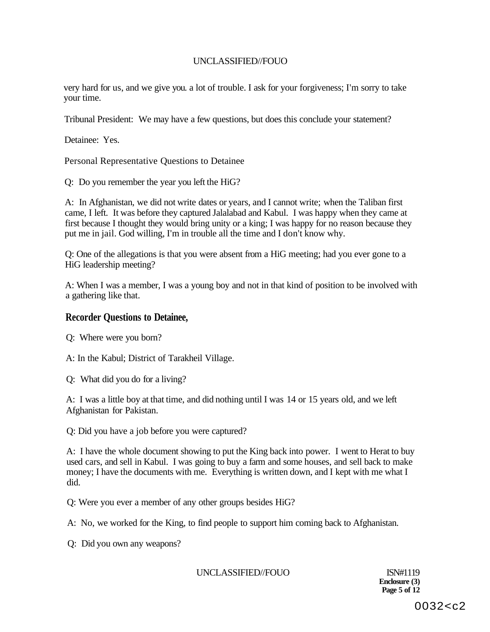very hard for us, and we give you. a lot of trouble. I ask for your forgiveness; I'm sorry to take your time.

Tribunal President: We may have a few questions, but does this conclude your statement?

Detainee: Yes.

Personal Representative Questions to Detainee

Q: Do you remember the year you left the HiG?

A: In Afghanistan, we did not write dates or years, and I cannot write; when the Taliban first came, I left. It was before they captured Jalalabad and Kabul. I was happy when they came at first because I thought they would bring unity or a king; I was happy for no reason because they put me in jail. God willing, I'm in trouble all the time and I don't know why.

Q: One of the allegations is that you were absent from a HiG meeting; had you ever gone to a HiG leadership meeting?

A: When I was a member, I was a young boy and not in that kind of position to be involved with a gathering like that.

### **Recorder Questions to Detainee,**

Q: Where were you born?

A: In the Kabul; District of Tarakheil Village.

Q: What did you do for a living?

A: I was a little boy at that time, and did nothing until I was 14 or 15 years old, and we left Afghanistan for Pakistan.

Q: Did you have a job before you were captured?

A: I have the whole document showing to put the King back into power. I went to Herat to buy used cars, and sell in Kabul. I was going to buy a farm and some houses, and sell back to make money; I have the documents with me. Everything is written down, and I kept with me what I did.

Q: Were you ever a member of any other groups besides HiG?

A: No, we worked for the King, to find people to support him coming back to Afghanistan.

Q: Did you own any weapons?

UNCLASSIFIED//FOUO ISN#1119

**Enclosure (3) Page 5 of 12**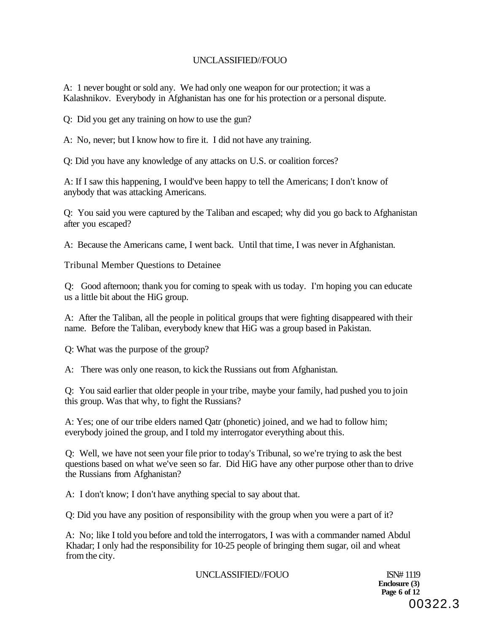A: 1 never bought or sold any. We had only one weapon for our protection; it was a Kalashnikov. Everybody in Afghanistan has one for his protection or a personal dispute.

Q: Did you get any training on how to use the gun?

A: No, never; but I know how to fire it. I did not have any training.

Q: Did you have any knowledge of any attacks on U.S. or coalition forces?

A: If I saw this happening, I would've been happy to tell the Americans; I don't know of anybody that was attacking Americans.

Q: You said you were captured by the Taliban and escaped; why did you go back to Afghanistan after you escaped?

A: Because the Americans came, I went back. Until that time, I was never in Afghanistan.

Tribunal Member Questions to Detainee

Q: Good afternoon; thank you for coming to speak with us today. I'm hoping you can educate us a little bit about the HiG group.

A: After the Taliban, all the people in political groups that were fighting disappeared with their name. Before the Taliban, everybody knew that HiG was a group based in Pakistan.

Q: What was the purpose of the group?

A: There was only one reason, to kick the Russians out from Afghanistan.

Q: You said earlier that older people in your tribe, maybe your family, had pushed you to join this group. Was that why, to fight the Russians?

A: Yes; one of our tribe elders named Qatr (phonetic) joined, and we had to follow him; everybody joined the group, and I told my interrogator everything about this.

Q: Well, we have not seen your file prior to today's Tribunal, so we're trying to ask the best questions based on what we've seen so far. Did HiG have any other purpose other than to drive the Russians from Afghanistan?

A: I don't know; I don't have anything special to say about that.

Q: Did you have any position of responsibility with the group when you were a part of it?

A: No; like I told you before and told the interrogators, I was with a commander named Abdul Khadar; I only had the responsibility for 10-25 people of bringing them sugar, oil and wheat from the city.

UNCLASSIFIED//FOUO ISN# 1119

**Enclosure (3) Page 6 of 12**  00322.3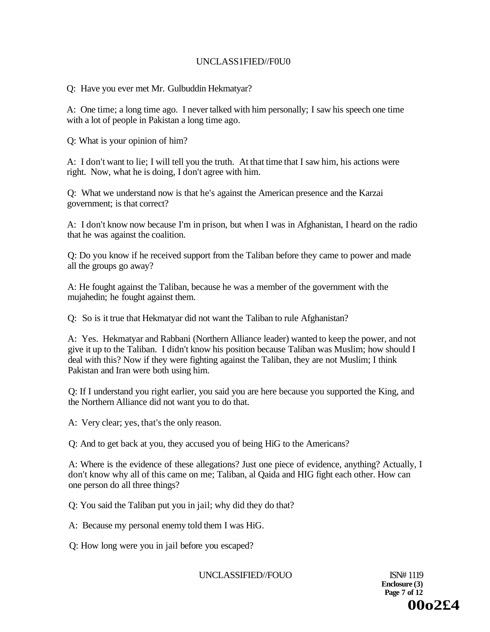# UNCLASS1FIED//F0U0

Q: Have you ever met Mr. Gulbuddin Hekmatyar?

A: One time; a long time ago. I never talked with him personally; I saw his speech one time with a lot of people in Pakistan a long time ago.

Q: What is your opinion of him?

A: I don't want to lie; I will tell you the truth. At that time that I saw him, his actions were right. Now, what he is doing, I don't agree with him.

Q: What we understand now is that he's against the American presence and the Karzai government; is that correct?

A: I don't know now because I'm in prison, but when I was in Afghanistan, I heard on the radio that he was against the coalition.

Q: Do you know if he received support from the Taliban before they came to power and made all the groups go away?

A: He fought against the Taliban, because he was a member of the government with the mujahedin; he fought against them.

Q: So is it true that Hekmatyar did not want the Taliban to rule Afghanistan?

A: Yes. Hekmatyar and Rabbani (Northern Alliance leader) wanted to keep the power, and not give it up to the Taliban. I didn't know his position because Taliban was Muslim; how should I deal with this? Now if they were fighting against the Taliban, they are not Muslim; I think Pakistan and Iran were both using him.

Q: If I understand you right earlier, you said you are here because you supported the King, and the Northern Alliance did not want you to do that.

A: Very clear; yes, that's the only reason.

Q: And to get back at you, they accused you of being HiG to the Americans?

A: Where is the evidence of these allegations? Just one piece of evidence, anything? Actually, I don't know why all of this came on me; Taliban, al Qaida and HIG fight each other. How can one person do all three things?

Q: You said the Taliban put you in jail; why did they do that?

A: Because my personal enemy told them I was HiG.

Q: How long were you in jail before you escaped?

UNCLASSIFIED//FOUO ISN# 1119

**Enclosure (3) Page 7 of 12 00o2£4**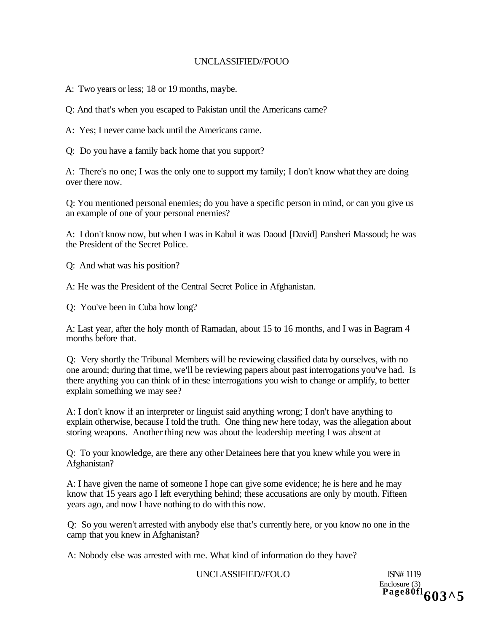A: Two years or less; 18 or 19 months, maybe.

Q: And that's when you escaped to Pakistan until the Americans came?

A: Yes; I never came back until the Americans came.

Q: Do you have a family back home that you support?

A: There's no one; I was the only one to support my family; I don't know what they are doing over there now.

Q: You mentioned personal enemies; do you have a specific person in mind, or can you give us an example of one of your personal enemies?

A: I don't know now, but when I was in Kabul it was Daoud [David] Pansheri Massoud; he was the President of the Secret Police.

Q: And what was his position?

A: He was the President of the Central Secret Police in Afghanistan.

Q: You've been in Cuba how long?

A: Last year, after the holy month of Ramadan, about 15 to 16 months, and I was in Bagram 4 months before that.

Q: Very shortly the Tribunal Members will be reviewing classified data by ourselves, with no one around; during that time, we'll be reviewing papers about past interrogations you've had. Is there anything you can think of in these interrogations you wish to change or amplify, to better explain something we may see?

A: I don't know if an interpreter or linguist said anything wrong; I don't have anything to explain otherwise, because I told the truth. One thing new here today, was the allegation about storing weapons. Another thing new was about the leadership meeting I was absent at

Q: To your knowledge, are there any other Detainees here that you knew while you were in Afghanistan?

A: I have given the name of someone I hope can give some evidence; he is here and he may know that 15 years ago I left everything behind; these accusations are only by mouth. Fifteen years ago, and now I have nothing to do with this now.

Q: So you weren't arrested with anybody else that's currently here, or you know no one in the camp that you knew in Afghanistan?

A: Nobody else was arrested with me. What kind of information do they have?

# UNCLASSIFIED//FOUO ISN# 1119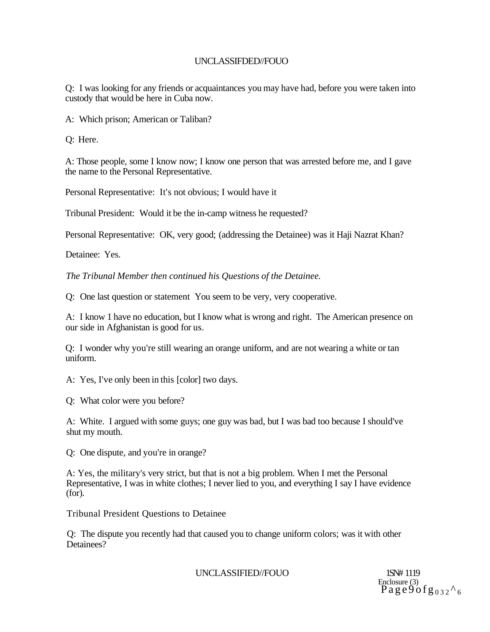Q: I was looking for any friends or acquaintances you may have had, before you were taken into custody that would be here in Cuba now.

A: Which prison; American or Taliban?

Q: Here.

A: Those people, some I know now; I know one person that was arrested before me, and I gave the name to the Personal Representative.

Personal Representative: It's not obvious; I would have it

Tribunal President: Would it be the in-camp witness he requested?

Personal Representative: OK, very good; (addressing the Detainee) was it Haji Nazrat Khan?

Detainee: Yes.

*The Tribunal Member then continued his Questions of the Detainee.* 

Q: One last question or statement You seem to be very, very cooperative.

A: I know 1 have no education, but I know what is wrong and right. The American presence on our side in Afghanistan is good for us.

Q: I wonder why you're still wearing an orange uniform, and are not wearing a white or tan uniform.

A: Yes, I've only been in this [color] two days.

Q: What color were you before?

A: White. I argued with some guys; one guy was bad, but I was bad too because I should've shut my mouth.

Q: One dispute, and you're in orange?

A: Yes, the military's very strict, but that is not a big problem. When I met the Personal Representative, I was in white clothes; I never lied to you, and everything I say I have evidence (for).

Tribunal President Questions to Detainee

Q: The dispute you recently had that caused you to change uniform colors; was it with other Detainees?

UNCLASSIFIED//FOUO 1SN# 1119

Enclosure (3)<br> $\mathrm{Pa}\,\mathrm{ge}\,\mathrm{9}\,\mathrm{of}\,\mathrm{g}\,\mathrm{_{0\,3\,2}\,^{\wedge}\,6}$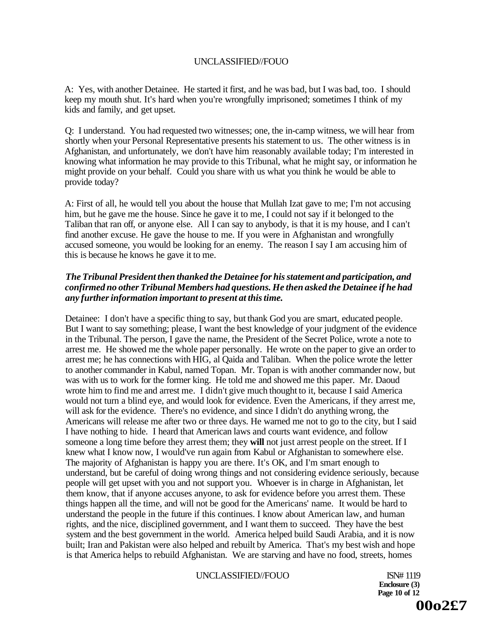A: Yes, with another Detainee. He started it first, and he was bad, but I was bad, too. I should keep my mouth shut. It's hard when you're wrongfully imprisoned; sometimes I think of my kids and family, and get upset.

Q: I understand. You had requested two witnesses; one, the in-camp witness, we will hear from shortly when your Personal Representative presents his statement to us. The other witness is in Afghanistan, and unfortunately, we don't have him reasonably available today; I'm interested in knowing what information he may provide to this Tribunal, what he might say, or information he might provide on your behalf. Could you share with us what you think he would be able to provide today?

A: First of all, he would tell you about the house that Mullah Izat gave to me; I'm not accusing him, but he gave me the house. Since he gave it to me, I could not say if it belonged to the Taliban that ran off, or anyone else. All I can say to anybody, is that it is my house, and I can't find another excuse. He gave the house to me. If you were in Afghanistan and wrongfully accused someone, you would be looking for an enemy. The reason I say I am accusing him of this is because he knows he gave it to me.

# *The Tribunal President then thanked the Detainee for his statement and participation, and confirmed no other Tribunal Members had questions. He then asked the Detainee if he had any further information important to present at this time.*

Detainee: I don't have a specific thing to say, but thank God you are smart, educated people. But I want to say something; please, I want the best knowledge of your judgment of the evidence in the Tribunal. The person, I gave the name, the President of the Secret Police, wrote a note to arrest me. He showed me the whole paper personally. He wrote on the paper to give an order to arrest me; he has connections with HIG, al Qaida and Taliban. When the police wrote the letter to another commander in Kabul, named Topan. Mr. Topan is with another commander now, but was with us to work for the former king. He told me and showed me this paper. Mr. Daoud wrote him to find me and arrest me. I didn't give much thought to it, because I said America would not turn a blind eye, and would look for evidence. Even the Americans, if they arrest me, will ask for the evidence. There's no evidence, and since I didn't do anything wrong, the Americans will release me after two or three days. He warned me not to go to the city, but I said I have nothing to hide. I heard that American laws and courts want evidence, and follow someone a long time before they arrest them; they **will** not just arrest people on the street. If I knew what I know now, I would've run again from Kabul or Afghanistan to somewhere else. The majority of Afghanistan is happy you are there. It's OK, and I'm smart enough to understand, but be careful of doing wrong things and not considering evidence seriously, because people will get upset with you and not support you. Whoever is in charge in Afghanistan, let them know, that if anyone accuses anyone, to ask for evidence before you arrest them. These things happen all the time, and will not be good for the Americans' name. It would be hard to understand the people in the future if this continues. I know about American law, and human rights, and the nice, disciplined government, and I want them to succeed. They have the best system and the best government in the world. America helped build Saudi Arabia, and it is now built; Iran and Pakistan were also helped and rebuilt by America. That's my best wish and hope is that America helps to rebuild Afghanistan. We are starving and have no food, streets, homes

#### UNCLASSIFIED//FOUO ISN# 1119

**Enclosure (3) Page 10 of 12 00o2£7**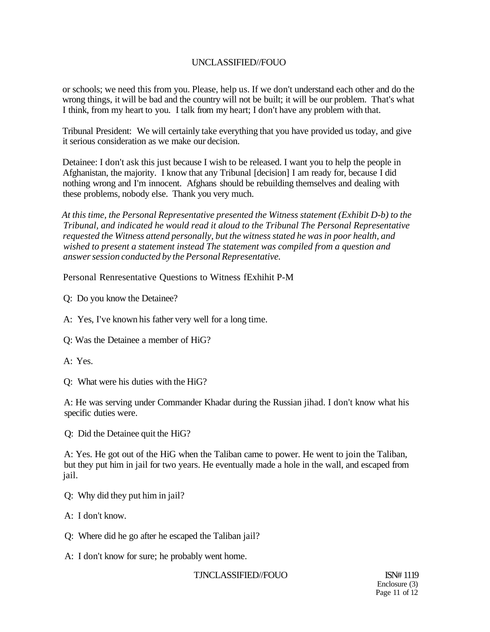or schools; we need this from you. Please, help us. If we don't understand each other and do the wrong things, it will be bad and the country will not be built; it will be our problem. That's what I think, from my heart to you. I talk from my heart; I don't have any problem with that.

Tribunal President: We will certainly take everything that you have provided us today, and give it serious consideration as we make our decision.

Detainee: I don't ask this just because I wish to be released. I want you to help the people in Afghanistan, the majority. I know that any Tribunal [decision] I am ready for, because I did nothing wrong and I'm innocent. Afghans should be rebuilding themselves and dealing with these problems, nobody else. Thank you very much.

*At this time, the Personal Representative presented the Witness statement (Exhibit D-b) to the Tribunal, and indicated he would read it aloud to the Tribunal The Personal Representative requested the Witness attend personally, but the witness stated he was in poor health, and wished to present a statement instead The statement was compiled from a question and answer session conducted by the Personal Representative.* 

Personal Renresentative Questions to Witness fExhihit P-M

Q: Do you know the Detainee?

A: Yes, I've known his father very well for a long time.

Q: Was the Detainee a member of HiG?

A: Yes.

Q: What were his duties with the HiG?

A: He was serving under Commander Khadar during the Russian jihad. I don't know what his specific duties were.

Q: Did the Detainee quit the HiG?

A: Yes. He got out of the HiG when the Taliban came to power. He went to join the Taliban, but they put him in jail for two years. He eventually made a hole in the wall, and escaped from jail.

Q: Why did they put him in jail?

A: I don't know.

Q: Where did he go after he escaped the Taliban jail?

A: I don't know for sure; he probably went home.

### TJNCLASSIFIED//FOUO ISN# 1119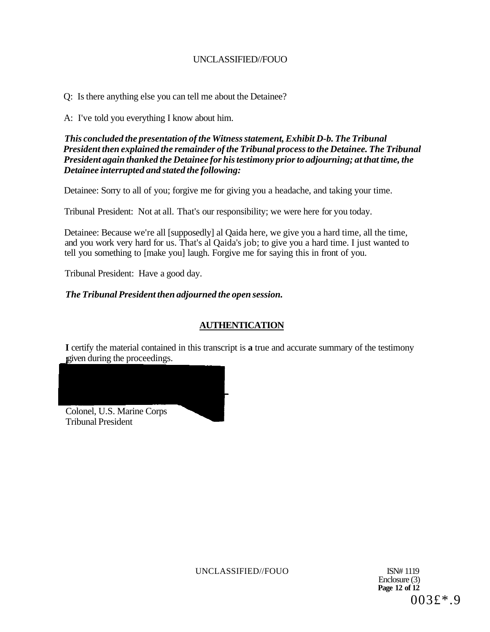Q: Is there anything else you can tell me about the Detainee?

A: I've told you everything I know about him.

*This concluded the presentation of the Witness statement, Exhibit D-b. The Tribunal President then explained the remainder of the Tribunal process to the Detainee. The Tribunal President again thanked the Detainee for his testimony prior to adjourning; at that time, the Detainee interrupted and stated the following:* 

Detainee: Sorry to all of you; forgive me for giving you a headache, and taking your time.

Tribunal President: Not at all. That's our responsibility; we were here for you today.

Detainee: Because we're all [supposedly] al Qaida here, we give you a hard time, all the time, and you work very hard for us. That's al Qaida's job; to give you a hard time. I just wanted to tell you something to [make you] laugh. Forgive me for saying this in front of you.

Tribunal President: Have a good day.

# *The Tribunal President then adjourned the open session.*

# **AUTHENTICATION**

**I** certify the material contained in this transcript is **a** true and accurate summary of the testimony given during the proceedings.

Colonel, U.S. Marine Corps Tribunal President

UNCLASSIFIED//FOUO ISN# 1119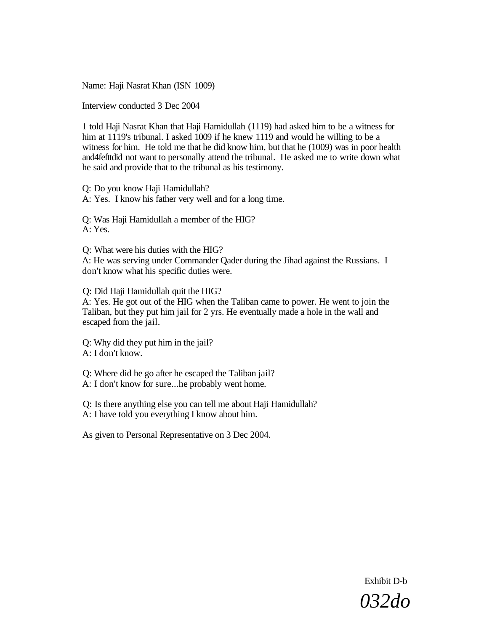Name: Haji Nasrat Khan (ISN 1009)

Interview conducted 3 Dec 2004

1 told Haji Nasrat Khan that Haji Hamidullah (1119) had asked him to be a witness for him at 1119's tribunal. I asked 1009 if he knew 1119 and would he willing to be a witness for him. He told me that he did know him, but that he (1009) was in poor health and4fefttdid not want to personally attend the tribunal. He asked me to write down what he said and provide that to the tribunal as his testimony.

Q: Do you know Haji Hamidullah? A: Yes. I know his father very well and for a long time.

Q: Was Haji Hamidullah a member of the HIG? A: Yes.

Q: What were his duties with the HIG?

A: He was serving under Commander Qader during the Jihad against the Russians. I don't know what his specific duties were.

Q: Did Haji Hamidullah quit the HIG?

A: Yes. He got out of the HIG when the Taliban came to power. He went to join the Taliban, but they put him jail for 2 yrs. He eventually made a hole in the wall and escaped from the jail.

Q: Why did they put him in the jail? A: I don't know.

Q: Where did he go after he escaped the Taliban jail? A: I don't know for sure...he probably went home.

Q: Is there anything else you can tell me about Haji Hamidullah? A: I have told you everything I know about him.

As given to Personal Representative on 3 Dec 2004.

Exhibit D-b *032do*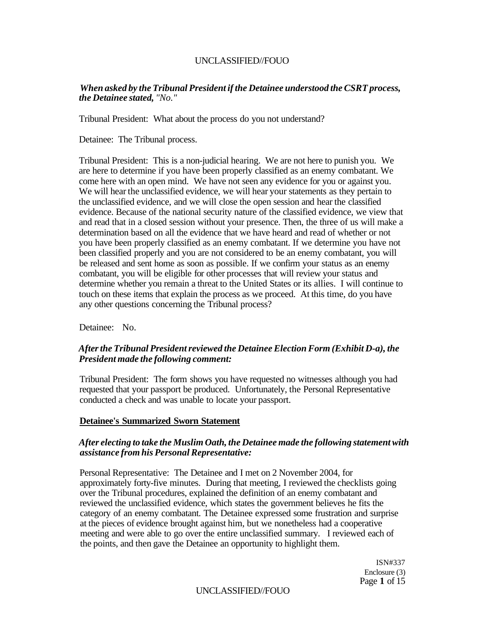### *When asked by the Tribunal President if the Detainee understood the CSRT process, the Detainee stated, "No."*

Tribunal President: What about the process do you not understand?

Detainee: The Tribunal process.

Tribunal President: This is a non-judicial hearing. We are not here to punish you. We are here to determine if you have been properly classified as an enemy combatant. We come here with an open mind. We have not seen any evidence for you or against you. We will hear the unclassified evidence, we will hear your statements as they pertain to the unclassified evidence, and we will close the open session and hear the classified evidence. Because of the national security nature of the classified evidence, we view that and read that in a closed session without your presence. Then, the three of us will make a determination based on all the evidence that we have heard and read of whether or not you have been properly classified as an enemy combatant. If we determine you have not been classified properly and you are not considered to be an enemy combatant, you will be released and sent home as soon as possible. If we confirm your status as an enemy combatant, you will be eligible for other processes that will review your status and determine whether you remain a threat to the United States or its allies. I will continue to touch on these items that explain the process as we proceed. At this time, do you have any other questions concerning the Tribunal process?

Detainee: No.

# *After the Tribunal President reviewed the Detainee Election Form (Exhibit D-a), the President made the following comment:*

Tribunal President: The form shows you have requested no witnesses although you had requested that your passport be produced. Unfortunately, the Personal Representative conducted a check and was unable to locate your passport.

### **Detainee's Summarized Sworn Statement**

### *After electing to take the Muslim Oath, the Detainee made the following statement with assistance from his Personal Representative:*

Personal Representative: The Detainee and I met on 2 November 2004, for approximately forty-five minutes. During that meeting, I reviewed the checklists going over the Tribunal procedures, explained the definition of an enemy combatant and reviewed the unclassified evidence, which states the government believes he fits the category of an enemy combatant. The Detainee expressed some frustration and surprise at the pieces of evidence brought against him, but we nonetheless had a cooperative meeting and were able to go over the entire unclassified summary. I reviewed each of the points, and then gave the Detainee an opportunity to highlight them.

> ISN#337 Enclosure (3) Page **1** of 15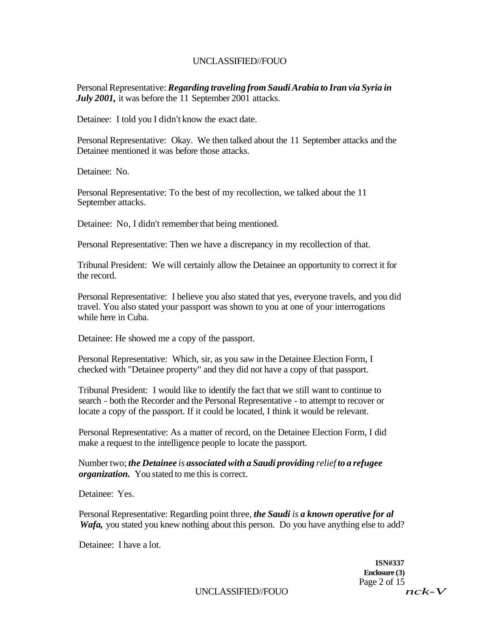Personal Representative: *Regarding traveling from Saudi Arabia to Iran via Syria in July 2001,* it was before the 11 September 2001 attacks.

Detainee: I told you I didn't know the exact date.

Personal Representative: Okay. We then talked about the 11 September attacks and the Detainee mentioned it was before those attacks.

Detainee: No.

Personal Representative: To the best of my recollection, we talked about the 11 September attacks.

Detainee: No, I didn't remember that being mentioned.

Personal Representative: Then we have a discrepancy in my recollection of that.

Tribunal President: We will certainly allow the Detainee an opportunity to correct it for the record.

Personal Representative: I believe you also stated that yes, everyone travels, and you did travel. You also stated your passport was shown to you at one of your interrogations while here in Cuba.

Detainee: He showed me a copy of the passport.

Personal Representative: Which, sir, as you saw in the Detainee Election Form, I checked with "Detainee property" and they did not have a copy of that passport.

Tribunal President: I would like to identify the fact that we still want to continue to search - both the Recorder and the Personal Representative - to attempt to recover or locate a copy of the passport. If it could be located, I think it would be relevant.

Personal Representative: As a matter of record, on the Detainee Election Form, I did make a request to the intelligence people to locate the passport.

Number two; *the Detainee is associated with a Saudi providing relief to a refugee organization.* You stated to me this is correct.

Detainee: Yes.

Personal Representative: Regarding point three, *the Saudi is a known operative for al Wafa*, you stated you knew nothing about this person. Do you have anything else to add?

Detainee: I have a lot.

**ISN#337 Enclosure (3)**  Page 2 of 15<br> $nck-V$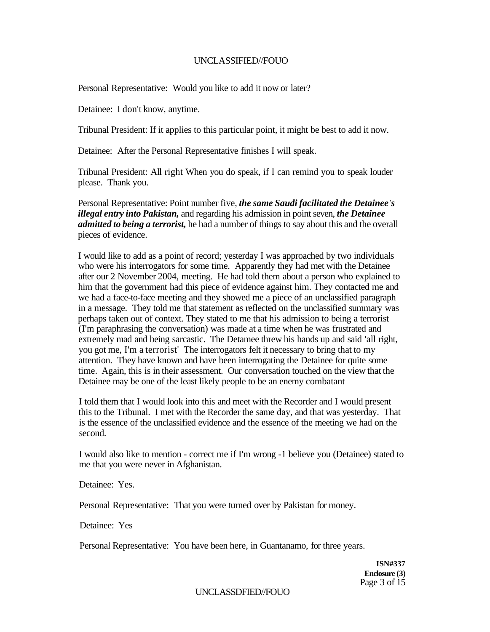Personal Representative: Would you like to add it now or later?

Detainee: I don't know, anytime.

Tribunal President: If it applies to this particular point, it might be best to add it now.

Detainee: After the Personal Representative finishes I will speak.

Tribunal President: All right When you do speak, if I can remind you to speak louder please. Thank you.

Personal Representative: Point number five, *the same Saudi facilitated the Detainee's illegal entry into Pakistan,* and regarding his admission in point seven, *the Detainee admitted to being a terrorist,* he had a number of things to say about this and the overall pieces of evidence.

I would like to add as a point of record; yesterday I was approached by two individuals who were his interrogators for some time. Apparently they had met with the Detainee after our 2 November 2004, meeting. He had told them about a person who explained to him that the government had this piece of evidence against him. They contacted me and we had a face-to-face meeting and they showed me a piece of an unclassified paragraph in a message. They told me that statement as reflected on the unclassified summary was perhaps taken out of context. They stated to me that his admission to being a terrorist (I'm paraphrasing the conversation) was made at a time when he was frustrated and extremely mad and being sarcastic. The Detamee threw his hands up and said 'all right, you got me, I'm a terrorist' The interrogators felt it necessary to bring that to my attention. They have known and have been interrogating the Detainee for quite some time. Again, this is in their assessment. Our conversation touched on the view that the Detainee may be one of the least likely people to be an enemy combatant

I told them that I would look into this and meet with the Recorder and I would present this to the Tribunal. I met with the Recorder the same day, and that was yesterday. That is the essence of the unclassified evidence and the essence of the meeting we had on the second.

I would also like to mention - correct me if I'm wrong -1 believe you (Detainee) stated to me that you were never in Afghanistan.

Detainee: Yes.

Personal Representative: That you were turned over by Pakistan for money.

Detainee: Yes

Personal Representative: You have been here, in Guantanamo, for three years.

**ISN#337 Enclosure (3)**  Page 3 of 15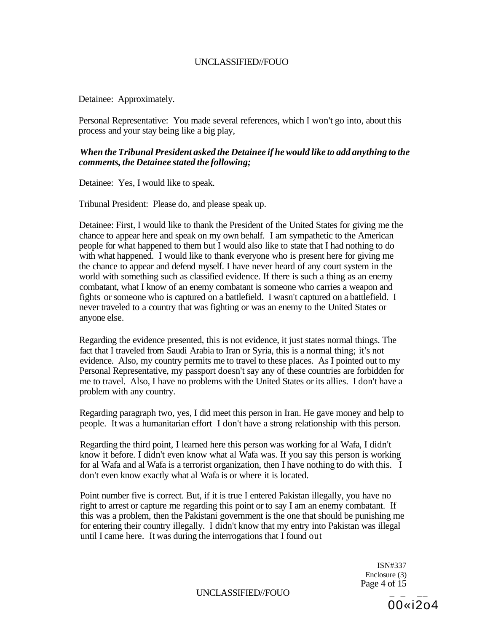Detainee: Approximately.

Personal Representative: You made several references, which I won't go into, about this process and your stay being like a big play,

# *When the Tribunal President asked the Detainee if he would like to add anything to the comments, the Detainee stated the following;*

Detainee: Yes, I would like to speak.

Tribunal President: Please do, and please speak up.

Detainee: First, I would like to thank the President of the United States for giving me the chance to appear here and speak on my own behalf. I am sympathetic to the American people for what happened to them but I would also like to state that I had nothing to do with what happened. I would like to thank everyone who is present here for giving me the chance to appear and defend myself. I have never heard of any court system in the world with something such as classified evidence. If there is such a thing as an enemy combatant, what I know of an enemy combatant is someone who carries a weapon and fights or someone who is captured on a battlefield. I wasn't captured on a battlefield. I never traveled to a country that was fighting or was an enemy to the United States or anyone else.

Regarding the evidence presented, this is not evidence, it just states normal things. The fact that I traveled from Saudi Arabia to Iran or Syria, this is a normal thing; it's not evidence. Also, my country permits me to travel to these places. As I pointed out to my Personal Representative, my passport doesn't say any of these countries are forbidden for me to travel. Also, I have no problems with the United States or its allies. I don't have a problem with any country.

Regarding paragraph two, yes, I did meet this person in Iran. He gave money and help to people. It was a humanitarian effort I don't have a strong relationship with this person.

Regarding the third point, I learned here this person was working for al Wafa, I didn't know it before. I didn't even know what al Wafa was. If you say this person is working for al Wafa and al Wafa is a terrorist organization, then I have nothing to do with this. I don't even know exactly what al Wafa is or where it is located.

Point number five is correct. But, if it is true I entered Pakistan illegally, you have no right to arrest or capture me regarding this point or to say I am an enemy combatant. If this was a problem, then the Pakistani government is the one that should be punishing me for entering their country illegally. I didn't know that my entry into Pakistan was illegal until I came here. It was during the interrogations that I found out

> ISN#337 Enclosure (3) Page 4 of 15

UNCLASSIFIED//FOUO

00«i2o4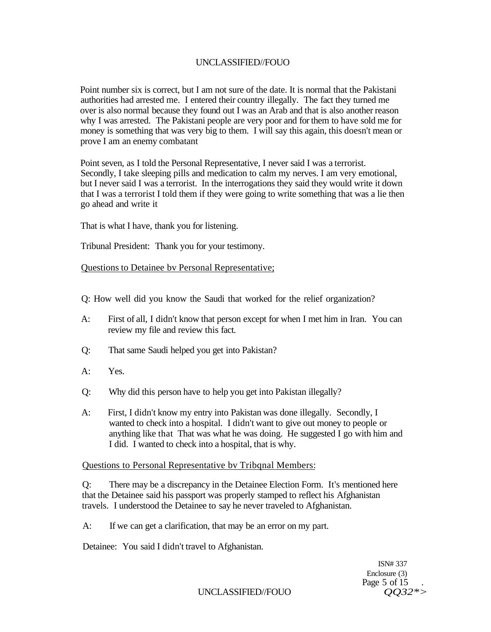Point number six is correct, but I am not sure of the date. It is normal that the Pakistani authorities had arrested me. I entered their country illegally. The fact they turned me over is also normal because they found out I was an Arab and that is also another reason why I was arrested. The Pakistani people are very poor and for them to have sold me for money is something that was very big to them. I will say this again, this doesn't mean or prove I am an enemy combatant

Point seven, as I told the Personal Representative, I never said I was a terrorist. Secondly, I take sleeping pills and medication to calm my nerves. I am very emotional, but I never said I was a terrorist. In the interrogations they said they would write it down that I was a terrorist I told them if they were going to write something that was a lie then go ahead and write it

That is what I have, thank you for listening.

Tribunal President: Thank you for your testimony.

Questions to Detainee bv Personal Representative;

Q: How well did you know the Saudi that worked for the relief organization?

- A: First of all, I didn't know that person except for when I met him in Iran. You can review my file and review this fact.
- Q: That same Saudi helped you get into Pakistan?
- A: Yes.
- Q: Why did this person have to help you get into Pakistan illegally?
- A: First, I didn't know my entry into Pakistan was done illegally. Secondly, I wanted to check into a hospital. I didn't want to give out money to people or anything like that That was what he was doing. He suggested I go with him and I did. I wanted to check into a hospital, that is why.

### Questions to Personal Representative bv Tribqnal Members:

Q: There may be a discrepancy in the Detainee Election Form. It's mentioned here that the Detainee said his passport was properly stamped to reflect his Afghanistan travels. I understood the Detainee to say he never traveled to Afghanistan.

A: If we can get a clarification, that may be an error on my part.

Detainee: You said I didn't travel to Afghanistan.

ISN# 337 Enclosure (3) Page 5 of 15

UNCLASSIFIED//FOUO *QQ32\*>*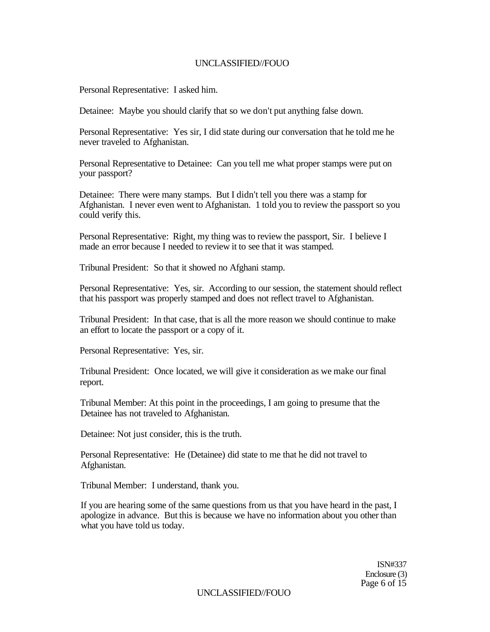Personal Representative: I asked him.

Detainee: Maybe you should clarify that so we don't put anything false down.

Personal Representative: Yes sir, I did state during our conversation that he told me he never traveled to Afghanistan.

Personal Representative to Detainee: Can you tell me what proper stamps were put on your passport?

Detainee: There were many stamps. But I didn't tell you there was a stamp for Afghanistan. I never even went to Afghanistan. 1 told you to review the passport so you could verify this.

Personal Representative: Right, my thing was to review the passport, Sir. I believe I made an error because I needed to review it to see that it was stamped.

Tribunal President: So that it showed no Afghani stamp.

Personal Representative: Yes, sir. According to our session, the statement should reflect that his passport was properly stamped and does not reflect travel to Afghanistan.

Tribunal President: In that case, that is all the more reason we should continue to make an effort to locate the passport or a copy of it.

Personal Representative: Yes, sir.

Tribunal President: Once located, we will give it consideration as we make our final report.

Tribunal Member: At this point in the proceedings, I am going to presume that the Detainee has not traveled to Afghanistan.

Detainee: Not just consider, this is the truth.

Personal Representative: He (Detainee) did state to me that he did not travel to Afghanistan.

Tribunal Member: I understand, thank you.

If you are hearing some of the same questions from us that you have heard in the past, I apologize in advance. But this is because we have no information about you other than what you have told us today.

> ISN#337 Enclosure (3) Page 6 of 15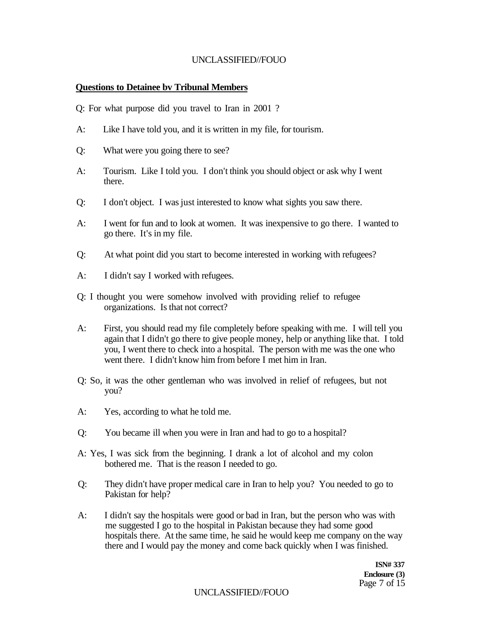### **Questions to Detainee bv Tribunal Members**

Q: For what purpose did you travel to Iran in 2001 ?

- A: Like I have told you, and it is written in my file, for tourism.
- Q: What were you going there to see?
- A: Tourism. Like I told you. I don't think you should object or ask why I went there.
- Q: I don't object. I was just interested to know what sights you saw there.
- A: I went for fun and to look at women. It was inexpensive to go there. I wanted to go there. It's in my file.
- Q: At what point did you start to become interested in working with refugees?
- A: I didn't say I worked with refugees.
- Q: I thought you were somehow involved with providing relief to refugee organizations. Is that not correct?
- A: First, you should read my file completely before speaking with me. I will tell you again that I didn't go there to give people money, help or anything like that. I told you, I went there to check into a hospital. The person with me was the one who went there. I didn't know him from before I met him in Iran.
- Q: So, it was the other gentleman who was involved in relief of refugees, but not you?
- A: Yes, according to what he told me.
- Q: You became ill when you were in Iran and had to go to a hospital?
- A: Yes, I was sick from the beginning. I drank a lot of alcohol and my colon bothered me. That is the reason I needed to go.
- Q: They didn't have proper medical care in Iran to help you? You needed to go to Pakistan for help?
- A: I didn't say the hospitals were good or bad in Iran, but the person who was with me suggested I go to the hospital in Pakistan because they had some good hospitals there. At the same time, he said he would keep me company on the way there and I would pay the money and come back quickly when I was finished.

**ISN# 337 Enclosure (3)**  Page 7 of 15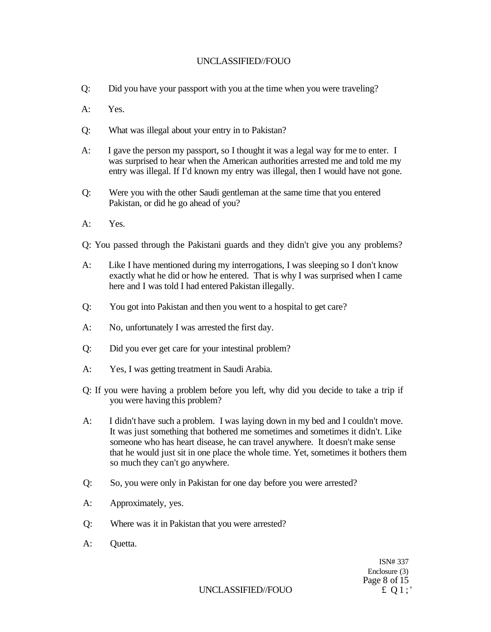- Q: Did you have your passport with you at the time when you were traveling?
- A: Yes.
- Q: What was illegal about your entry in to Pakistan?
- A: I gave the person my passport, so I thought it was a legal way for me to enter. I was surprised to hear when the American authorities arrested me and told me my entry was illegal. If I'd known my entry was illegal, then I would have not gone.
- Q: Were you with the other Saudi gentleman at the same time that you entered Pakistan, or did he go ahead of you?
- A: Yes.
- Q: You passed through the Pakistani guards and they didn't give you any problems?
- A: Like I have mentioned during my interrogations, I was sleeping so I don't know exactly what he did or how he entered. That is why I was surprised when I came here and I was told I had entered Pakistan illegally.
- Q: You got into Pakistan and then you went to a hospital to get care?
- A: No, unfortunately I was arrested the first day.
- Q: Did you ever get care for your intestinal problem?
- A: Yes, I was getting treatment in Saudi Arabia.
- Q: If you were having a problem before you left, why did you decide to take a trip if you were having this problem?
- A: I didn't have such a problem. I was laying down in my bed and I couldn't move. It was just something that bothered me sometimes and sometimes it didn't. Like someone who has heart disease, he can travel anywhere. It doesn't make sense that he would just sit in one place the whole time. Yet, sometimes it bothers them so much they can't go anywhere.
- Q: So, you were only in Pakistan for one day before you were arrested?
- A: Approximately, yes.
- Q: Where was it in Pakistan that you were arrested?
- A: Quetta.

ISN# 337 Enclosure (3) Page 8 of 15

UNCLASSIFIED//FOUO  $\qquad \qquad \text{if } Q1;'$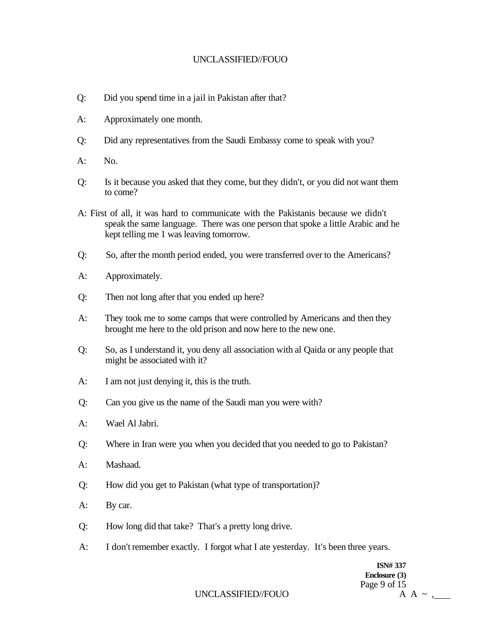- Q: Did you spend time in a jail in Pakistan after that?
- A: Approximately one month.
- Q: Did any representatives from the Saudi Embassy come to speak with you?
- $A:$  No.
- Q: Is it because you asked that they come, but they didn't, or you did not want them to come?
- A: First of all, it was hard to communicate with the Pakistanis because we didn't speak the same language. There was one person that spoke a little Arabic and he kept telling me 1 was leaving tomorrow.
- Q: So, after the month period ended, you were transferred over to the Americans?
- A: Approximately.
- Q: Then not long after that you ended up here?
- A: They took me to some camps that were controlled by Americans and then they brought me here to the old prison and now here to the new one.
- Q: So, as I understand it, you deny all association with al Qaida or any people that might be associated with it?
- A: I am not just denying it, this is the truth.
- Q: Can you give us the name of the Saudi man you were with?
- A: Wael Al Jabri.
- Q: Where in Iran were you when you decided that you needed to go to Pakistan?
- A: Mashaad.
- Q: How did you get to Pakistan (what type of transportation)?
- A: By car.
- Q: How long did that take? That's a pretty long drive.
- A: I don't remember exactly. I forgot what I ate yesterday. It's been three years.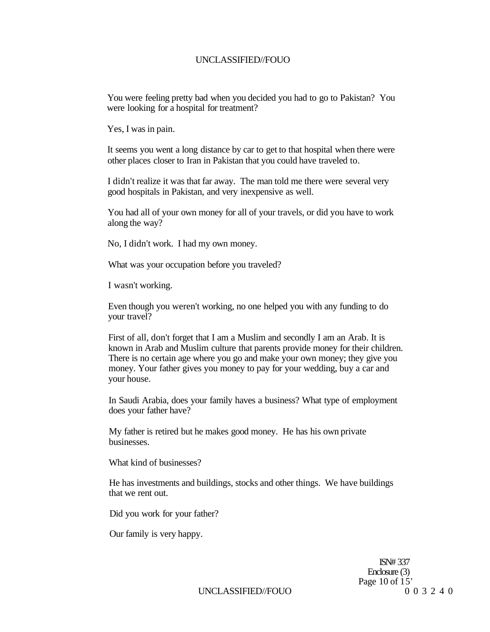You were feeling pretty bad when you decided you had to go to Pakistan? You were looking for a hospital for treatment?

Yes, I was in pain.

It seems you went a long distance by car to get to that hospital when there were other places closer to Iran in Pakistan that you could have traveled to.

I didn't realize it was that far away. The man told me there were several very good hospitals in Pakistan, and very inexpensive as well.

You had all of your own money for all of your travels, or did you have to work along the way?

No, I didn't work. I had my own money.

What was your occupation before you traveled?

I wasn't working.

Even though you weren't working, no one helped you with any funding to do your travel?

First of all, don't forget that I am a Muslim and secondly I am an Arab. It is known in Arab and Muslim culture that parents provide money for their children. There is no certain age where you go and make your own money; they give you money. Your father gives you money to pay for your wedding, buy a car and your house.

In Saudi Arabia, does your family haves a business? What type of employment does your father have?

My father is retired but he makes good money. He has his own private businesses.

What kind of businesses?

He has investments and buildings, stocks and other things. We have buildings that we rent out.

Did you work for your father?

Our family is very happy.

ISN# 337 Enclosure (3) Page 10 of 15'<br>0 0 3 2 4 0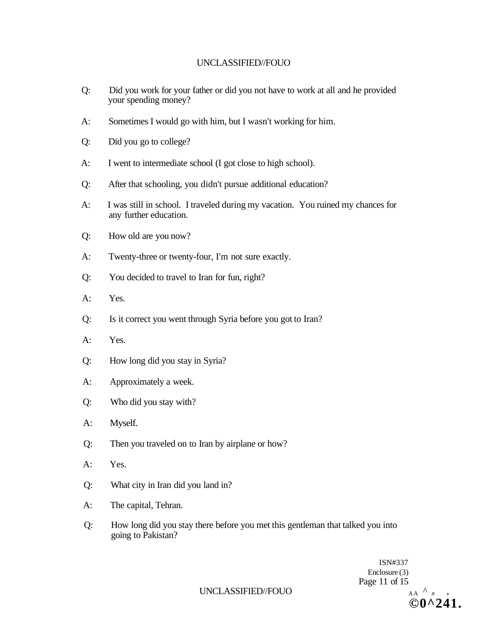- Q: Did you work for your father or did you not have to work at all and he provided your spending money?
- A: Sometimes I would go with him, but I wasn't working for him.
- Q: Did you go to college?
- A: I went to intermediate school (I got close to high school).
- Q: After that schooling, you didn't pursue additional education?
- A: I was still in school. I traveled during my vacation. You ruined my chances for any further education.
- Q: How old are you now?
- A: Twenty-three or twenty-four, I'm not sure exactly.
- Q: You decided to travel to Iran for fun, right?
- A: Yes.
- Q: Is it correct you went through Syria before you got to Iran?
- A: Yes.
- Q: How long did you stay in Syria?
- A: Approximately a week.
- Q: Who did you stay with?
- A: Myself.
- Q: Then you traveled on to Iran by airplane or how?
- A: Yes.
- Q: What city in Iran did you land in?
- A: The capital, Tehran.
- Q: How long did you stay there before you met this gentleman that talked you into going to Pakistan?

ISN#337 Enclosure (3) Page 11 of 15  $AA \wedge n$ **©0^241.**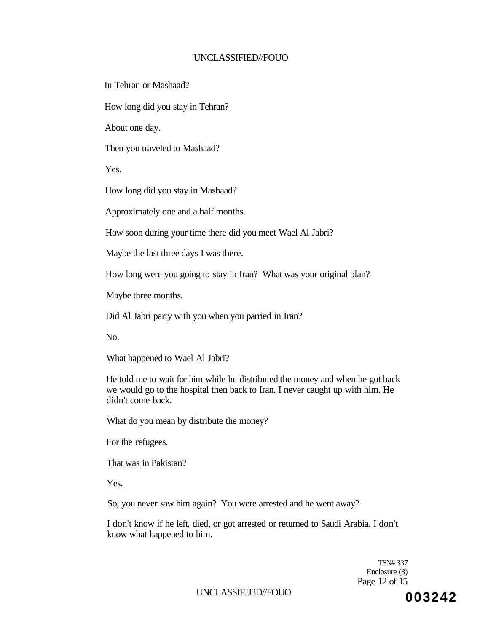In Tehran or Mashaad?

How long did you stay in Tehran?

About one day.

Then you traveled to Mashaad?

Yes.

How long did you stay in Mashaad?

Approximately one and a half months.

How soon during your time there did you meet Wael Al Jabri?

Maybe the last three days I was there.

How long were you going to stay in Iran? What was your original plan?

Maybe three months.

Did Al Jabri party with you when you parried in Iran?

No.

What happened to Wael Al Jabri?

He told me to wait for him while he distributed the money and when he got back we would go to the hospital then back to Iran. I never caught up with him. He didn't come back.

What do you mean by distribute the money?

For the refugees.

That was in Pakistan?

Yes.

So, you never saw him again? You were arrested and he went away?

I don't know if he left, died, or got arrested or returned to Saudi Arabia. I don't know what happened to him.

> TSN# 337 Enclosure (3) Page 12 of 15

UNCLASSIFJJ3D//FOUO **003242**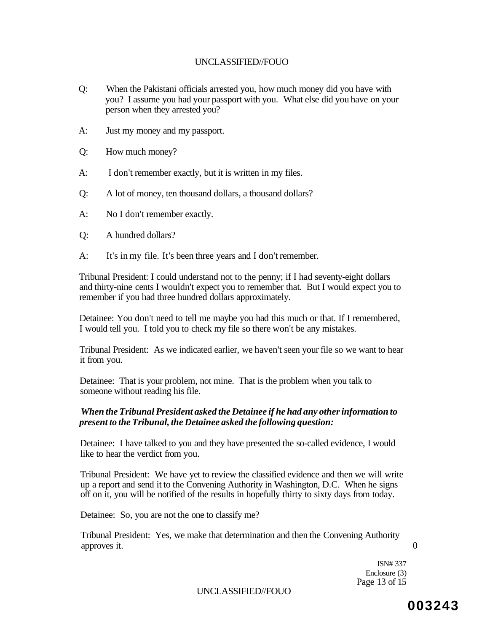- Q: When the Pakistani officials arrested you, how much money did you have with you? I assume you had your passport with you. What else did you have on your person when they arrested you?
- A: Just my money and my passport.
- Q: How much money?
- A: I don't remember exactly, but it is written in my files.
- Q: A lot of money, ten thousand dollars, a thousand dollars?
- A: No I don't remember exactly.
- Q: A hundred dollars?
- A: It's in my file. It's been three years and I don't remember.

Tribunal President: I could understand not to the penny; if I had seventy-eight dollars and thirty-nine cents I wouldn't expect you to remember that. But I would expect you to remember if you had three hundred dollars approximately.

Detainee: You don't need to tell me maybe you had this much or that. If I remembered, I would tell you. I told you to check my file so there won't be any mistakes.

Tribunal President: As we indicated earlier, we haven't seen your file so we want to hear it from you.

Detainee: That is your problem, not mine. That is the problem when you talk to someone without reading his file.

### *When the Tribunal President asked the Detainee if he had any other information to present to the Tribunal, the Detainee asked the following question:*

Detainee: I have talked to you and they have presented the so-called evidence, I would like to hear the verdict from you.

Tribunal President: We have yet to review the classified evidence and then we will write up a report and send it to the Convening Authority in Washington, D.C. When he signs off on it, you will be notified of the results in hopefully thirty to sixty days from today.

Detainee: So, you are not the one to classify me?

Tribunal President: Yes, we make that determination and then the Convening Authority approves it. 0

ISN# 337 Enclosure (3) Page 13 of 15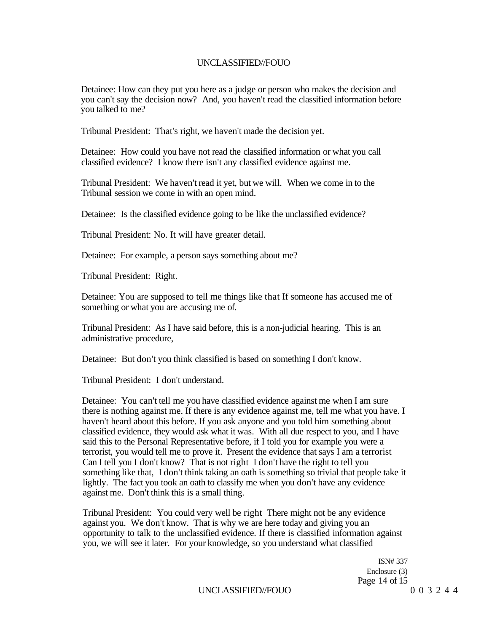Detainee: How can they put you here as a judge or person who makes the decision and you can't say the decision now? And, you haven't read the classified information before you talked to me?

Tribunal President: That's right, we haven't made the decision yet.

Detainee: How could you have not read the classified information or what you call classified evidence? I know there isn't any classified evidence against me.

Tribunal President: We haven't read it yet, but we will. When we come in to the Tribunal session we come in with an open mind.

Detainee: Is the classified evidence going to be like the unclassified evidence?

Tribunal President: No. It will have greater detail.

Detainee: For example, a person says something about me?

Tribunal President: Right.

Detainee: You are supposed to tell me things like that If someone has accused me of something or what you are accusing me of.

Tribunal President: As I have said before, this is a non-judicial hearing. This is an administrative procedure,

Detainee: But don't you think classified is based on something I don't know.

Tribunal President: I don't understand.

Detainee: You can't tell me you have classified evidence against me when I am sure there is nothing against me. If there is any evidence against me, tell me what you have. I haven't heard about this before. If you ask anyone and you told him something about classified evidence, they would ask what it was. With all due respect to you, and I have said this to the Personal Representative before, if I told you for example you were a terrorist, you would tell me to prove it. Present the evidence that says I am a terrorist Can I tell you I don't know? That is not right I don't have the right to tell you something like that, I don't think taking an oath is something so trivial that people take it lightly. The fact you took an oath to classify me when you don't have any evidence against me. Don't think this is a small thing.

Tribunal President: You could very well be right There might not be any evidence against you. We don't know. That is why we are here today and giving you an opportunity to talk to the unclassified evidence. If there is classified information against you, we will see it later. For your knowledge, so you understand what classified

> ISN# 337 Enclosure (3) Page 14 of 15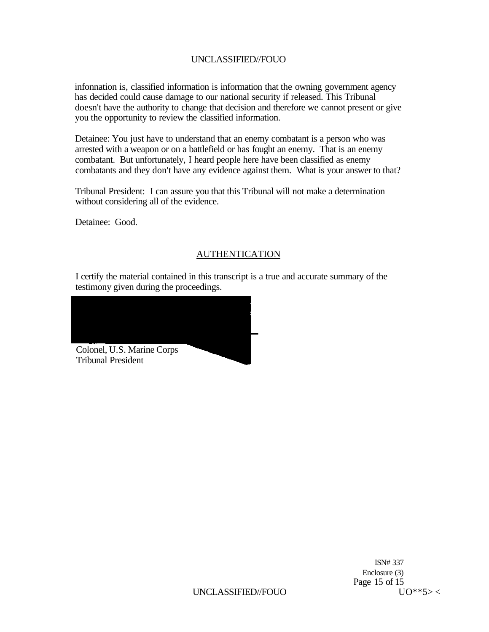infonnation is, classified information is information that the owning government agency has decided could cause damage to our national security if released. This Tribunal doesn't have the authority to change that decision and therefore we cannot present or give you the opportunity to review the classified information.

Detainee: You just have to understand that an enemy combatant is a person who was arrested with a weapon or on a battlefield or has fought an enemy. That is an enemy combatant. But unfortunately, I heard people here have been classified as enemy combatants and they don't have any evidence against them. What is your answer to that?

Tribunal President: I can assure you that this Tribunal will not make a determination without considering all of the evidence.

Detainee: Good.

# AUTHENTICATION

I certify the material contained in this transcript is a true and accurate summary of the testimony given during the proceedings.



ISN# 337 Enclosure (3) Page 15 of 15  $\frac{15}{10}$  VO\*\*5> <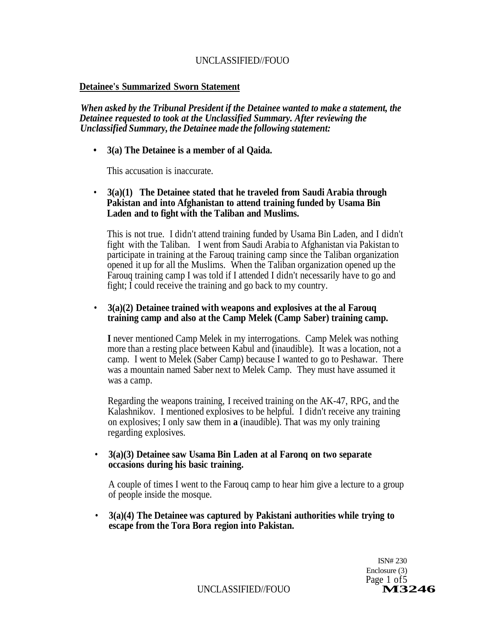# **Detainee's Summarized Sworn Statement**

*When asked by the Tribunal President if the Detainee wanted to make a statement, the Detainee requested to took at the Unclassified Summary. After reviewing the Unclassified Summary, the Detainee made the following statement:* 

# *•* **3(a) The Detainee is a member of al Qaida.**

This accusation is inaccurate.

# • **3(a)(1) The Detainee stated that he traveled from Saudi Arabia through Pakistan and into Afghanistan to attend training funded by Usama Bin Laden and to fight with the Taliban and Muslims.**

This is not true. I didn't attend training funded by Usama Bin Laden, and I didn't fight with the Taliban. I went from Saudi Arabia to Afghanistan via Pakistan to participate in training at the Farouq training camp since the Taliban organization opened it up for all the Muslims. When the Taliban organization opened up the Farouq training camp I was told if I attended I didn't necessarily have to go and fight; I could receive the training and go back to my country.

## • **3(a)(2) Detainee trained with weapons and explosives at the al Farouq training camp and also at the Camp Melek (Camp Saber) training camp.**

**I** never mentioned Camp Melek in my interrogations. Camp Melek was nothing more than a resting place between Kabul and (inaudible). It was a location, not a camp. I went to Melek (Saber Camp) because I wanted to go to Peshawar. There was a mountain named Saber next to Melek Camp. They must have assumed it was a camp.

Regarding the weapons training, I received training on the AK-47, RPG, and the Kalashnikov. I mentioned explosives to be helpful. I didn't receive any training on explosives; I only saw them in **a** (inaudible). That was my only training regarding explosives.

## • **3(a)(3) Detainee saw Usama Bin Laden at al Faronq on two separate occasions during his basic training.**

A couple of times I went to the Farouq camp to hear him give a lecture to a group of people inside the mosque.

• **3(a)(4) The Detainee was captured by Pakistani authorities while trying to escape from the Tora Bora region into Pakistan.** 

> ISN# 230 Enclosure (3) Page 1 of 5<br>**M3246**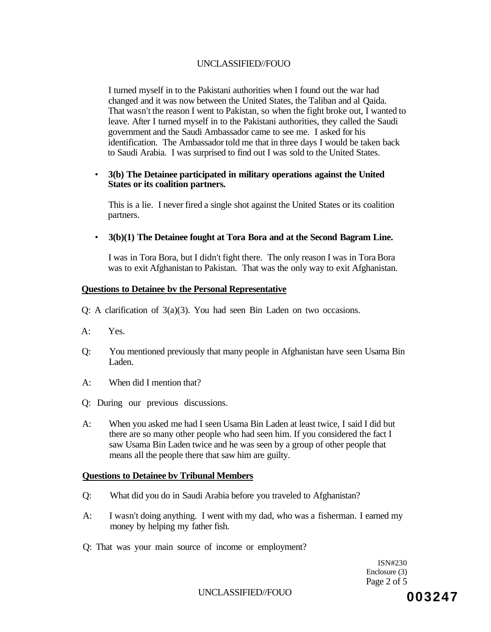I turned myself in to the Pakistani authorities when I found out the war had changed and it was now between the United States, the Taliban and al Qaida. That wasn't the reason I went to Pakistan, so when the fight broke out, I wanted to leave. After I turned myself in to the Pakistani authorities, they called the Saudi government and the Saudi Ambassador came to see me. I asked for his identification. The Ambassador told me that in three days I would be taken back to Saudi Arabia. I was surprised to find out I was sold to the United States.

#### • **3(b) The Detainee participated in military operations against the United States or its coalition partners.**

This is a lie. I never fired a single shot against the United States or its coalition partners.

### • **3(b)(1) The Detainee fought at Tora Bora and at the Second Bagram Line.**

I was in Tora Bora, but I didn't fight there. The only reason I was in Tora Bora was to exit Afghanistan to Pakistan. That was the only way to exit Afghanistan.

### **Questions to Detainee bv the Personal Representative**

Q: A clarification of 3(a)(3). You had seen Bin Laden on two occasions.

- A: Yes.
- Q: You mentioned previously that many people in Afghanistan have seen Usama Bin Laden.
- A: When did I mention that?
- Q: During our previous discussions.
- A: When you asked me had I seen Usama Bin Laden at least twice, I said I did but there are so many other people who had seen him. If you considered the fact I saw Usama Bin Laden twice and he was seen by a group of other people that means all the people there that saw him are guilty.

#### **Questions to Detainee bv Tribunal Members**

- Q: What did you do in Saudi Arabia before you traveled to Afghanistan?
- A: I wasn't doing anything. I went with my dad, who was a fisherman. I earned my money by helping my father fish.
- Q: That was your main source of income or employment?

ISN#230 Enclosure (3) Page 2 of 5

UNCLASSIFIED/FOUO<br> **003247**